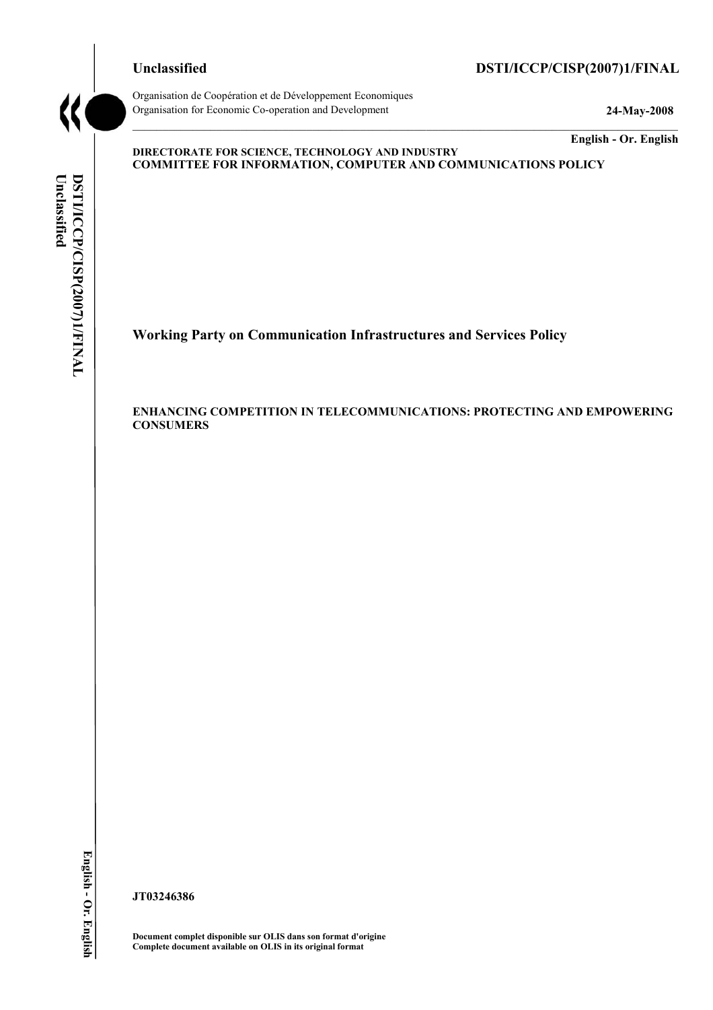# **Unclassified DSTI/ICCP/CISP(2007)1/FINAL**

Organisation de Coopération et de Développement Economiques Organisation for Economic Co-operation and Development **24-May-2008** 

**English - Or. English** 

#### **DIRECTORATE FOR SCIENCE, TECHNOLOGY AND INDUSTRY COMMITTEE FOR INFORMATION, COMPUTER AND COMMUNICATIONS POLICY**

 $\mathcal{L}_\mathcal{L} = \{ \mathcal{L}_\mathcal{L} = \{ \mathcal{L}_\mathcal{L} = \{ \mathcal{L}_\mathcal{L} = \{ \mathcal{L}_\mathcal{L} = \{ \mathcal{L}_\mathcal{L} = \{ \mathcal{L}_\mathcal{L} = \{ \mathcal{L}_\mathcal{L} = \{ \mathcal{L}_\mathcal{L} = \{ \mathcal{L}_\mathcal{L} = \{ \mathcal{L}_\mathcal{L} = \{ \mathcal{L}_\mathcal{L} = \{ \mathcal{L}_\mathcal{L} = \{ \mathcal{L}_\mathcal{L} = \{ \mathcal{L}_\mathcal{$ 

**Working Party on Communication Infrastructures and Services Policy** 

**ENHANCING COMPETITION IN TELECOMMUNICATIONS: PROTECTING AND EMPOWERING CONSUMERS** 

English - Or. English

**JT03246386** 

**Document complet disponible sur OLIS dans son format d'origine Complete document available on OLIS in its original format**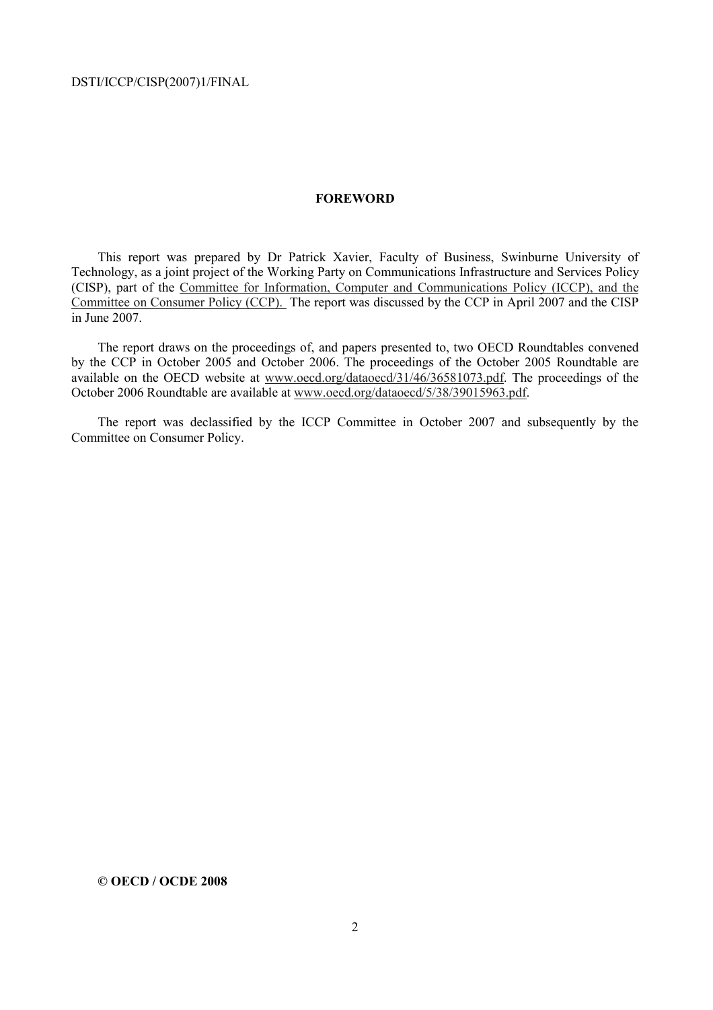#### **FOREWORD**

This report was prepared by Dr Patrick Xavier, Faculty of Business, Swinburne University of Technology, as a joint project of the Working Party on Communications Infrastructure and Services Policy (CISP), part of the Committee for Information, Computer and Communications Policy (ICCP), and the Committee on Consumer Policy (CCP). The report was discussed by the CCP in April 2007 and the CISP in June 2007.

The report draws on the proceedings of, and papers presented to, two OECD Roundtables convened by the CCP in October 2005 and October 2006. The proceedings of the October 2005 Roundtable are available on the OECD website at www.oecd.org/dataoecd/31/46/36581073.pdf. The proceedings of the October 2006 Roundtable are available at www.oecd.org/dataoecd/5/38/39015963.pdf.

The report was declassified by the ICCP Committee in October 2007 and subsequently by the Committee on Consumer Policy.

**© OECD / OCDE 2008**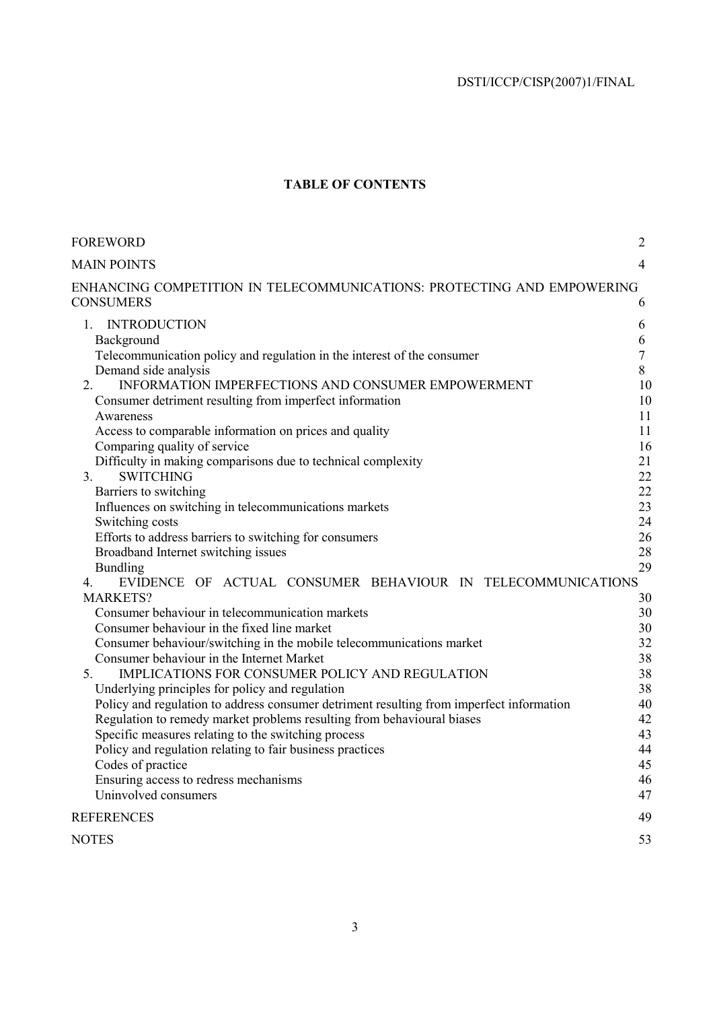# **TABLE OF CONTENTS**

| FOREWORD                                                                                                         | $\overline{2}$ |
|------------------------------------------------------------------------------------------------------------------|----------------|
| <b>MAIN POINTS</b>                                                                                               | $\overline{4}$ |
| ENHANCING COMPETITION IN TELECOMMUNICATIONS: PROTECTING AND EMPOWERING                                           |                |
| CONSUMERS                                                                                                        | 6              |
| <b>INTRODUCTION</b><br>$1_{-}$                                                                                   | 6              |
| Background                                                                                                       | 6              |
| Telecommunication policy and regulation in the interest of the consumer                                          | $\tau$         |
| Demand side analysis                                                                                             | 8              |
| INFORMATION IMPERFECTIONS AND CONSUMER EMPOWERMENT<br>2.                                                         | 10             |
| Consumer detriment resulting from imperfect information                                                          | 10             |
| Awareness                                                                                                        | 11             |
| Access to comparable information on prices and quality                                                           | 11             |
| Comparing quality of service                                                                                     | 16             |
| Difficulty in making comparisons due to technical complexity<br>3.<br><b>SWITCHING</b>                           | 21<br>22       |
| Barriers to switching                                                                                            | 22             |
| Influences on switching in telecommunications markets                                                            | 23             |
| Switching costs                                                                                                  | 24             |
| Efforts to address barriers to switching for consumers                                                           | 26             |
| Broadband Internet switching issues                                                                              | 28             |
| <b>Bundling</b>                                                                                                  | 29             |
| EVIDENCE OF ACTUAL CONSUMER BEHAVIOUR IN TELECOMMUNICATIONS<br>4.                                                |                |
| <b>MARKETS?</b>                                                                                                  | 30             |
| Consumer behaviour in telecommunication markets                                                                  | 30             |
| Consumer behaviour in the fixed line market                                                                      | 30             |
| Consumer behaviour/switching in the mobile telecommunications market                                             | 32             |
| Consumer behaviour in the Internet Market                                                                        | 38             |
| IMPLICATIONS FOR CONSUMER POLICY AND REGULATION<br>5.                                                            | 38             |
| Underlying principles for policy and regulation                                                                  | 38             |
| Policy and regulation to address consumer detriment resulting from imperfect information                         | 40             |
| Regulation to remedy market problems resulting from behavioural biases                                           | 42<br>43       |
| Specific measures relating to the switching process<br>Policy and regulation relating to fair business practices | 44             |
| Codes of practice                                                                                                | 45             |
| Ensuring access to redress mechanisms                                                                            | 46             |
| Uninvolved consumers                                                                                             | 47             |
| <b>REFERENCES</b>                                                                                                | 49             |
| NOTES                                                                                                            | 53             |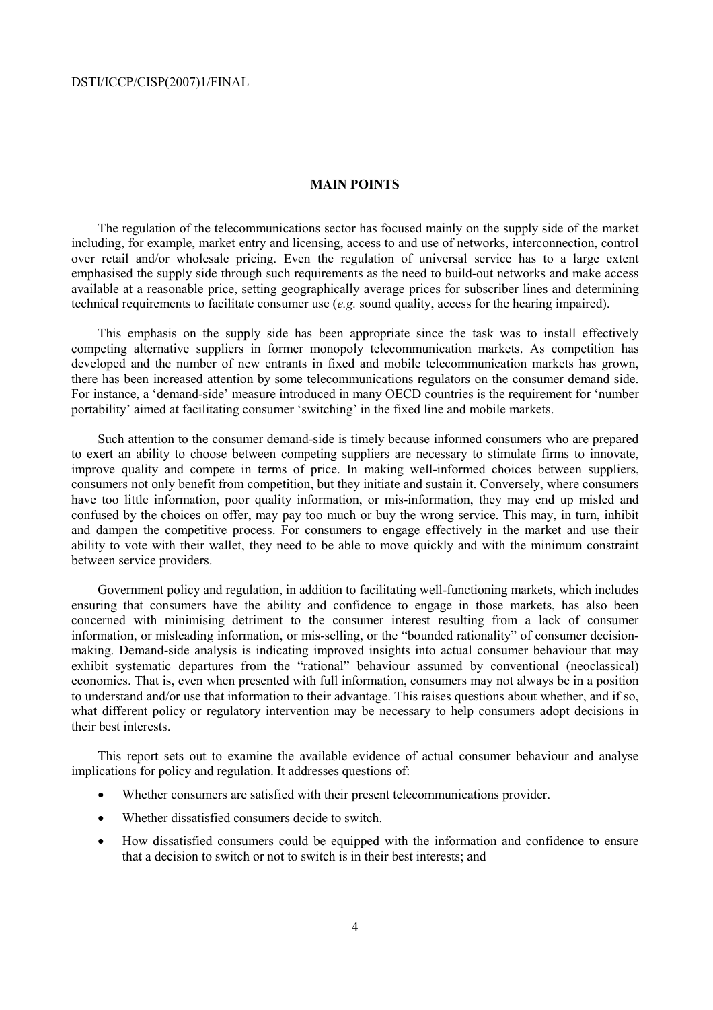### **MAIN POINTS**

The regulation of the telecommunications sector has focused mainly on the supply side of the market including, for example, market entry and licensing, access to and use of networks, interconnection, control over retail and/or wholesale pricing. Even the regulation of universal service has to a large extent emphasised the supply side through such requirements as the need to build-out networks and make access available at a reasonable price, setting geographically average prices for subscriber lines and determining technical requirements to facilitate consumer use (*e.g.* sound quality, access for the hearing impaired).

This emphasis on the supply side has been appropriate since the task was to install effectively competing alternative suppliers in former monopoly telecommunication markets. As competition has developed and the number of new entrants in fixed and mobile telecommunication markets has grown, there has been increased attention by some telecommunications regulators on the consumer demand side. For instance, a 'demand-side' measure introduced in many OECD countries is the requirement for 'number portability' aimed at facilitating consumer 'switching' in the fixed line and mobile markets.

Such attention to the consumer demand-side is timely because informed consumers who are prepared to exert an ability to choose between competing suppliers are necessary to stimulate firms to innovate, improve quality and compete in terms of price. In making well-informed choices between suppliers, consumers not only benefit from competition, but they initiate and sustain it. Conversely, where consumers have too little information, poor quality information, or mis-information, they may end up misled and confused by the choices on offer, may pay too much or buy the wrong service. This may, in turn, inhibit and dampen the competitive process. For consumers to engage effectively in the market and use their ability to vote with their wallet, they need to be able to move quickly and with the minimum constraint between service providers.

Government policy and regulation, in addition to facilitating well-functioning markets, which includes ensuring that consumers have the ability and confidence to engage in those markets, has also been concerned with minimising detriment to the consumer interest resulting from a lack of consumer information, or misleading information, or mis-selling, or the "bounded rationality" of consumer decisionmaking. Demand-side analysis is indicating improved insights into actual consumer behaviour that may exhibit systematic departures from the "rational" behaviour assumed by conventional (neoclassical) economics. That is, even when presented with full information, consumers may not always be in a position to understand and/or use that information to their advantage. This raises questions about whether, and if so, what different policy or regulatory intervention may be necessary to help consumers adopt decisions in their best interests.

This report sets out to examine the available evidence of actual consumer behaviour and analyse implications for policy and regulation. It addresses questions of:

- Whether consumers are satisfied with their present telecommunications provider.
- Whether dissatisfied consumers decide to switch.
- How dissatisfied consumers could be equipped with the information and confidence to ensure that a decision to switch or not to switch is in their best interests; and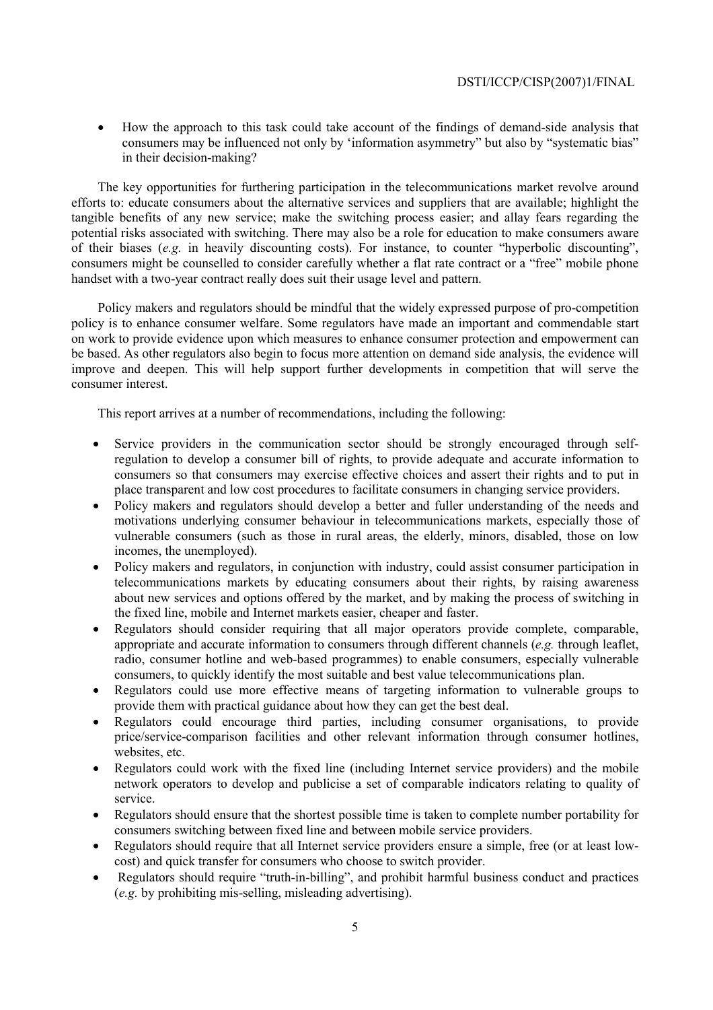• How the approach to this task could take account of the findings of demand-side analysis that consumers may be influenced not only by 'information asymmetry" but also by "systematic bias" in their decision-making?

The key opportunities for furthering participation in the telecommunications market revolve around efforts to: educate consumers about the alternative services and suppliers that are available; highlight the tangible benefits of any new service; make the switching process easier; and allay fears regarding the potential risks associated with switching. There may also be a role for education to make consumers aware of their biases (*e.g.* in heavily discounting costs). For instance, to counter "hyperbolic discounting", consumers might be counselled to consider carefully whether a flat rate contract or a "free" mobile phone handset with a two-year contract really does suit their usage level and pattern.

Policy makers and regulators should be mindful that the widely expressed purpose of pro-competition policy is to enhance consumer welfare. Some regulators have made an important and commendable start on work to provide evidence upon which measures to enhance consumer protection and empowerment can be based. As other regulators also begin to focus more attention on demand side analysis, the evidence will improve and deepen. This will help support further developments in competition that will serve the consumer interest.

This report arrives at a number of recommendations, including the following:

- Service providers in the communication sector should be strongly encouraged through selfregulation to develop a consumer bill of rights, to provide adequate and accurate information to consumers so that consumers may exercise effective choices and assert their rights and to put in place transparent and low cost procedures to facilitate consumers in changing service providers.
- Policy makers and regulators should develop a better and fuller understanding of the needs and motivations underlying consumer behaviour in telecommunications markets, especially those of vulnerable consumers (such as those in rural areas, the elderly, minors, disabled, those on low incomes, the unemployed).
- Policy makers and regulators, in conjunction with industry, could assist consumer participation in telecommunications markets by educating consumers about their rights, by raising awareness about new services and options offered by the market, and by making the process of switching in the fixed line, mobile and Internet markets easier, cheaper and faster.
- Regulators should consider requiring that all major operators provide complete, comparable, appropriate and accurate information to consumers through different channels (*e.g.* through leaflet, radio, consumer hotline and web-based programmes) to enable consumers, especially vulnerable consumers, to quickly identify the most suitable and best value telecommunications plan.
- Regulators could use more effective means of targeting information to vulnerable groups to provide them with practical guidance about how they can get the best deal.
- Regulators could encourage third parties, including consumer organisations, to provide price/service-comparison facilities and other relevant information through consumer hotlines, websites, etc.
- Regulators could work with the fixed line (including Internet service providers) and the mobile network operators to develop and publicise a set of comparable indicators relating to quality of service.
- Regulators should ensure that the shortest possible time is taken to complete number portability for consumers switching between fixed line and between mobile service providers.
- Regulators should require that all Internet service providers ensure a simple, free (or at least lowcost) and quick transfer for consumers who choose to switch provider.
- Regulators should require "truth-in-billing", and prohibit harmful business conduct and practices (*e.g.* by prohibiting mis-selling, misleading advertising).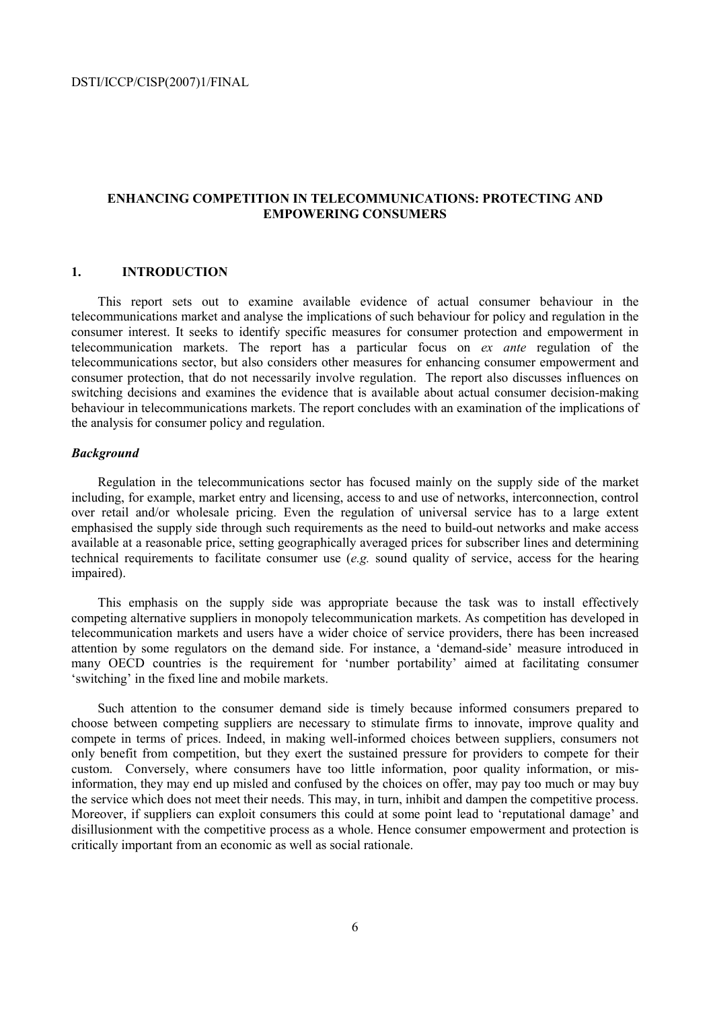## **ENHANCING COMPETITION IN TELECOMMUNICATIONS: PROTECTING AND EMPOWERING CONSUMERS**

## **1. INTRODUCTION**

This report sets out to examine available evidence of actual consumer behaviour in the telecommunications market and analyse the implications of such behaviour for policy and regulation in the consumer interest. It seeks to identify specific measures for consumer protection and empowerment in telecommunication markets. The report has a particular focus on *ex ante* regulation of the telecommunications sector, but also considers other measures for enhancing consumer empowerment and consumer protection, that do not necessarily involve regulation. The report also discusses influences on switching decisions and examines the evidence that is available about actual consumer decision-making behaviour in telecommunications markets. The report concludes with an examination of the implications of the analysis for consumer policy and regulation.

## *Background*

Regulation in the telecommunications sector has focused mainly on the supply side of the market including, for example, market entry and licensing, access to and use of networks, interconnection, control over retail and/or wholesale pricing. Even the regulation of universal service has to a large extent emphasised the supply side through such requirements as the need to build-out networks and make access available at a reasonable price, setting geographically averaged prices for subscriber lines and determining technical requirements to facilitate consumer use (*e.g.* sound quality of service, access for the hearing impaired).

This emphasis on the supply side was appropriate because the task was to install effectively competing alternative suppliers in monopoly telecommunication markets. As competition has developed in telecommunication markets and users have a wider choice of service providers, there has been increased attention by some regulators on the demand side. For instance, a 'demand-side' measure introduced in many OECD countries is the requirement for 'number portability' aimed at facilitating consumer 'switching' in the fixed line and mobile markets.

Such attention to the consumer demand side is timely because informed consumers prepared to choose between competing suppliers are necessary to stimulate firms to innovate, improve quality and compete in terms of prices. Indeed, in making well-informed choices between suppliers, consumers not only benefit from competition, but they exert the sustained pressure for providers to compete for their custom. Conversely, where consumers have too little information, poor quality information, or misinformation, they may end up misled and confused by the choices on offer, may pay too much or may buy the service which does not meet their needs. This may, in turn, inhibit and dampen the competitive process. Moreover, if suppliers can exploit consumers this could at some point lead to 'reputational damage' and disillusionment with the competitive process as a whole. Hence consumer empowerment and protection is critically important from an economic as well as social rationale.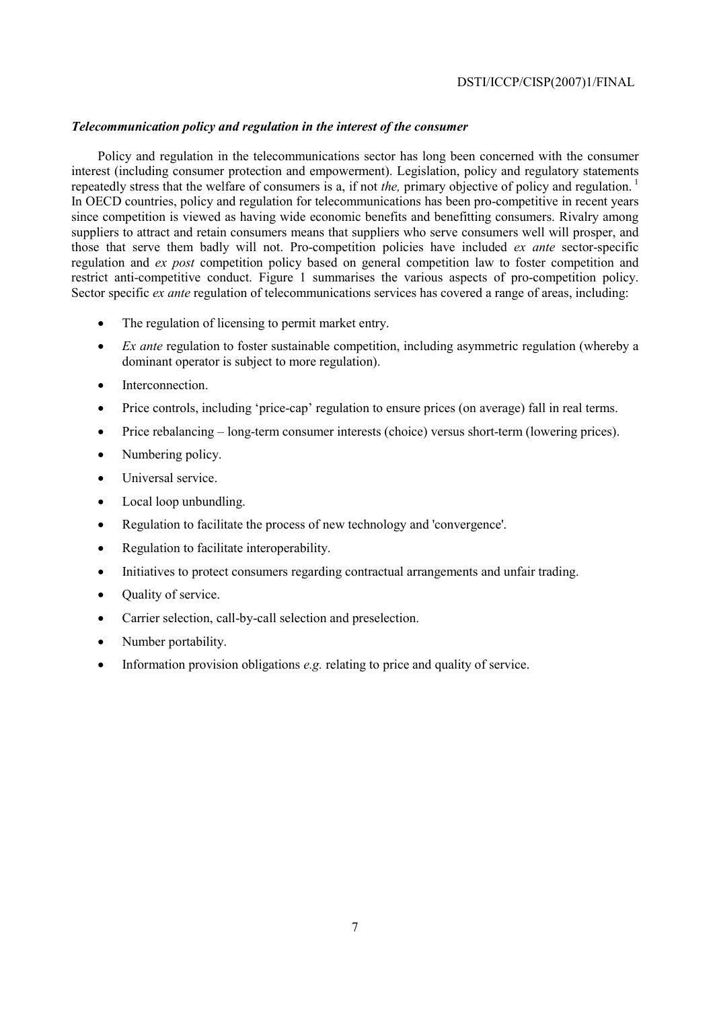## *Telecommunication policy and regulation in the interest of the consumer*

Policy and regulation in the telecommunications sector has long been concerned with the consumer interest (including consumer protection and empowerment). Legislation, policy and regulatory statements repeatedly stress that the welfare of consumers is a, if not *the*, primary objective of policy and regulation.<sup>1</sup> In OECD countries, policy and regulation for telecommunications has been pro-competitive in recent years since competition is viewed as having wide economic benefits and benefitting consumers. Rivalry among suppliers to attract and retain consumers means that suppliers who serve consumers well will prosper, and those that serve them badly will not. Pro-competition policies have included *ex ante* sector-specific regulation and *ex post* competition policy based on general competition law to foster competition and restrict anti-competitive conduct. Figure 1 summarises the various aspects of pro-competition policy. Sector specific *ex ante* regulation of telecommunications services has covered a range of areas, including:

- The regulation of licensing to permit market entry.
- *Ex ante* regulation to foster sustainable competition, including asymmetric regulation (whereby a dominant operator is subject to more regulation).
- Interconnection.
- Price controls, including 'price-cap' regulation to ensure prices (on average) fall in real terms.
- Price rebalancing long-term consumer interests (choice) versus short-term (lowering prices).
- Numbering policy.
- Universal service.
- Local loop unbundling.
- Regulation to facilitate the process of new technology and 'convergence'.
- Regulation to facilitate interoperability.
- Initiatives to protect consumers regarding contractual arrangements and unfair trading.
- Quality of service.
- Carrier selection, call-by-call selection and preselection.
- Number portability.
- Information provision obligations *e.g.* relating to price and quality of service.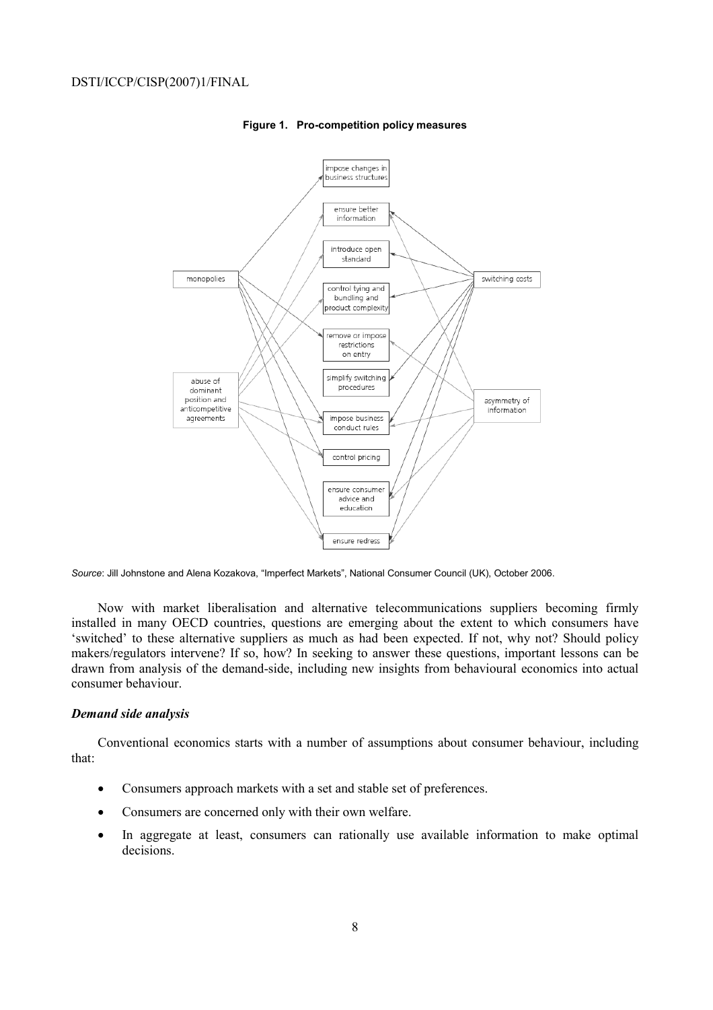

#### **Figure 1. Pro-competition policy measures**

*Source*: Jill Johnstone and Alena Kozakova, "Imperfect Markets", National Consumer Council (UK), October 2006.

Now with market liberalisation and alternative telecommunications suppliers becoming firmly installed in many OECD countries, questions are emerging about the extent to which consumers have 'switched' to these alternative suppliers as much as had been expected. If not, why not? Should policy makers/regulators intervene? If so, how? In seeking to answer these questions, important lessons can be drawn from analysis of the demand-side, including new insights from behavioural economics into actual consumer behaviour.

### *Demand side analysis*

Conventional economics starts with a number of assumptions about consumer behaviour, including that:

- Consumers approach markets with a set and stable set of preferences.
- Consumers are concerned only with their own welfare.
- In aggregate at least, consumers can rationally use available information to make optimal decisions.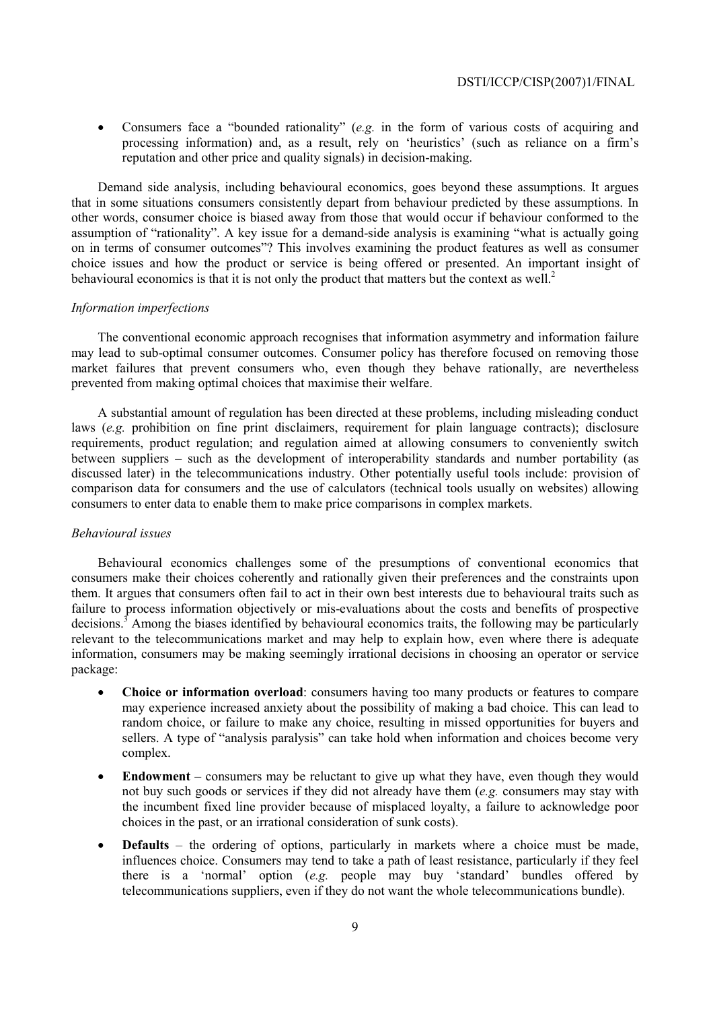• Consumers face a "bounded rationality" (*e.g.* in the form of various costs of acquiring and processing information) and, as a result, rely on 'heuristics' (such as reliance on a firm's reputation and other price and quality signals) in decision-making.

Demand side analysis, including behavioural economics, goes beyond these assumptions. It argues that in some situations consumers consistently depart from behaviour predicted by these assumptions. In other words, consumer choice is biased away from those that would occur if behaviour conformed to the assumption of "rationality". A key issue for a demand-side analysis is examining "what is actually going on in terms of consumer outcomes"? This involves examining the product features as well as consumer choice issues and how the product or service is being offered or presented. An important insight of behavioural economics is that it is not only the product that matters but the context as well.<sup>2</sup>

## *Information imperfections*

The conventional economic approach recognises that information asymmetry and information failure may lead to sub-optimal consumer outcomes. Consumer policy has therefore focused on removing those market failures that prevent consumers who, even though they behave rationally, are nevertheless prevented from making optimal choices that maximise their welfare.

A substantial amount of regulation has been directed at these problems, including misleading conduct laws (*e.g.* prohibition on fine print disclaimers, requirement for plain language contracts); disclosure requirements, product regulation; and regulation aimed at allowing consumers to conveniently switch between suppliers – such as the development of interoperability standards and number portability (as discussed later) in the telecommunications industry. Other potentially useful tools include: provision of comparison data for consumers and the use of calculators (technical tools usually on websites) allowing consumers to enter data to enable them to make price comparisons in complex markets.

#### *Behavioural issues*

Behavioural economics challenges some of the presumptions of conventional economics that consumers make their choices coherently and rationally given their preferences and the constraints upon them. It argues that consumers often fail to act in their own best interests due to behavioural traits such as failure to process information objectively or mis-evaluations about the costs and benefits of prospective decisions.<sup>3</sup> Among the biases identified by behavioural economics traits, the following may be particularly relevant to the telecommunications market and may help to explain how, even where there is adequate information, consumers may be making seemingly irrational decisions in choosing an operator or service package:

- **Choice or information overload**: consumers having too many products or features to compare may experience increased anxiety about the possibility of making a bad choice. This can lead to random choice, or failure to make any choice, resulting in missed opportunities for buyers and sellers. A type of "analysis paralysis" can take hold when information and choices become very complex.
- **Endowment** consumers may be reluctant to give up what they have, even though they would not buy such goods or services if they did not already have them (*e.g.* consumers may stay with the incumbent fixed line provider because of misplaced loyalty, a failure to acknowledge poor choices in the past, or an irrational consideration of sunk costs).
- **Defaults** the ordering of options, particularly in markets where a choice must be made, influences choice. Consumers may tend to take a path of least resistance, particularly if they feel there is a 'normal' option (*e.g.* people may buy 'standard' bundles offered by telecommunications suppliers, even if they do not want the whole telecommunications bundle).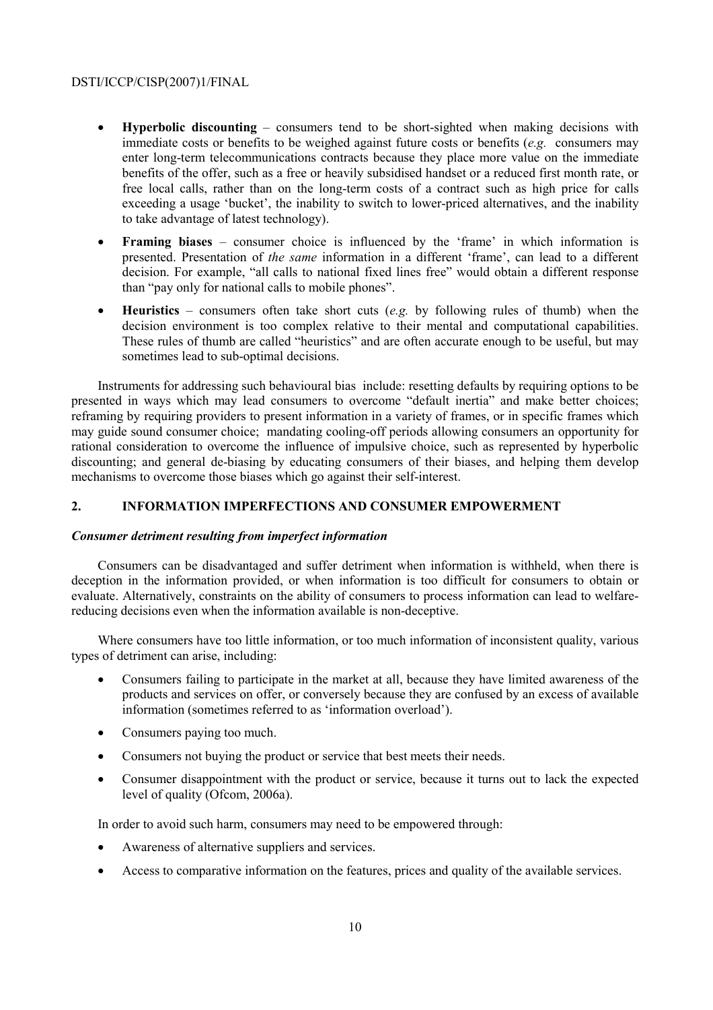- **Hyperbolic discounting** consumers tend to be short-sighted when making decisions with immediate costs or benefits to be weighed against future costs or benefits (*e.g.* consumers may enter long-term telecommunications contracts because they place more value on the immediate benefits of the offer, such as a free or heavily subsidised handset or a reduced first month rate, or free local calls, rather than on the long-term costs of a contract such as high price for calls exceeding a usage 'bucket', the inability to switch to lower-priced alternatives, and the inability to take advantage of latest technology).
- **Framing biases** consumer choice is influenced by the 'frame' in which information is presented. Presentation of *the same* information in a different 'frame', can lead to a different decision. For example, "all calls to national fixed lines free" would obtain a different response than "pay only for national calls to mobile phones".
- **Heuristics** consumers often take short cuts (*e.g.* by following rules of thumb) when the decision environment is too complex relative to their mental and computational capabilities. These rules of thumb are called "heuristics" and are often accurate enough to be useful, but may sometimes lead to sub-optimal decisions.

Instruments for addressing such behavioural bias include: resetting defaults by requiring options to be presented in ways which may lead consumers to overcome "default inertia" and make better choices; reframing by requiring providers to present information in a variety of frames, or in specific frames which may guide sound consumer choice; mandating cooling-off periods allowing consumers an opportunity for rational consideration to overcome the influence of impulsive choice, such as represented by hyperbolic discounting; and general de-biasing by educating consumers of their biases, and helping them develop mechanisms to overcome those biases which go against their self-interest.

## **2. INFORMATION IMPERFECTIONS AND CONSUMER EMPOWERMENT**

## *Consumer detriment resulting from imperfect information*

Consumers can be disadvantaged and suffer detriment when information is withheld, when there is deception in the information provided, or when information is too difficult for consumers to obtain or evaluate. Alternatively, constraints on the ability of consumers to process information can lead to welfarereducing decisions even when the information available is non-deceptive.

Where consumers have too little information, or too much information of inconsistent quality, various types of detriment can arise, including:

- Consumers failing to participate in the market at all, because they have limited awareness of the products and services on offer, or conversely because they are confused by an excess of available information (sometimes referred to as 'information overload').
- Consumers paying too much.
- Consumers not buying the product or service that best meets their needs.
- Consumer disappointment with the product or service, because it turns out to lack the expected level of quality (Ofcom, 2006a).

In order to avoid such harm, consumers may need to be empowered through:

- Awareness of alternative suppliers and services.
- Access to comparative information on the features, prices and quality of the available services.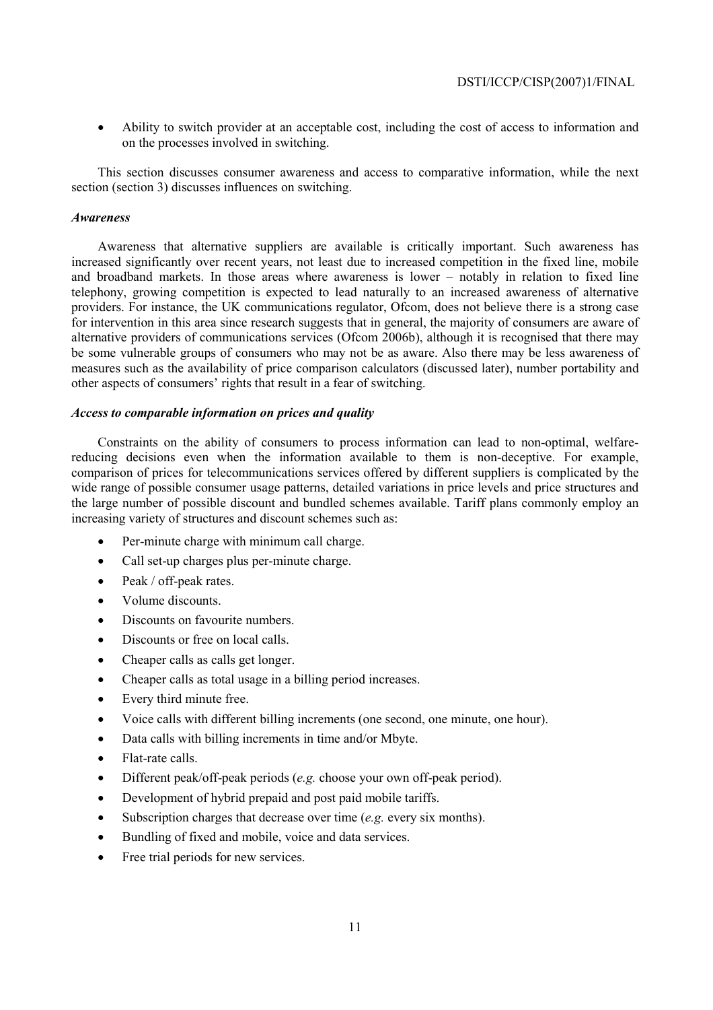• Ability to switch provider at an acceptable cost, including the cost of access to information and on the processes involved in switching.

This section discusses consumer awareness and access to comparative information, while the next section (section 3) discusses influences on switching.

### *Awareness*

Awareness that alternative suppliers are available is critically important. Such awareness has increased significantly over recent years, not least due to increased competition in the fixed line, mobile and broadband markets. In those areas where awareness is lower – notably in relation to fixed line telephony, growing competition is expected to lead naturally to an increased awareness of alternative providers. For instance, the UK communications regulator, Ofcom, does not believe there is a strong case for intervention in this area since research suggests that in general, the majority of consumers are aware of alternative providers of communications services (Ofcom 2006b), although it is recognised that there may be some vulnerable groups of consumers who may not be as aware. Also there may be less awareness of measures such as the availability of price comparison calculators (discussed later), number portability and other aspects of consumers' rights that result in a fear of switching.

## *Access to comparable information on prices and quality*

Constraints on the ability of consumers to process information can lead to non-optimal, welfarereducing decisions even when the information available to them is non-deceptive. For example, comparison of prices for telecommunications services offered by different suppliers is complicated by the wide range of possible consumer usage patterns, detailed variations in price levels and price structures and the large number of possible discount and bundled schemes available. Tariff plans commonly employ an increasing variety of structures and discount schemes such as:

- Per-minute charge with minimum call charge.
- Call set-up charges plus per-minute charge.
- Peak / off-peak rates.
- Volume discounts.
- Discounts on favourite numbers.
- Discounts or free on local calls.
- Cheaper calls as calls get longer.
- Cheaper calls as total usage in a billing period increases.
- Every third minute free.
- Voice calls with different billing increments (one second, one minute, one hour).
- Data calls with billing increments in time and/or Mbyte.
- Flat-rate calls.
- Different peak/off-peak periods (*e.g.* choose your own off-peak period).
- Development of hybrid prepaid and post paid mobile tariffs.
- Subscription charges that decrease over time (*e.g.* every six months).
- Bundling of fixed and mobile, voice and data services.
- Free trial periods for new services.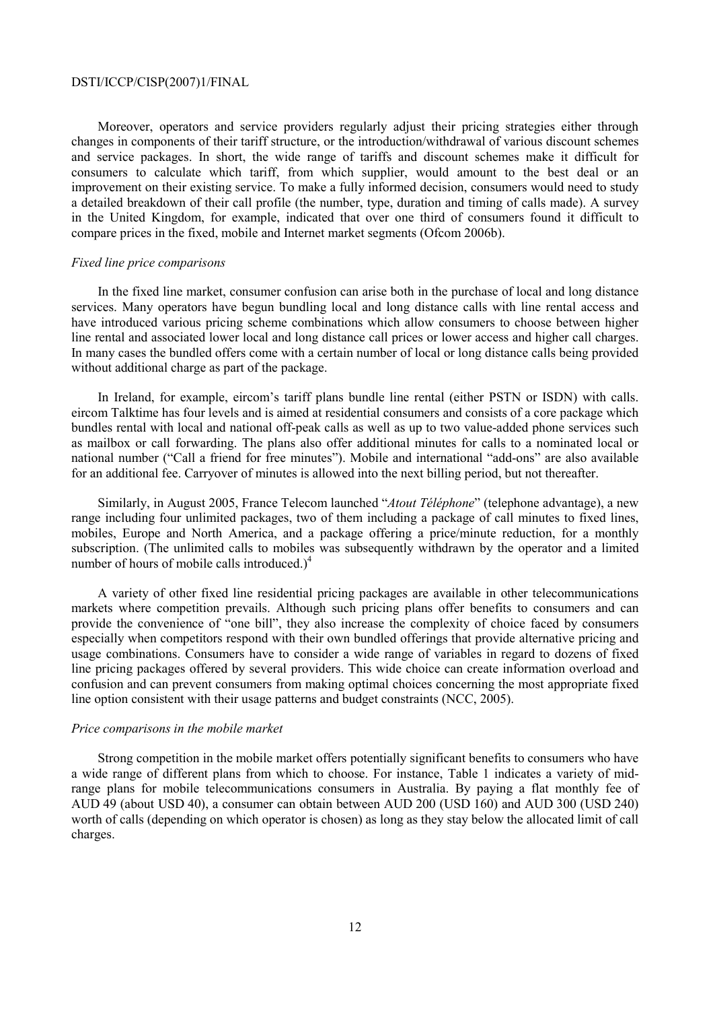Moreover, operators and service providers regularly adjust their pricing strategies either through changes in components of their tariff structure, or the introduction/withdrawal of various discount schemes and service packages. In short, the wide range of tariffs and discount schemes make it difficult for consumers to calculate which tariff, from which supplier, would amount to the best deal or an improvement on their existing service. To make a fully informed decision, consumers would need to study a detailed breakdown of their call profile (the number, type, duration and timing of calls made). A survey in the United Kingdom, for example, indicated that over one third of consumers found it difficult to compare prices in the fixed, mobile and Internet market segments (Ofcom 2006b).

#### *Fixed line price comparisons*

In the fixed line market, consumer confusion can arise both in the purchase of local and long distance services. Many operators have begun bundling local and long distance calls with line rental access and have introduced various pricing scheme combinations which allow consumers to choose between higher line rental and associated lower local and long distance call prices or lower access and higher call charges. In many cases the bundled offers come with a certain number of local or long distance calls being provided without additional charge as part of the package.

In Ireland, for example, eircom's tariff plans bundle line rental (either PSTN or ISDN) with calls. eircom Talktime has four levels and is aimed at residential consumers and consists of a core package which bundles rental with local and national off-peak calls as well as up to two value-added phone services such as mailbox or call forwarding. The plans also offer additional minutes for calls to a nominated local or national number ("Call a friend for free minutes"). Mobile and international "add-ons" are also available for an additional fee. Carryover of minutes is allowed into the next billing period, but not thereafter.

Similarly, in August 2005, France Telecom launched "*Atout Téléphone*" (telephone advantage), a new range including four unlimited packages, two of them including a package of call minutes to fixed lines, mobiles, Europe and North America, and a package offering a price/minute reduction, for a monthly subscription. (The unlimited calls to mobiles was subsequently withdrawn by the operator and a limited number of hours of mobile calls introduced. $)^4$ 

A variety of other fixed line residential pricing packages are available in other telecommunications markets where competition prevails. Although such pricing plans offer benefits to consumers and can provide the convenience of "one bill", they also increase the complexity of choice faced by consumers especially when competitors respond with their own bundled offerings that provide alternative pricing and usage combinations. Consumers have to consider a wide range of variables in regard to dozens of fixed line pricing packages offered by several providers. This wide choice can create information overload and confusion and can prevent consumers from making optimal choices concerning the most appropriate fixed line option consistent with their usage patterns and budget constraints (NCC, 2005).

#### *Price comparisons in the mobile market*

Strong competition in the mobile market offers potentially significant benefits to consumers who have a wide range of different plans from which to choose. For instance, Table 1 indicates a variety of midrange plans for mobile telecommunications consumers in Australia. By paying a flat monthly fee of AUD 49 (about USD 40), a consumer can obtain between AUD 200 (USD 160) and AUD 300 (USD 240) worth of calls (depending on which operator is chosen) as long as they stay below the allocated limit of call charges.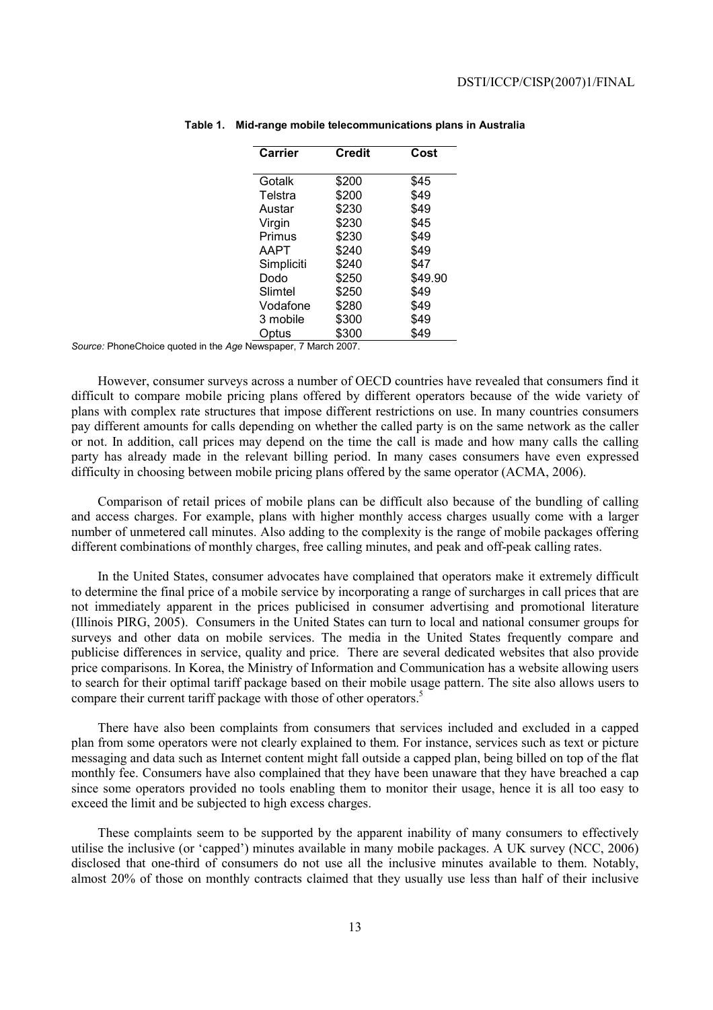| Carrier |            | <b>Credit</b> | Cost    |
|---------|------------|---------------|---------|
|         | Gotalk     | \$200         | \$45    |
|         | Telstra    | \$200         | \$49    |
|         | Austar     | \$230         | \$49    |
|         | Virgin     | \$230         | \$45    |
|         | Primus     | \$230         | \$49    |
|         | AAPT       | \$240         | \$49    |
|         | Simpliciti | \$240         | \$47    |
|         | Dodo       | \$250         | \$49.90 |
|         | Slimtel    | \$250         | \$49    |
|         | Vodafone   | \$280         | \$49    |
|         | 3 mobile   | \$300         | \$49    |
|         | Optus      | \$300         | \$49    |
|         | - - -      |               |         |

**Table 1. Mid-range mobile telecommunications plans in Australia** 

*Source:* PhoneChoice quoted in the *Age* Newspaper, 7 March 2007.

However, consumer surveys across a number of OECD countries have revealed that consumers find it difficult to compare mobile pricing plans offered by different operators because of the wide variety of plans with complex rate structures that impose different restrictions on use. In many countries consumers pay different amounts for calls depending on whether the called party is on the same network as the caller or not. In addition, call prices may depend on the time the call is made and how many calls the calling party has already made in the relevant billing period. In many cases consumers have even expressed difficulty in choosing between mobile pricing plans offered by the same operator (ACMA, 2006).

Comparison of retail prices of mobile plans can be difficult also because of the bundling of calling and access charges. For example, plans with higher monthly access charges usually come with a larger number of unmetered call minutes. Also adding to the complexity is the range of mobile packages offering different combinations of monthly charges, free calling minutes, and peak and off-peak calling rates.

In the United States, consumer advocates have complained that operators make it extremely difficult to determine the final price of a mobile service by incorporating a range of surcharges in call prices that are not immediately apparent in the prices publicised in consumer advertising and promotional literature (Illinois PIRG, 2005). Consumers in the United States can turn to local and national consumer groups for surveys and other data on mobile services. The media in the United States frequently compare and publicise differences in service, quality and price. There are several dedicated websites that also provide price comparisons. In Korea, the Ministry of Information and Communication has a website allowing users to search for their optimal tariff package based on their mobile usage pattern. The site also allows users to compare their current tariff package with those of other operators.<sup>5</sup>

There have also been complaints from consumers that services included and excluded in a capped plan from some operators were not clearly explained to them. For instance, services such as text or picture messaging and data such as Internet content might fall outside a capped plan, being billed on top of the flat monthly fee. Consumers have also complained that they have been unaware that they have breached a cap since some operators provided no tools enabling them to monitor their usage, hence it is all too easy to exceed the limit and be subjected to high excess charges.

These complaints seem to be supported by the apparent inability of many consumers to effectively utilise the inclusive (or 'capped') minutes available in many mobile packages. A UK survey (NCC, 2006) disclosed that one-third of consumers do not use all the inclusive minutes available to them. Notably, almost 20% of those on monthly contracts claimed that they usually use less than half of their inclusive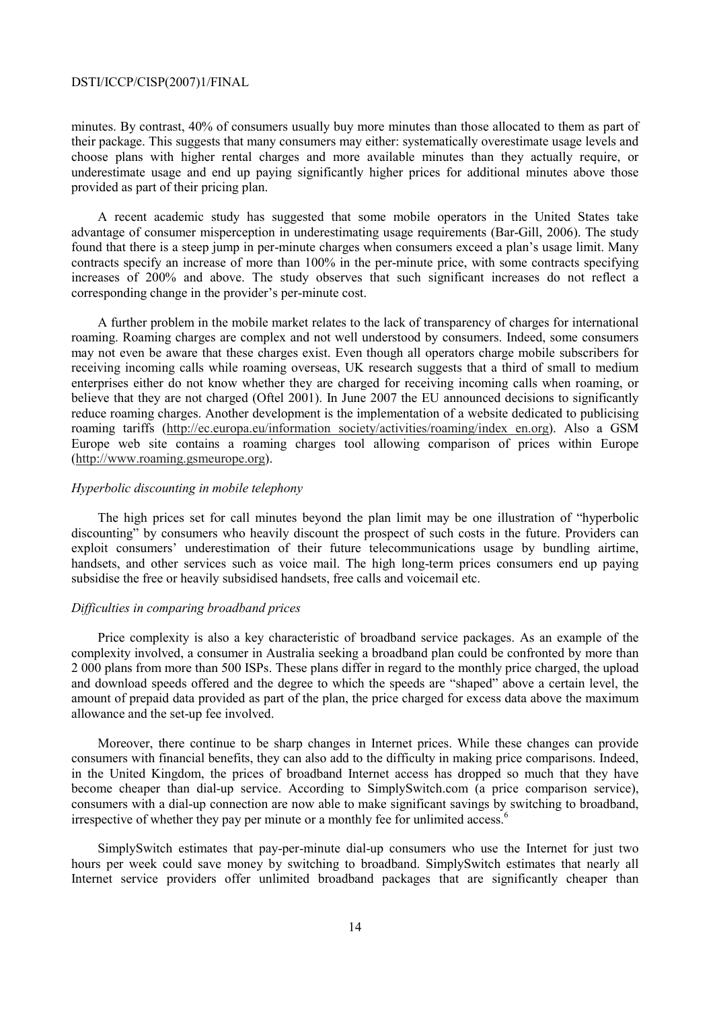minutes. By contrast, 40% of consumers usually buy more minutes than those allocated to them as part of their package. This suggests that many consumers may either: systematically overestimate usage levels and choose plans with higher rental charges and more available minutes than they actually require, or underestimate usage and end up paying significantly higher prices for additional minutes above those provided as part of their pricing plan.

A recent academic study has suggested that some mobile operators in the United States take advantage of consumer misperception in underestimating usage requirements (Bar-Gill, 2006). The study found that there is a steep jump in per-minute charges when consumers exceed a plan's usage limit. Many contracts specify an increase of more than 100% in the per-minute price, with some contracts specifying increases of 200% and above. The study observes that such significant increases do not reflect a corresponding change in the provider's per-minute cost.

A further problem in the mobile market relates to the lack of transparency of charges for international roaming. Roaming charges are complex and not well understood by consumers. Indeed, some consumers may not even be aware that these charges exist. Even though all operators charge mobile subscribers for receiving incoming calls while roaming overseas, UK research suggests that a third of small to medium enterprises either do not know whether they are charged for receiving incoming calls when roaming, or believe that they are not charged (Oftel 2001). In June 2007 the EU announced decisions to significantly reduce roaming charges. Another development is the implementation of a website dedicated to publicising roaming tariffs (http://ec.europa.eu/information society/activities/roaming/index en.org). Also a GSM Europe web site contains a roaming charges tool allowing comparison of prices within Europe (http://www.roaming.gsmeurope.org).

### *Hyperbolic discounting in mobile telephony*

The high prices set for call minutes beyond the plan limit may be one illustration of "hyperbolic discounting" by consumers who heavily discount the prospect of such costs in the future. Providers can exploit consumers' underestimation of their future telecommunications usage by bundling airtime, handsets, and other services such as voice mail. The high long-term prices consumers end up paying subsidise the free or heavily subsidised handsets, free calls and voicemail etc.

### *Difficulties in comparing broadband prices*

Price complexity is also a key characteristic of broadband service packages. As an example of the complexity involved, a consumer in Australia seeking a broadband plan could be confronted by more than 2 000 plans from more than 500 ISPs. These plans differ in regard to the monthly price charged, the upload and download speeds offered and the degree to which the speeds are "shaped" above a certain level, the amount of prepaid data provided as part of the plan, the price charged for excess data above the maximum allowance and the set-up fee involved.

Moreover, there continue to be sharp changes in Internet prices. While these changes can provide consumers with financial benefits, they can also add to the difficulty in making price comparisons. Indeed, in the United Kingdom, the prices of broadband Internet access has dropped so much that they have become cheaper than dial-up service. According to SimplySwitch.com (a price comparison service), consumers with a dial-up connection are now able to make significant savings by switching to broadband, irrespective of whether they pay per minute or a monthly fee for unlimited access.<sup>6</sup>

SimplySwitch estimates that pay-per-minute dial-up consumers who use the Internet for just two hours per week could save money by switching to broadband. SimplySwitch estimates that nearly all Internet service providers offer unlimited broadband packages that are significantly cheaper than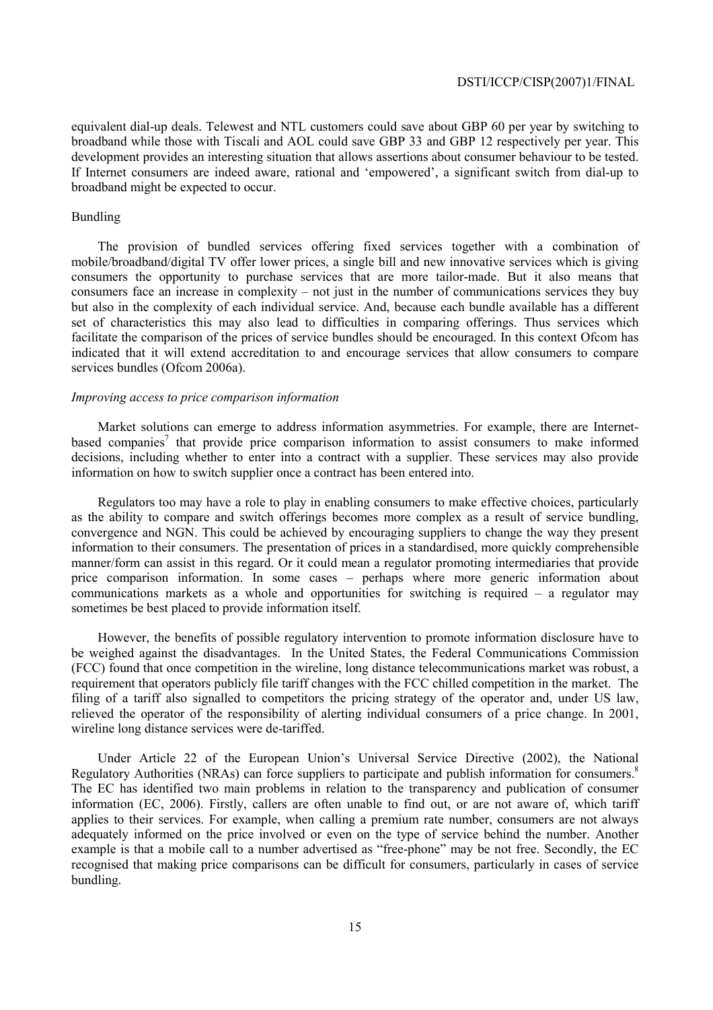equivalent dial-up deals. Telewest and NTL customers could save about GBP 60 per year by switching to broadband while those with Tiscali and AOL could save GBP 33 and GBP 12 respectively per year. This development provides an interesting situation that allows assertions about consumer behaviour to be tested. If Internet consumers are indeed aware, rational and 'empowered', a significant switch from dial-up to broadband might be expected to occur.

## Bundling

The provision of bundled services offering fixed services together with a combination of mobile/broadband/digital TV offer lower prices, a single bill and new innovative services which is giving consumers the opportunity to purchase services that are more tailor-made. But it also means that consumers face an increase in complexity – not just in the number of communications services they buy but also in the complexity of each individual service. And, because each bundle available has a different set of characteristics this may also lead to difficulties in comparing offerings. Thus services which facilitate the comparison of the prices of service bundles should be encouraged. In this context Ofcom has indicated that it will extend accreditation to and encourage services that allow consumers to compare services bundles (Ofcom 2006a).

### *Improving access to price comparison information*

Market solutions can emerge to address information asymmetries. For example, there are Internetbased companies<sup>7</sup> that provide price comparison information to assist consumers to make informed decisions, including whether to enter into a contract with a supplier. These services may also provide information on how to switch supplier once a contract has been entered into.

Regulators too may have a role to play in enabling consumers to make effective choices, particularly as the ability to compare and switch offerings becomes more complex as a result of service bundling, convergence and NGN. This could be achieved by encouraging suppliers to change the way they present information to their consumers. The presentation of prices in a standardised, more quickly comprehensible manner/form can assist in this regard. Or it could mean a regulator promoting intermediaries that provide price comparison information. In some cases – perhaps where more generic information about communications markets as a whole and opportunities for switching is required – a regulator may sometimes be best placed to provide information itself.

However, the benefits of possible regulatory intervention to promote information disclosure have to be weighed against the disadvantages. In the United States, the Federal Communications Commission (FCC) found that once competition in the wireline, long distance telecommunications market was robust, a requirement that operators publicly file tariff changes with the FCC chilled competition in the market. The filing of a tariff also signalled to competitors the pricing strategy of the operator and, under US law, relieved the operator of the responsibility of alerting individual consumers of a price change. In 2001, wireline long distance services were de-tariffed.

Under Article 22 of the European Union's Universal Service Directive (2002), the National Regulatory Authorities (NRAs) can force suppliers to participate and publish information for consumers.<sup>8</sup> The EC has identified two main problems in relation to the transparency and publication of consumer information (EC, 2006). Firstly, callers are often unable to find out, or are not aware of, which tariff applies to their services. For example, when calling a premium rate number, consumers are not always adequately informed on the price involved or even on the type of service behind the number. Another example is that a mobile call to a number advertised as "free-phone" may be not free. Secondly, the EC recognised that making price comparisons can be difficult for consumers, particularly in cases of service bundling.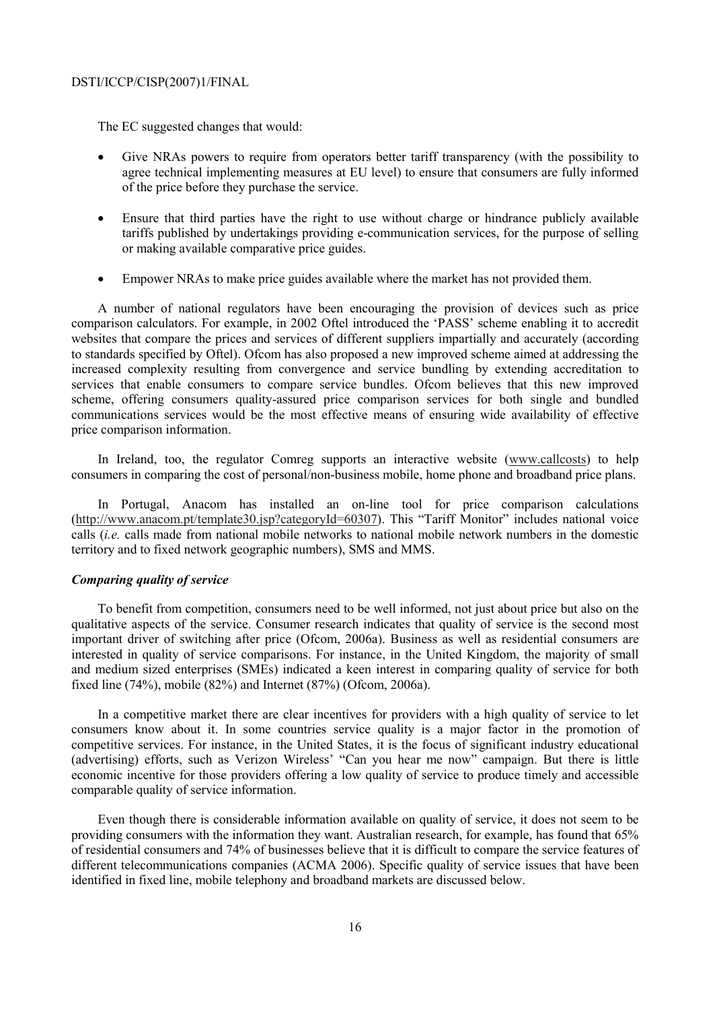The EC suggested changes that would:

- Give NRAs powers to require from operators better tariff transparency (with the possibility to agree technical implementing measures at EU level) to ensure that consumers are fully informed of the price before they purchase the service.
- Ensure that third parties have the right to use without charge or hindrance publicly available tariffs published by undertakings providing e-communication services, for the purpose of selling or making available comparative price guides.
- Empower NRAs to make price guides available where the market has not provided them.

A number of national regulators have been encouraging the provision of devices such as price comparison calculators. For example, in 2002 Oftel introduced the 'PASS' scheme enabling it to accredit websites that compare the prices and services of different suppliers impartially and accurately (according to standards specified by Oftel). Ofcom has also proposed a new improved scheme aimed at addressing the increased complexity resulting from convergence and service bundling by extending accreditation to services that enable consumers to compare service bundles. Ofcom believes that this new improved scheme, offering consumers quality-assured price comparison services for both single and bundled communications services would be the most effective means of ensuring wide availability of effective price comparison information.

In Ireland, too, the regulator Comreg supports an interactive website (www.callcosts) to help consumers in comparing the cost of personal/non-business mobile, home phone and broadband price plans.

In Portugal, Anacom has installed an on-line tool for price comparison calculations (http://www.anacom.pt/template30.jsp?categoryId=60307). This "Tariff Monitor" includes national voice calls (*i.e.* calls made from national mobile networks to national mobile network numbers in the domestic territory and to fixed network geographic numbers), SMS and MMS.

### *Comparing quality of service*

To benefit from competition, consumers need to be well informed, not just about price but also on the qualitative aspects of the service. Consumer research indicates that quality of service is the second most important driver of switching after price (Ofcom, 2006a). Business as well as residential consumers are interested in quality of service comparisons. For instance, in the United Kingdom, the majority of small and medium sized enterprises (SMEs) indicated a keen interest in comparing quality of service for both fixed line (74%), mobile (82%) and Internet (87%) (Ofcom, 2006a).

In a competitive market there are clear incentives for providers with a high quality of service to let consumers know about it. In some countries service quality is a major factor in the promotion of competitive services. For instance, in the United States, it is the focus of significant industry educational (advertising) efforts, such as Verizon Wireless' "Can you hear me now" campaign. But there is little economic incentive for those providers offering a low quality of service to produce timely and accessible comparable quality of service information.

Even though there is considerable information available on quality of service, it does not seem to be providing consumers with the information they want. Australian research, for example, has found that 65% of residential consumers and 74% of businesses believe that it is difficult to compare the service features of different telecommunications companies (ACMA 2006). Specific quality of service issues that have been identified in fixed line, mobile telephony and broadband markets are discussed below.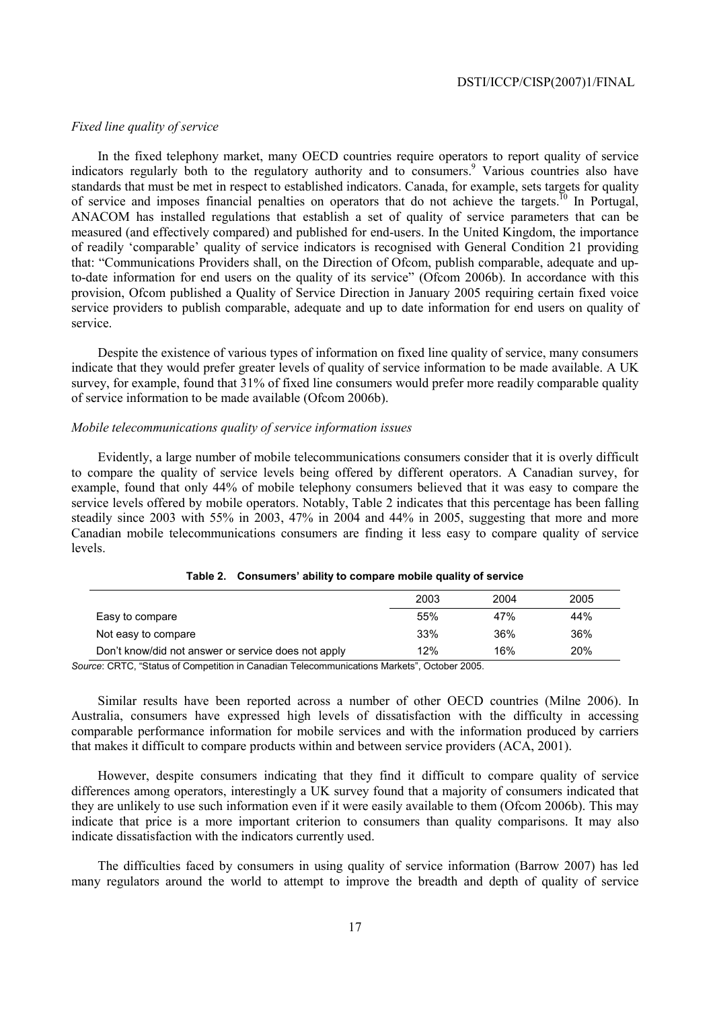### *Fixed line quality of service*

In the fixed telephony market, many OECD countries require operators to report quality of service indicators regularly both to the regulatory authority and to consumers.<sup>9</sup> Various countries also have standards that must be met in respect to established indicators. Canada, for example, sets targets for quality of service and imposes financial penalties on operators that do not achieve the targets.<sup>10</sup> In Portugal, ANACOM has installed regulations that establish a set of quality of service parameters that can be measured (and effectively compared) and published for end-users. In the United Kingdom, the importance of readily 'comparable' quality of service indicators is recognised with General Condition 21 providing that: "Communications Providers shall, on the Direction of Ofcom, publish comparable, adequate and upto-date information for end users on the quality of its service" (Ofcom 2006b). In accordance with this provision, Ofcom published a Quality of Service Direction in January 2005 requiring certain fixed voice service providers to publish comparable, adequate and up to date information for end users on quality of service.

Despite the existence of various types of information on fixed line quality of service, many consumers indicate that they would prefer greater levels of quality of service information to be made available. A UK survey, for example, found that 31% of fixed line consumers would prefer more readily comparable quality of service information to be made available (Ofcom 2006b).

#### *Mobile telecommunications quality of service information issues*

Evidently, a large number of mobile telecommunications consumers consider that it is overly difficult to compare the quality of service levels being offered by different operators. A Canadian survey, for example, found that only 44% of mobile telephony consumers believed that it was easy to compare the service levels offered by mobile operators. Notably, Table 2 indicates that this percentage has been falling steadily since 2003 with 55% in 2003, 47% in 2004 and 44% in 2005, suggesting that more and more Canadian mobile telecommunications consumers are finding it less easy to compare quality of service levels.

|                                                     | 2003 | 2004 | 2005 |
|-----------------------------------------------------|------|------|------|
| Easy to compare                                     | 55%  | 47%  | 44%  |
| Not easy to compare                                 | 33%  | 36%  | 36%  |
| Don't know/did not answer or service does not apply | 12%  | 16%  | 20%  |

*Source*: CRTC, "Status of Competition in Canadian Telecommunications Markets", October 2005.

Similar results have been reported across a number of other OECD countries (Milne 2006). In Australia, consumers have expressed high levels of dissatisfaction with the difficulty in accessing comparable performance information for mobile services and with the information produced by carriers that makes it difficult to compare products within and between service providers (ACA, 2001).

However, despite consumers indicating that they find it difficult to compare quality of service differences among operators, interestingly a UK survey found that a majority of consumers indicated that they are unlikely to use such information even if it were easily available to them (Ofcom 2006b). This may indicate that price is a more important criterion to consumers than quality comparisons. It may also indicate dissatisfaction with the indicators currently used.

The difficulties faced by consumers in using quality of service information (Barrow 2007) has led many regulators around the world to attempt to improve the breadth and depth of quality of service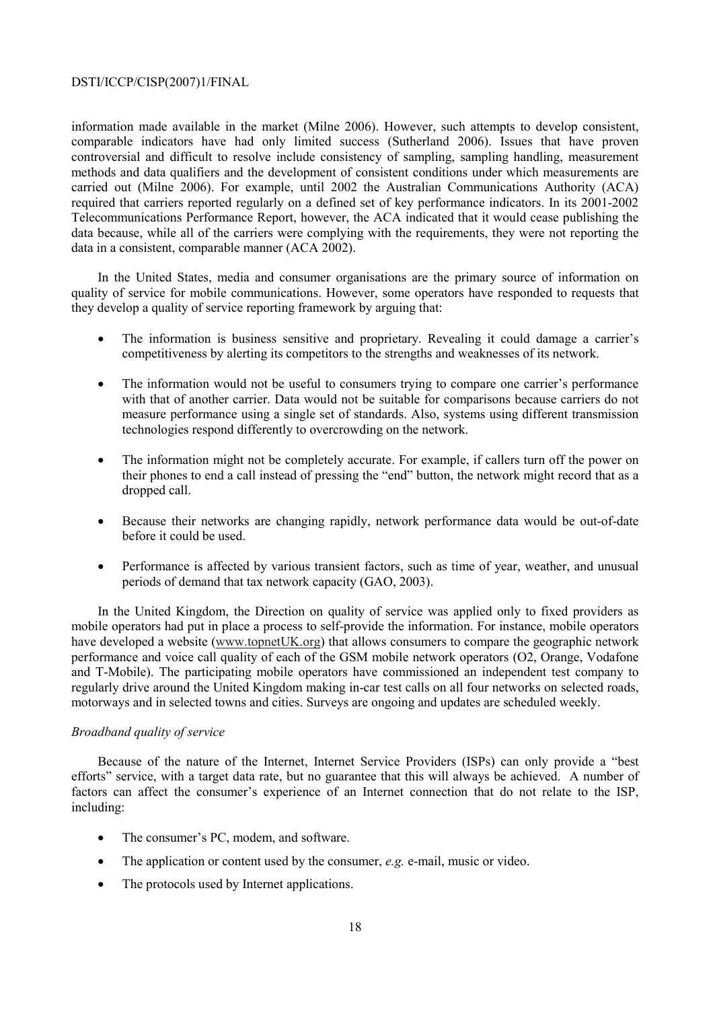information made available in the market (Milne 2006). However, such attempts to develop consistent, comparable indicators have had only limited success (Sutherland 2006). Issues that have proven controversial and difficult to resolve include consistency of sampling, sampling handling, measurement methods and data qualifiers and the development of consistent conditions under which measurements are carried out (Milne 2006). For example, until 2002 the Australian Communications Authority (ACA) required that carriers reported regularly on a defined set of key performance indicators. In its 2001-2002 Telecommunications Performance Report, however, the ACA indicated that it would cease publishing the data because, while all of the carriers were complying with the requirements, they were not reporting the data in a consistent, comparable manner (ACA 2002).

In the United States, media and consumer organisations are the primary source of information on quality of service for mobile communications. However, some operators have responded to requests that they develop a quality of service reporting framework by arguing that:

- The information is business sensitive and proprietary. Revealing it could damage a carrier's competitiveness by alerting its competitors to the strengths and weaknesses of its network.
- The information would not be useful to consumers trying to compare one carrier's performance with that of another carrier. Data would not be suitable for comparisons because carriers do not measure performance using a single set of standards. Also, systems using different transmission technologies respond differently to overcrowding on the network.
- The information might not be completely accurate. For example, if callers turn off the power on their phones to end a call instead of pressing the "end" button, the network might record that as a dropped call.
- Because their networks are changing rapidly, network performance data would be out-of-date before it could be used.
- Performance is affected by various transient factors, such as time of year, weather, and unusual periods of demand that tax network capacity (GAO, 2003).

In the United Kingdom, the Direction on quality of service was applied only to fixed providers as mobile operators had put in place a process to self-provide the information. For instance, mobile operators have developed a website (www.topnetUK.org) that allows consumers to compare the geographic network performance and voice call quality of each of the GSM mobile network operators (O2, Orange, Vodafone and T-Mobile). The participating mobile operators have commissioned an independent test company to regularly drive around the United Kingdom making in-car test calls on all four networks on selected roads, motorways and in selected towns and cities. Surveys are ongoing and updates are scheduled weekly.

### *Broadband quality of service*

Because of the nature of the Internet, Internet Service Providers (ISPs) can only provide a "best efforts" service, with a target data rate, but no guarantee that this will always be achieved. A number of factors can affect the consumer's experience of an Internet connection that do not relate to the ISP, including:

- The consumer's PC, modem, and software.
- The application or content used by the consumer, *e.g.* e-mail, music or video.
- The protocols used by Internet applications.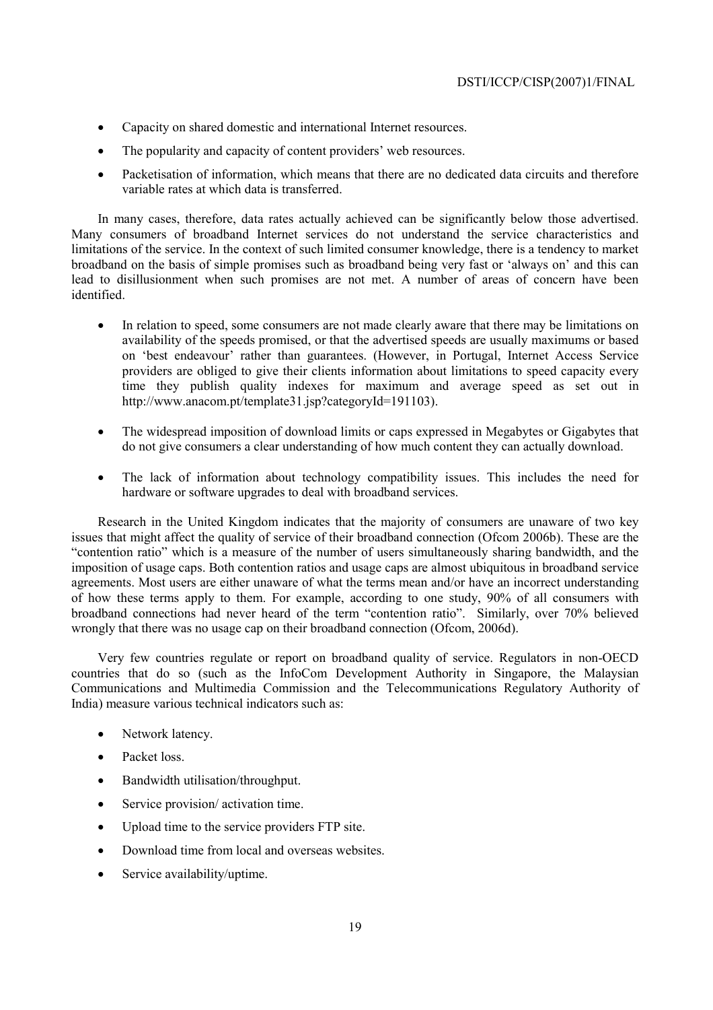- Capacity on shared domestic and international Internet resources.
- The popularity and capacity of content providers' web resources.
- Packetisation of information, which means that there are no dedicated data circuits and therefore variable rates at which data is transferred.

In many cases, therefore, data rates actually achieved can be significantly below those advertised. Many consumers of broadband Internet services do not understand the service characteristics and limitations of the service. In the context of such limited consumer knowledge, there is a tendency to market broadband on the basis of simple promises such as broadband being very fast or 'always on' and this can lead to disillusionment when such promises are not met. A number of areas of concern have been identified.

- In relation to speed, some consumers are not made clearly aware that there may be limitations on availability of the speeds promised, or that the advertised speeds are usually maximums or based on 'best endeavour' rather than guarantees. (However, in Portugal, Internet Access Service providers are obliged to give their clients information about limitations to speed capacity every time they publish quality indexes for maximum and average speed as set out in http://www.anacom.pt/template31.jsp?categoryId=191103).
- The widespread imposition of download limits or caps expressed in Megabytes or Gigabytes that do not give consumers a clear understanding of how much content they can actually download.
- The lack of information about technology compatibility issues. This includes the need for hardware or software upgrades to deal with broadband services.

Research in the United Kingdom indicates that the majority of consumers are unaware of two key issues that might affect the quality of service of their broadband connection (Ofcom 2006b). These are the "contention ratio" which is a measure of the number of users simultaneously sharing bandwidth, and the imposition of usage caps. Both contention ratios and usage caps are almost ubiquitous in broadband service agreements. Most users are either unaware of what the terms mean and/or have an incorrect understanding of how these terms apply to them. For example, according to one study, 90% of all consumers with broadband connections had never heard of the term "contention ratio". Similarly, over 70% believed wrongly that there was no usage cap on their broadband connection (Ofcom, 2006d).

Very few countries regulate or report on broadband quality of service. Regulators in non-OECD countries that do so (such as the InfoCom Development Authority in Singapore, the Malaysian Communications and Multimedia Commission and the Telecommunications Regulatory Authority of India) measure various technical indicators such as:

- Network latency.
- Packet loss.
- Bandwidth utilisation/throughput.
- Service provision/ activation time.
- Upload time to the service providers FTP site.
- Download time from local and overseas websites.
- Service availability/uptime.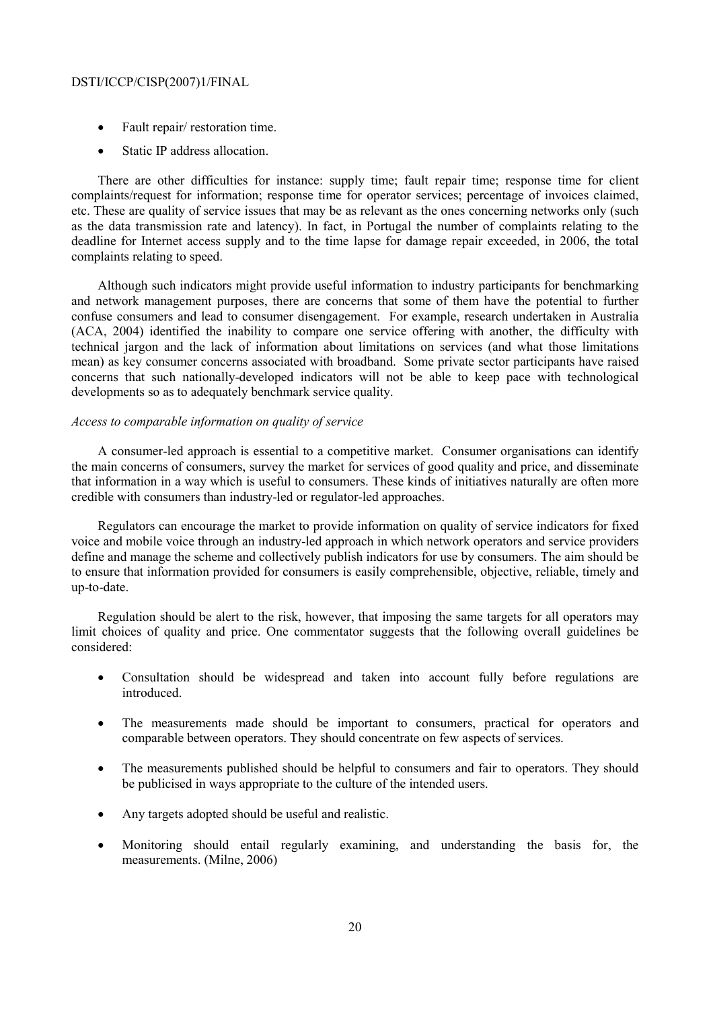- Fault repair/ restoration time.
- Static IP address allocation.

There are other difficulties for instance: supply time; fault repair time; response time for client complaints/request for information; response time for operator services; percentage of invoices claimed, etc. These are quality of service issues that may be as relevant as the ones concerning networks only (such as the data transmission rate and latency). In fact, in Portugal the number of complaints relating to the deadline for Internet access supply and to the time lapse for damage repair exceeded, in 2006, the total complaints relating to speed.

Although such indicators might provide useful information to industry participants for benchmarking and network management purposes, there are concerns that some of them have the potential to further confuse consumers and lead to consumer disengagement. For example, research undertaken in Australia (ACA, 2004) identified the inability to compare one service offering with another, the difficulty with technical jargon and the lack of information about limitations on services (and what those limitations mean) as key consumer concerns associated with broadband. Some private sector participants have raised concerns that such nationally-developed indicators will not be able to keep pace with technological developments so as to adequately benchmark service quality.

### *Access to comparable information on quality of service*

A consumer-led approach is essential to a competitive market. Consumer organisations can identify the main concerns of consumers, survey the market for services of good quality and price, and disseminate that information in a way which is useful to consumers. These kinds of initiatives naturally are often more credible with consumers than industry-led or regulator-led approaches.

Regulators can encourage the market to provide information on quality of service indicators for fixed voice and mobile voice through an industry-led approach in which network operators and service providers define and manage the scheme and collectively publish indicators for use by consumers. The aim should be to ensure that information provided for consumers is easily comprehensible, objective, reliable, timely and up-to-date.

Regulation should be alert to the risk, however, that imposing the same targets for all operators may limit choices of quality and price. One commentator suggests that the following overall guidelines be considered:

- Consultation should be widespread and taken into account fully before regulations are introduced.
- The measurements made should be important to consumers, practical for operators and comparable between operators. They should concentrate on few aspects of services.
- The measurements published should be helpful to consumers and fair to operators. They should be publicised in ways appropriate to the culture of the intended users.
- Any targets adopted should be useful and realistic.
- Monitoring should entail regularly examining, and understanding the basis for, the measurements. (Milne, 2006)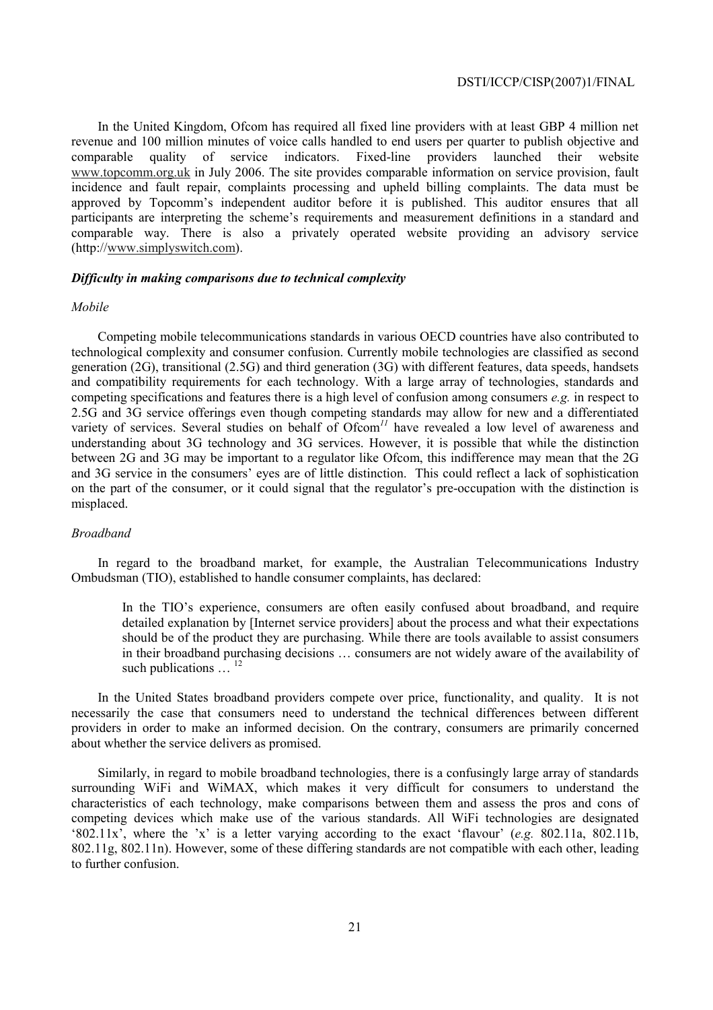In the United Kingdom, Ofcom has required all fixed line providers with at least GBP 4 million net revenue and 100 million minutes of voice calls handled to end users per quarter to publish objective and comparable quality of service indicators. Fixed-line providers launched their website www.topcomm.org.uk in July 2006. The site provides comparable information on service provision, fault incidence and fault repair, complaints processing and upheld billing complaints. The data must be approved by Topcomm's independent auditor before it is published. This auditor ensures that all participants are interpreting the scheme's requirements and measurement definitions in a standard and comparable way. There is also a privately operated website providing an advisory service (http://www.simplyswitch.com).

#### *Difficulty in making comparisons due to technical complexity*

#### *Mobile*

Competing mobile telecommunications standards in various OECD countries have also contributed to technological complexity and consumer confusion. Currently mobile technologies are classified as second generation (2G), transitional (2.5G) and third generation (3G) with different features, data speeds, handsets and compatibility requirements for each technology. With a large array of technologies, standards and competing specifications and features there is a high level of confusion among consumers *e.g.* in respect to 2.5G and 3G service offerings even though competing standards may allow for new and a differentiated variety of services. Several studies on behalf of Ofcom<sup>11</sup> have revealed a low level of awareness and understanding about 3G technology and 3G services. However, it is possible that while the distinction between 2G and 3G may be important to a regulator like Ofcom, this indifference may mean that the 2G and 3G service in the consumers' eyes are of little distinction. This could reflect a lack of sophistication on the part of the consumer, or it could signal that the regulator's pre-occupation with the distinction is misplaced.

## *Broadband*

In regard to the broadband market, for example, the Australian Telecommunications Industry Ombudsman (TIO), established to handle consumer complaints, has declared:

In the TIO's experience, consumers are often easily confused about broadband, and require detailed explanation by [Internet service providers] about the process and what their expectations should be of the product they are purchasing. While there are tools available to assist consumers in their broadband purchasing decisions … consumers are not widely aware of the availability of such publications  $\ldots$ <sup>12</sup>

In the United States broadband providers compete over price, functionality, and quality. It is not necessarily the case that consumers need to understand the technical differences between different providers in order to make an informed decision. On the contrary, consumers are primarily concerned about whether the service delivers as promised.

Similarly, in regard to mobile broadband technologies, there is a confusingly large array of standards surrounding WiFi and WiMAX, which makes it very difficult for consumers to understand the characteristics of each technology, make comparisons between them and assess the pros and cons of competing devices which make use of the various standards. All WiFi technologies are designated '802.11x', where the 'x' is a letter varying according to the exact 'flavour' (*e.g.* 802.11a, 802.11b, 802.11g, 802.11n). However, some of these differing standards are not compatible with each other, leading to further confusion.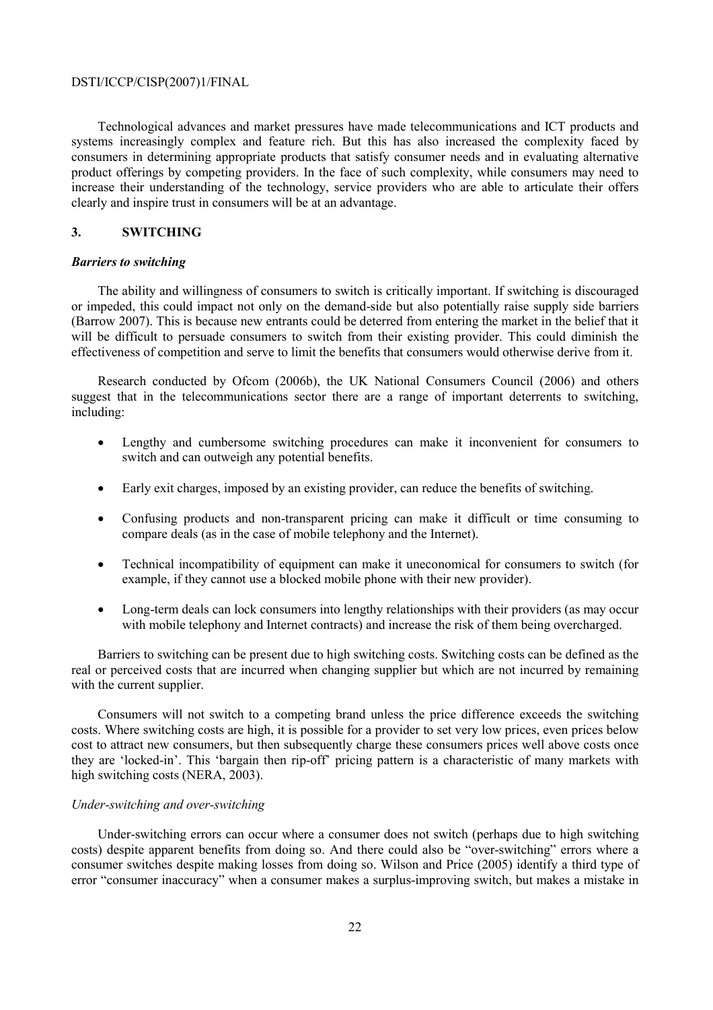Technological advances and market pressures have made telecommunications and ICT products and systems increasingly complex and feature rich. But this has also increased the complexity faced by consumers in determining appropriate products that satisfy consumer needs and in evaluating alternative product offerings by competing providers. In the face of such complexity, while consumers may need to increase their understanding of the technology, service providers who are able to articulate their offers clearly and inspire trust in consumers will be at an advantage.

## **3. SWITCHING**

### *Barriers to switching*

The ability and willingness of consumers to switch is critically important. If switching is discouraged or impeded, this could impact not only on the demand-side but also potentially raise supply side barriers (Barrow 2007). This is because new entrants could be deterred from entering the market in the belief that it will be difficult to persuade consumers to switch from their existing provider. This could diminish the effectiveness of competition and serve to limit the benefits that consumers would otherwise derive from it.

Research conducted by Ofcom (2006b), the UK National Consumers Council (2006) and others suggest that in the telecommunications sector there are a range of important deterrents to switching, including:

- Lengthy and cumbersome switching procedures can make it inconvenient for consumers to switch and can outweigh any potential benefits.
- Early exit charges, imposed by an existing provider, can reduce the benefits of switching.
- Confusing products and non-transparent pricing can make it difficult or time consuming to compare deals (as in the case of mobile telephony and the Internet).
- Technical incompatibility of equipment can make it uneconomical for consumers to switch (for example, if they cannot use a blocked mobile phone with their new provider).
- Long-term deals can lock consumers into lengthy relationships with their providers (as may occur with mobile telephony and Internet contracts) and increase the risk of them being overcharged.

Barriers to switching can be present due to high switching costs. Switching costs can be defined as the real or perceived costs that are incurred when changing supplier but which are not incurred by remaining with the current supplier.

Consumers will not switch to a competing brand unless the price difference exceeds the switching costs. Where switching costs are high, it is possible for a provider to set very low prices, even prices below cost to attract new consumers, but then subsequently charge these consumers prices well above costs once they are 'locked-in'. This 'bargain then rip-off' pricing pattern is a characteristic of many markets with high switching costs (NERA, 2003).

## *Under-switching and over-switching*

Under-switching errors can occur where a consumer does not switch (perhaps due to high switching costs) despite apparent benefits from doing so. And there could also be "over-switching" errors where a consumer switches despite making losses from doing so. Wilson and Price (2005) identify a third type of error "consumer inaccuracy" when a consumer makes a surplus-improving switch, but makes a mistake in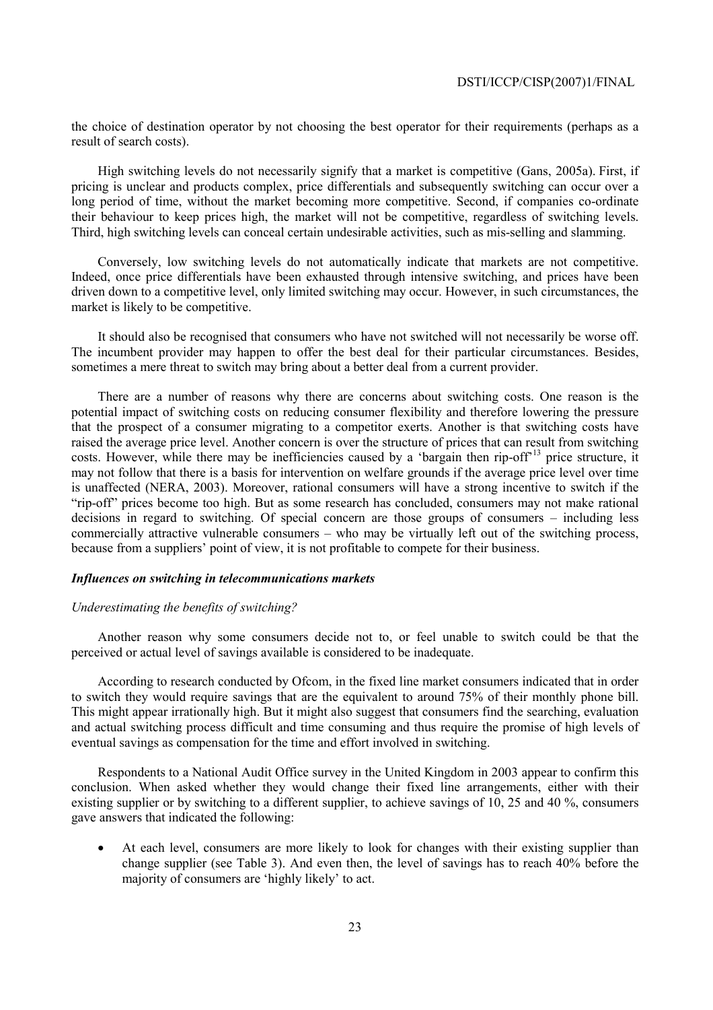the choice of destination operator by not choosing the best operator for their requirements (perhaps as a result of search costs).

High switching levels do not necessarily signify that a market is competitive (Gans, 2005a). First, if pricing is unclear and products complex, price differentials and subsequently switching can occur over a long period of time, without the market becoming more competitive. Second, if companies co-ordinate their behaviour to keep prices high, the market will not be competitive, regardless of switching levels. Third, high switching levels can conceal certain undesirable activities, such as mis-selling and slamming.

Conversely, low switching levels do not automatically indicate that markets are not competitive. Indeed, once price differentials have been exhausted through intensive switching, and prices have been driven down to a competitive level, only limited switching may occur. However, in such circumstances, the market is likely to be competitive.

It should also be recognised that consumers who have not switched will not necessarily be worse off. The incumbent provider may happen to offer the best deal for their particular circumstances. Besides, sometimes a mere threat to switch may bring about a better deal from a current provider.

There are a number of reasons why there are concerns about switching costs. One reason is the potential impact of switching costs on reducing consumer flexibility and therefore lowering the pressure that the prospect of a consumer migrating to a competitor exerts. Another is that switching costs have raised the average price level. Another concern is over the structure of prices that can result from switching costs. However, while there may be inefficiencies caused by a 'bargain then rip-off'13 price structure, it may not follow that there is a basis for intervention on welfare grounds if the average price level over time is unaffected (NERA, 2003). Moreover, rational consumers will have a strong incentive to switch if the "rip-off" prices become too high. But as some research has concluded, consumers may not make rational decisions in regard to switching. Of special concern are those groups of consumers – including less commercially attractive vulnerable consumers – who may be virtually left out of the switching process, because from a suppliers' point of view, it is not profitable to compete for their business.

#### *Influences on switching in telecommunications markets*

#### *Underestimating the benefits of switching?*

Another reason why some consumers decide not to, or feel unable to switch could be that the perceived or actual level of savings available is considered to be inadequate.

According to research conducted by Ofcom, in the fixed line market consumers indicated that in order to switch they would require savings that are the equivalent to around 75% of their monthly phone bill. This might appear irrationally high. But it might also suggest that consumers find the searching, evaluation and actual switching process difficult and time consuming and thus require the promise of high levels of eventual savings as compensation for the time and effort involved in switching.

Respondents to a National Audit Office survey in the United Kingdom in 2003 appear to confirm this conclusion. When asked whether they would change their fixed line arrangements, either with their existing supplier or by switching to a different supplier, to achieve savings of 10, 25 and 40 %, consumers gave answers that indicated the following:

• At each level, consumers are more likely to look for changes with their existing supplier than change supplier (see Table 3). And even then, the level of savings has to reach 40% before the majority of consumers are 'highly likely' to act.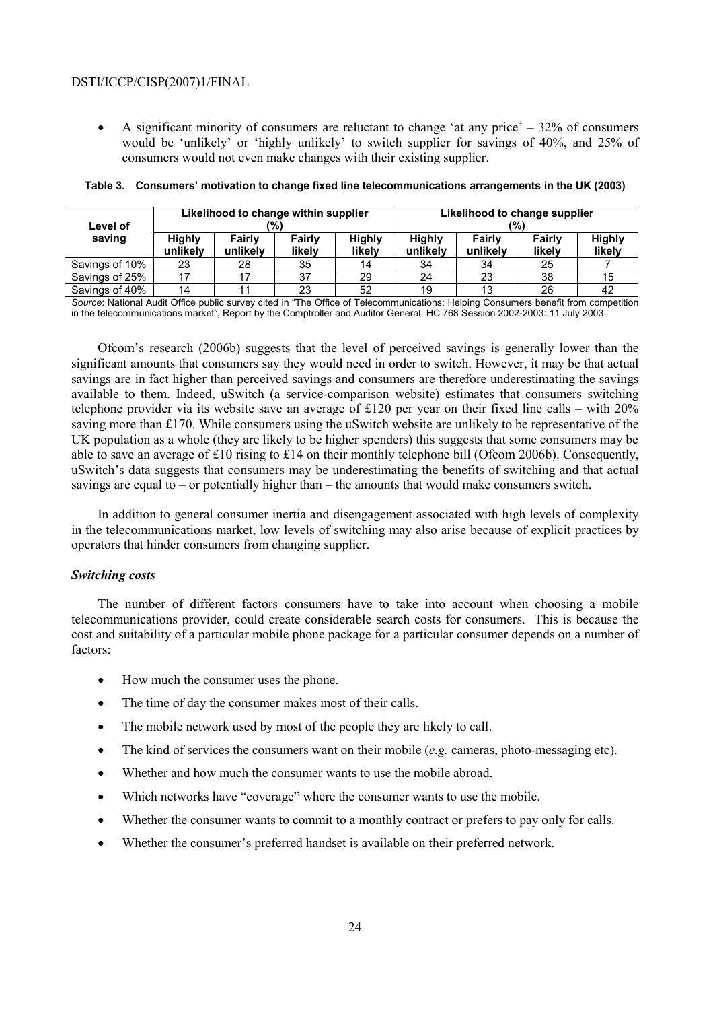• A significant minority of consumers are reluctant to change 'at any price'  $-32\%$  of consumers would be 'unlikely' or 'highly unlikely' to switch supplier for savings of 40%, and 25% of consumers would not even make changes with their existing supplier.

| Likelihood to change within supplier<br>'%)<br>Level of |                           |                    | Likelihood to change supplier<br>(%) |                         |                           |                    |                  |                         |
|---------------------------------------------------------|---------------------------|--------------------|--------------------------------------|-------------------------|---------------------------|--------------------|------------------|-------------------------|
| saving                                                  | <b>Highly</b><br>unlikely | Fairly<br>unlikely | Fairly<br>likelv                     | <b>Highly</b><br>likely | <b>Highly</b><br>unlikely | Fairly<br>unlikely | Fairly<br>likelv | <b>Highly</b><br>likely |
| Savings of 10%                                          | 23                        | 28                 | 35                                   |                         | 34                        | 34                 | 25               |                         |
| Savings of 25%                                          |                           |                    | 37                                   | 29                      | 24                        | 23                 | 38               | 15                      |
| Savings of 40%                                          | 14                        |                    | 23                                   | 52                      | 19                        | 13                 | 26               | 42                      |

#### **Table 3. Consumers' motivation to change fixed line telecommunications arrangements in the UK (2003)**

*Source*: National Audit Office public survey cited in "The Office of Telecommunications: Helping Consumers benefit from competition in the telecommunications market", Report by the Comptroller and Auditor General. HC 768 Session 2002-2003: 11 July 2003.

Ofcom's research (2006b) suggests that the level of perceived savings is generally lower than the significant amounts that consumers say they would need in order to switch. However, it may be that actual savings are in fact higher than perceived savings and consumers are therefore underestimating the savings available to them. Indeed, uSwitch (a service-comparison website) estimates that consumers switching telephone provider via its website save an average of £120 per year on their fixed line calls – with 20% saving more than £170. While consumers using the uSwitch website are unlikely to be representative of the UK population as a whole (they are likely to be higher spenders) this suggests that some consumers may be able to save an average of £10 rising to £14 on their monthly telephone bill (Ofcom 2006b). Consequently, uSwitch's data suggests that consumers may be underestimating the benefits of switching and that actual savings are equal to – or potentially higher than – the amounts that would make consumers switch.

In addition to general consumer inertia and disengagement associated with high levels of complexity in the telecommunications market, low levels of switching may also arise because of explicit practices by operators that hinder consumers from changing supplier.

## *Switching costs*

The number of different factors consumers have to take into account when choosing a mobile telecommunications provider, could create considerable search costs for consumers. This is because the cost and suitability of a particular mobile phone package for a particular consumer depends on a number of factors:

- How much the consumer uses the phone.
- The time of day the consumer makes most of their calls.
- The mobile network used by most of the people they are likely to call.
- The kind of services the consumers want on their mobile (*e.g.* cameras, photo-messaging etc).
- Whether and how much the consumer wants to use the mobile abroad.
- Which networks have "coverage" where the consumer wants to use the mobile.
- Whether the consumer wants to commit to a monthly contract or prefers to pay only for calls.
- Whether the consumer's preferred handset is available on their preferred network.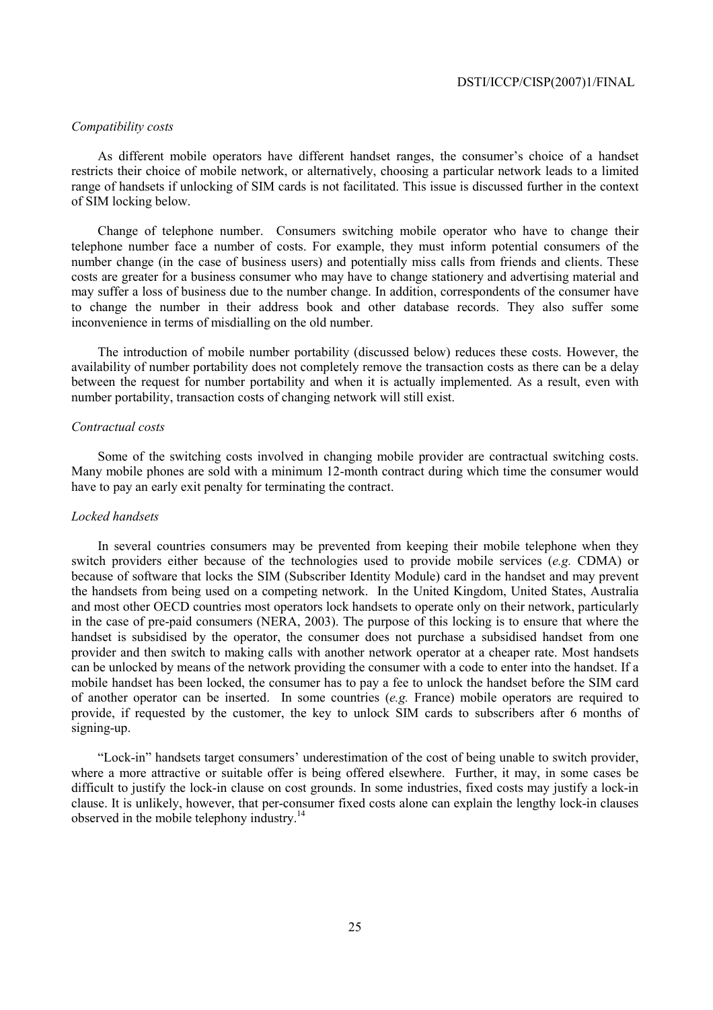## *Compatibility costs*

As different mobile operators have different handset ranges, the consumer's choice of a handset restricts their choice of mobile network, or alternatively, choosing a particular network leads to a limited range of handsets if unlocking of SIM cards is not facilitated. This issue is discussed further in the context of SIM locking below.

Change of telephone number. Consumers switching mobile operator who have to change their telephone number face a number of costs. For example, they must inform potential consumers of the number change (in the case of business users) and potentially miss calls from friends and clients. These costs are greater for a business consumer who may have to change stationery and advertising material and may suffer a loss of business due to the number change. In addition, correspondents of the consumer have to change the number in their address book and other database records. They also suffer some inconvenience in terms of misdialling on the old number.

The introduction of mobile number portability (discussed below) reduces these costs. However, the availability of number portability does not completely remove the transaction costs as there can be a delay between the request for number portability and when it is actually implemented. As a result, even with number portability, transaction costs of changing network will still exist.

#### *Contractual costs*

Some of the switching costs involved in changing mobile provider are contractual switching costs. Many mobile phones are sold with a minimum 12-month contract during which time the consumer would have to pay an early exit penalty for terminating the contract.

### *Locked handsets*

In several countries consumers may be prevented from keeping their mobile telephone when they switch providers either because of the technologies used to provide mobile services (*e.g.* CDMA) or because of software that locks the SIM (Subscriber Identity Module) card in the handset and may prevent the handsets from being used on a competing network. In the United Kingdom, United States, Australia and most other OECD countries most operators lock handsets to operate only on their network, particularly in the case of pre-paid consumers (NERA, 2003). The purpose of this locking is to ensure that where the handset is subsidised by the operator, the consumer does not purchase a subsidised handset from one provider and then switch to making calls with another network operator at a cheaper rate. Most handsets can be unlocked by means of the network providing the consumer with a code to enter into the handset. If a mobile handset has been locked, the consumer has to pay a fee to unlock the handset before the SIM card of another operator can be inserted. In some countries (*e.g.* France) mobile operators are required to provide, if requested by the customer, the key to unlock SIM cards to subscribers after 6 months of signing-up.

"Lock-in" handsets target consumers' underestimation of the cost of being unable to switch provider, where a more attractive or suitable offer is being offered elsewhere. Further, it may, in some cases be difficult to justify the lock-in clause on cost grounds. In some industries, fixed costs may justify a lock-in clause. It is unlikely, however, that per-consumer fixed costs alone can explain the lengthy lock-in clauses observed in the mobile telephony industry.<sup>14</sup>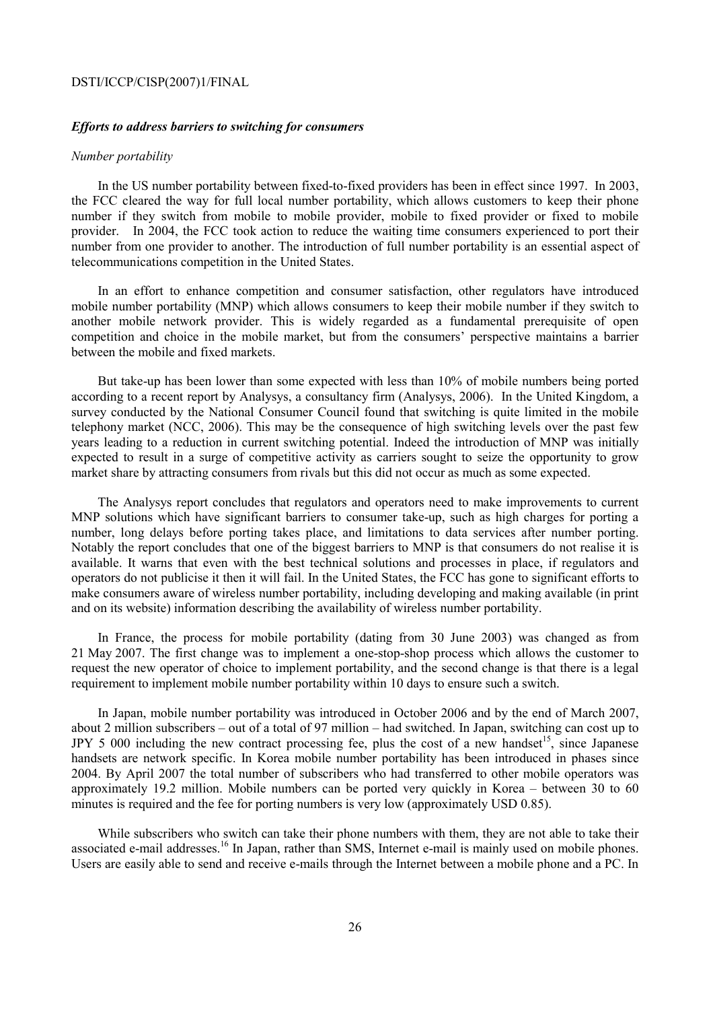### *Efforts to address barriers to switching for consumers*

#### *Number portability*

In the US number portability between fixed-to-fixed providers has been in effect since 1997. In 2003, the FCC cleared the way for full local number portability, which allows customers to keep their phone number if they switch from mobile to mobile provider, mobile to fixed provider or fixed to mobile provider. In 2004, the FCC took action to reduce the waiting time consumers experienced to port their number from one provider to another. The introduction of full number portability is an essential aspect of telecommunications competition in the United States.

In an effort to enhance competition and consumer satisfaction, other regulators have introduced mobile number portability (MNP) which allows consumers to keep their mobile number if they switch to another mobile network provider. This is widely regarded as a fundamental prerequisite of open competition and choice in the mobile market, but from the consumers' perspective maintains a barrier between the mobile and fixed markets.

But take-up has been lower than some expected with less than 10% of mobile numbers being ported according to a recent report by Analysys, a consultancy firm (Analysys, 2006). In the United Kingdom, a survey conducted by the National Consumer Council found that switching is quite limited in the mobile telephony market (NCC, 2006). This may be the consequence of high switching levels over the past few years leading to a reduction in current switching potential. Indeed the introduction of MNP was initially expected to result in a surge of competitive activity as carriers sought to seize the opportunity to grow market share by attracting consumers from rivals but this did not occur as much as some expected.

The Analysys report concludes that regulators and operators need to make improvements to current MNP solutions which have significant barriers to consumer take-up, such as high charges for porting a number, long delays before porting takes place, and limitations to data services after number porting. Notably the report concludes that one of the biggest barriers to MNP is that consumers do not realise it is available. It warns that even with the best technical solutions and processes in place, if regulators and operators do not publicise it then it will fail. In the United States, the FCC has gone to significant efforts to make consumers aware of wireless number portability, including developing and making available (in print and on its website) information describing the availability of wireless number portability.

In France, the process for mobile portability (dating from 30 June 2003) was changed as from 21 May 2007. The first change was to implement a one-stop-shop process which allows the customer to request the new operator of choice to implement portability, and the second change is that there is a legal requirement to implement mobile number portability within 10 days to ensure such a switch.

In Japan, mobile number portability was introduced in October 2006 and by the end of March 2007, about 2 million subscribers – out of a total of 97 million – had switched. In Japan, switching can cost up to JPY 5 000 including the new contract processing fee, plus the cost of a new handset<sup>15</sup>, since Japanese handsets are network specific. In Korea mobile number portability has been introduced in phases since 2004. By April 2007 the total number of subscribers who had transferred to other mobile operators was approximately 19.2 million. Mobile numbers can be ported very quickly in Korea – between 30 to 60 minutes is required and the fee for porting numbers is very low (approximately USD 0.85).

While subscribers who switch can take their phone numbers with them, they are not able to take their associated e-mail addresses.<sup>16</sup> In Japan, rather than SMS, Internet e-mail is mainly used on mobile phones. Users are easily able to send and receive e-mails through the Internet between a mobile phone and a PC. In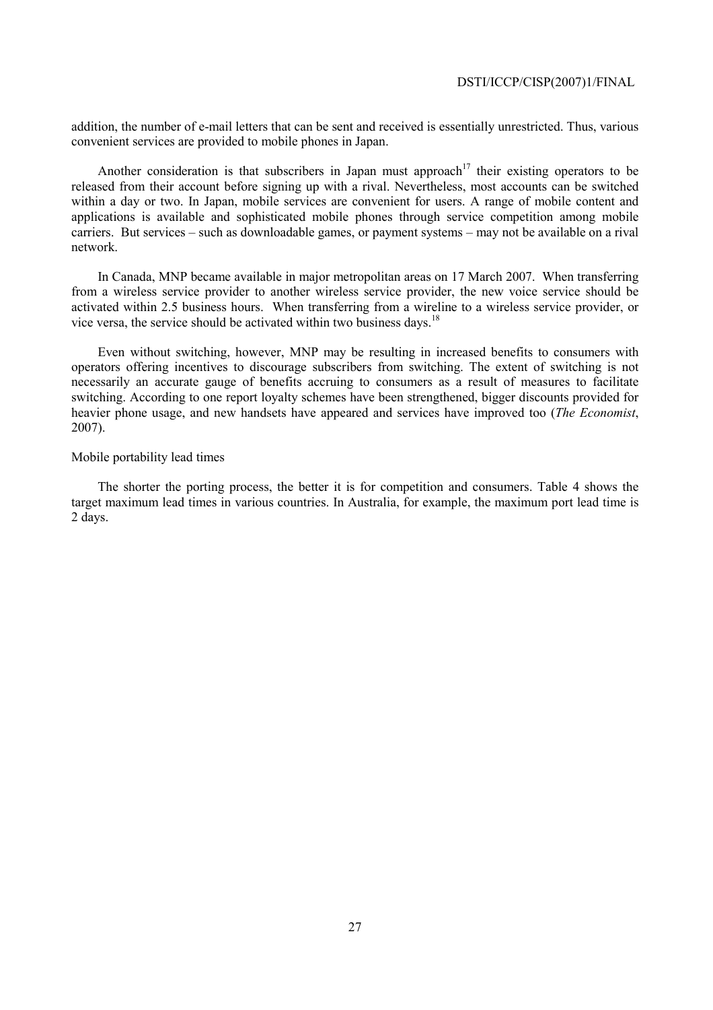addition, the number of e-mail letters that can be sent and received is essentially unrestricted. Thus, various convenient services are provided to mobile phones in Japan.

Another consideration is that subscribers in Japan must approach<sup>17</sup> their existing operators to be released from their account before signing up with a rival. Nevertheless, most accounts can be switched within a day or two. In Japan, mobile services are convenient for users. A range of mobile content and applications is available and sophisticated mobile phones through service competition among mobile carriers. But services – such as downloadable games, or payment systems – may not be available on a rival network.

In Canada, MNP became available in major metropolitan areas on 17 March 2007. When transferring from a wireless service provider to another wireless service provider, the new voice service should be activated within 2.5 business hours. When transferring from a wireline to a wireless service provider, or vice versa, the service should be activated within two business days.18

Even without switching, however, MNP may be resulting in increased benefits to consumers with operators offering incentives to discourage subscribers from switching. The extent of switching is not necessarily an accurate gauge of benefits accruing to consumers as a result of measures to facilitate switching. According to one report loyalty schemes have been strengthened, bigger discounts provided for heavier phone usage, and new handsets have appeared and services have improved too (*The Economist*, 2007).

## Mobile portability lead times

The shorter the porting process, the better it is for competition and consumers. Table 4 shows the target maximum lead times in various countries. In Australia, for example, the maximum port lead time is 2 days.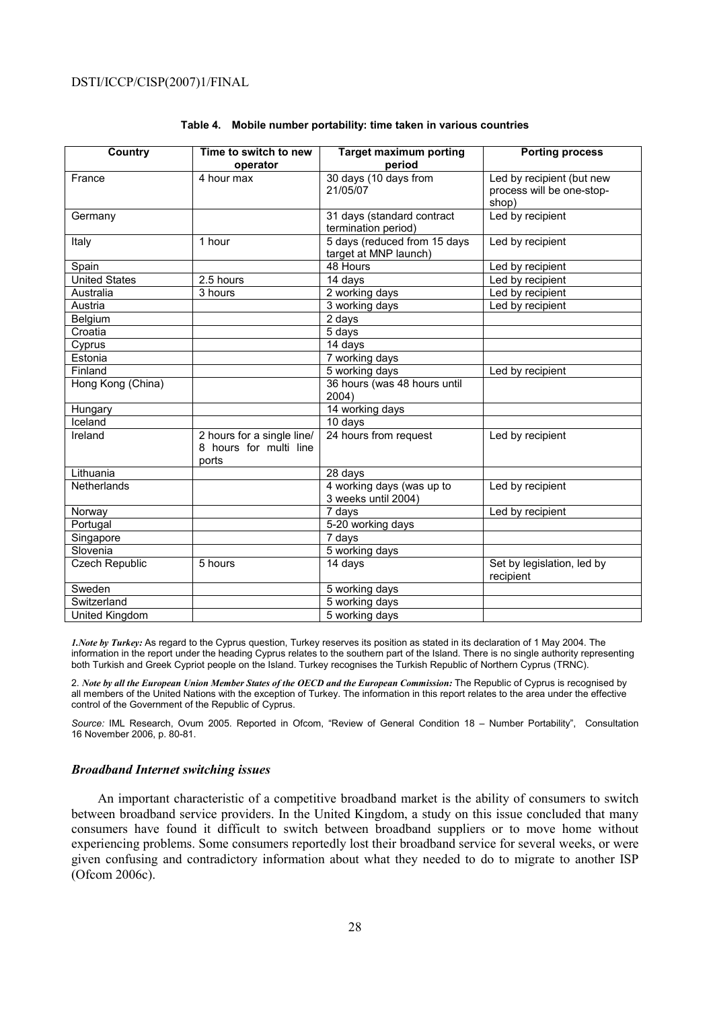| <b>Country</b>        | Time to switch to new<br>operator                             | <b>Target maximum porting</b><br>period               | <b>Porting process</b>                                          |
|-----------------------|---------------------------------------------------------------|-------------------------------------------------------|-----------------------------------------------------------------|
| France                | 4 hour max                                                    | 30 days (10 days from<br>21/05/07                     | Led by recipient (but new<br>process will be one-stop-<br>shop) |
| Germany               |                                                               | 31 days (standard contract<br>termination period)     | Led by recipient                                                |
| Italy                 | 1 hour                                                        | 5 days (reduced from 15 days<br>target at MNP launch) | Led by recipient                                                |
| Spain                 |                                                               | 48 Hours                                              | Led by recipient                                                |
| <b>United States</b>  | 2.5 hours                                                     | 14 days                                               | Led by recipient                                                |
| Australia             | 3 hours                                                       | 2 working days                                        | Led by recipient                                                |
| Austria               |                                                               | 3 working days                                        | Led by recipient                                                |
| Belgium               |                                                               | 2 days                                                |                                                                 |
| Croatia               |                                                               | 5 days                                                |                                                                 |
| Cyprus                |                                                               | 14 days                                               |                                                                 |
| Estonia               |                                                               | $\frac{1}{7}$ working days                            |                                                                 |
| Finland               |                                                               | 5 working days                                        | Led by recipient                                                |
| Hong Kong (China)     |                                                               | 36 hours (was 48 hours until<br>2004)                 |                                                                 |
| Hungary               |                                                               | 14 working days                                       |                                                                 |
| Iceland               |                                                               | 10 days                                               |                                                                 |
| Ireland               | 2 hours for a single line/<br>8 hours for multi line<br>ports | 24 hours from request                                 | Led by recipient                                                |
| Lithuania             |                                                               | 28 days                                               |                                                                 |
| Netherlands           |                                                               | 4 working days (was up to<br>3 weeks until 2004)      | Led by recipient                                                |
| Norway                |                                                               | 7 days                                                | Led by recipient                                                |
| Portugal              |                                                               | 5-20 working days                                     |                                                                 |
| Singapore             |                                                               | 7 days                                                |                                                                 |
| Slovenia              |                                                               | 5 working days                                        |                                                                 |
| <b>Czech Republic</b> | 5 hours                                                       | 14 days                                               | Set by legislation, led by<br>recipient                         |
| Sweden                |                                                               | 5 working days                                        |                                                                 |
| Switzerland           |                                                               | 5 working days                                        |                                                                 |
| United Kingdom        |                                                               | 5 working days                                        |                                                                 |

#### **Table 4. Mobile number portability: time taken in various countries**

*1.Note by Turkey:* As regard to the Cyprus question, Turkey reserves its position as stated in its declaration of 1 May 2004. The information in the report under the heading Cyprus relates to the southern part of the Island. There is no single authority representing both Turkish and Greek Cypriot people on the Island. Turkey recognises the Turkish Republic of Northern Cyprus (TRNC).

2. *Note by all the European Union Member States of the OECD and the European Commission:* The Republic of Cyprus is recognised by all members of the United Nations with the exception of Turkey. The information in this report relates to the area under the effective control of the Government of the Republic of Cyprus.

*Source:* IML Research, Ovum 2005. Reported in Ofcom, "Review of General Condition 18 – Number Portability", Consultation 16 November 2006, p. 80-81.

#### *Broadband Internet switching issues*

An important characteristic of a competitive broadband market is the ability of consumers to switch between broadband service providers. In the United Kingdom, a study on this issue concluded that many consumers have found it difficult to switch between broadband suppliers or to move home without experiencing problems. Some consumers reportedly lost their broadband service for several weeks, or were given confusing and contradictory information about what they needed to do to migrate to another ISP (Ofcom 2006c).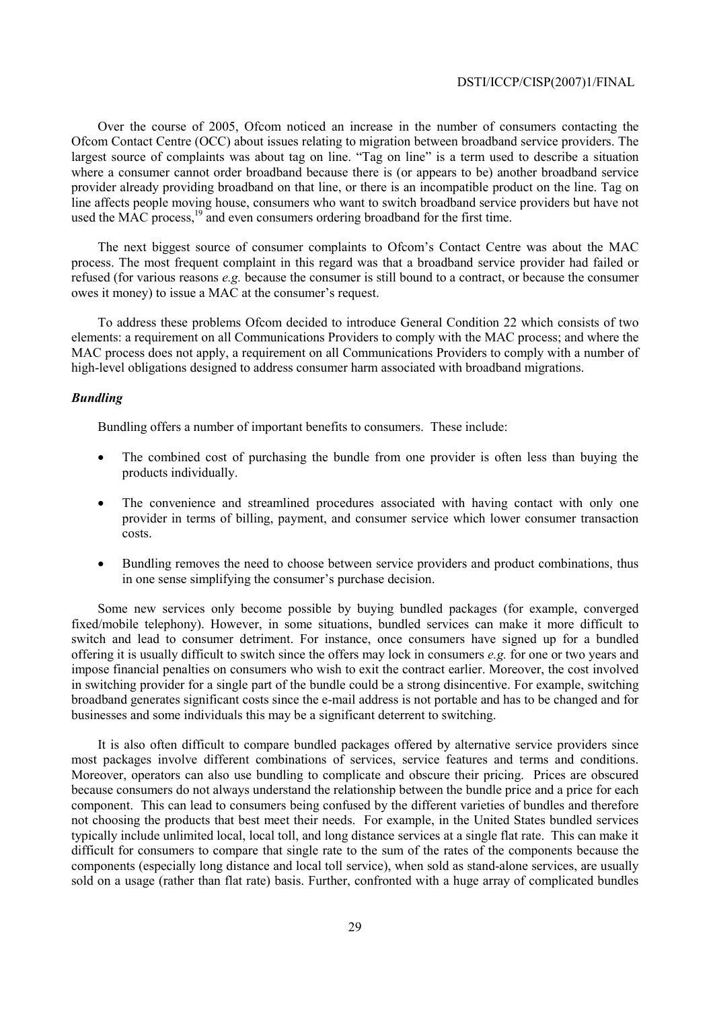Over the course of 2005, Ofcom noticed an increase in the number of consumers contacting the Ofcom Contact Centre (OCC) about issues relating to migration between broadband service providers. The largest source of complaints was about tag on line. "Tag on line" is a term used to describe a situation where a consumer cannot order broadband because there is (or appears to be) another broadband service provider already providing broadband on that line, or there is an incompatible product on the line. Tag on line affects people moving house, consumers who want to switch broadband service providers but have not used the MAC process,  $^{19}$  and even consumers ordering broadband for the first time.

The next biggest source of consumer complaints to Ofcom's Contact Centre was about the MAC process. The most frequent complaint in this regard was that a broadband service provider had failed or refused (for various reasons *e.g.* because the consumer is still bound to a contract, or because the consumer owes it money) to issue a MAC at the consumer's request.

To address these problems Ofcom decided to introduce General Condition 22 which consists of two elements: a requirement on all Communications Providers to comply with the MAC process; and where the MAC process does not apply, a requirement on all Communications Providers to comply with a number of high-level obligations designed to address consumer harm associated with broadband migrations.

## *Bundling*

Bundling offers a number of important benefits to consumers. These include:

- The combined cost of purchasing the bundle from one provider is often less than buying the products individually.
- The convenience and streamlined procedures associated with having contact with only one provider in terms of billing, payment, and consumer service which lower consumer transaction costs.
- Bundling removes the need to choose between service providers and product combinations, thus in one sense simplifying the consumer's purchase decision.

Some new services only become possible by buying bundled packages (for example, converged fixed/mobile telephony). However, in some situations, bundled services can make it more difficult to switch and lead to consumer detriment. For instance, once consumers have signed up for a bundled offering it is usually difficult to switch since the offers may lock in consumers *e.g.* for one or two years and impose financial penalties on consumers who wish to exit the contract earlier. Moreover, the cost involved in switching provider for a single part of the bundle could be a strong disincentive. For example, switching broadband generates significant costs since the e-mail address is not portable and has to be changed and for businesses and some individuals this may be a significant deterrent to switching.

It is also often difficult to compare bundled packages offered by alternative service providers since most packages involve different combinations of services, service features and terms and conditions. Moreover, operators can also use bundling to complicate and obscure their pricing. Prices are obscured because consumers do not always understand the relationship between the bundle price and a price for each component. This can lead to consumers being confused by the different varieties of bundles and therefore not choosing the products that best meet their needs. For example, in the United States bundled services typically include unlimited local, local toll, and long distance services at a single flat rate. This can make it difficult for consumers to compare that single rate to the sum of the rates of the components because the components (especially long distance and local toll service), when sold as stand-alone services, are usually sold on a usage (rather than flat rate) basis. Further, confronted with a huge array of complicated bundles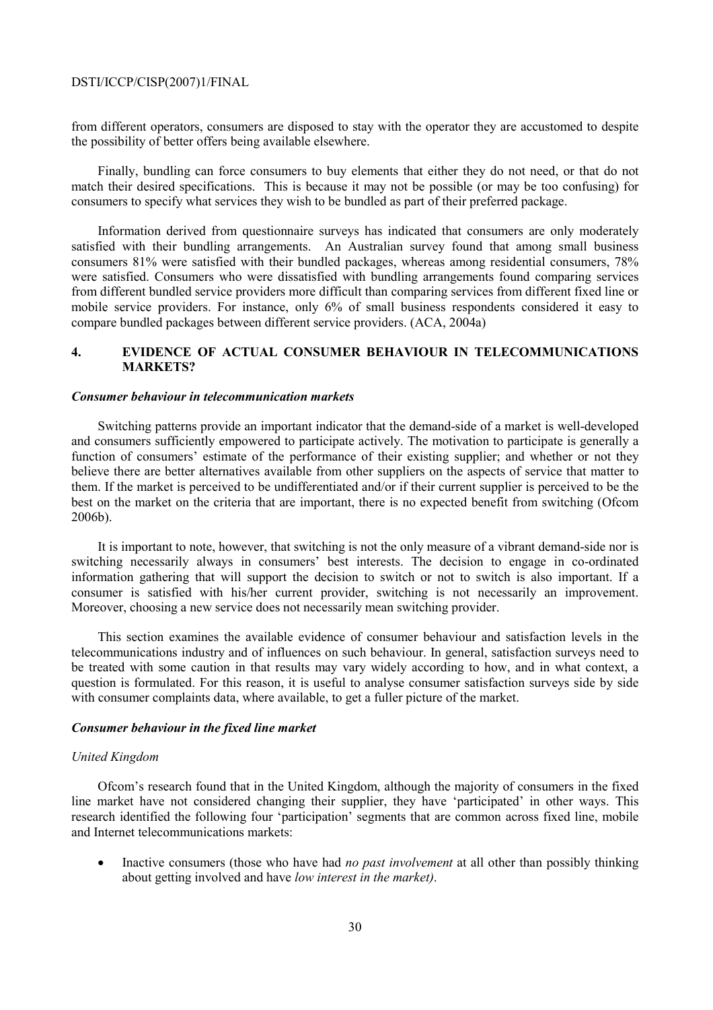from different operators, consumers are disposed to stay with the operator they are accustomed to despite the possibility of better offers being available elsewhere.

Finally, bundling can force consumers to buy elements that either they do not need, or that do not match their desired specifications. This is because it may not be possible (or may be too confusing) for consumers to specify what services they wish to be bundled as part of their preferred package.

Information derived from questionnaire surveys has indicated that consumers are only moderately satisfied with their bundling arrangements. An Australian survey found that among small business consumers 81% were satisfied with their bundled packages, whereas among residential consumers, 78% were satisfied. Consumers who were dissatisfied with bundling arrangements found comparing services from different bundled service providers more difficult than comparing services from different fixed line or mobile service providers. For instance, only 6% of small business respondents considered it easy to compare bundled packages between different service providers. (ACA, 2004a)

## **4. EVIDENCE OF ACTUAL CONSUMER BEHAVIOUR IN TELECOMMUNICATIONS MARKETS?**

### *Consumer behaviour in telecommunication markets*

Switching patterns provide an important indicator that the demand-side of a market is well-developed and consumers sufficiently empowered to participate actively. The motivation to participate is generally a function of consumers' estimate of the performance of their existing supplier; and whether or not they believe there are better alternatives available from other suppliers on the aspects of service that matter to them. If the market is perceived to be undifferentiated and/or if their current supplier is perceived to be the best on the market on the criteria that are important, there is no expected benefit from switching (Ofcom 2006b).

It is important to note, however, that switching is not the only measure of a vibrant demand-side nor is switching necessarily always in consumers' best interests. The decision to engage in co-ordinated information gathering that will support the decision to switch or not to switch is also important. If a consumer is satisfied with his/her current provider, switching is not necessarily an improvement. Moreover, choosing a new service does not necessarily mean switching provider.

This section examines the available evidence of consumer behaviour and satisfaction levels in the telecommunications industry and of influences on such behaviour. In general, satisfaction surveys need to be treated with some caution in that results may vary widely according to how, and in what context, a question is formulated. For this reason, it is useful to analyse consumer satisfaction surveys side by side with consumer complaints data, where available, to get a fuller picture of the market.

## *Consumer behaviour in the fixed line market*

### *United Kingdom*

Ofcom's research found that in the United Kingdom, although the majority of consumers in the fixed line market have not considered changing their supplier, they have 'participated' in other ways. This research identified the following four 'participation' segments that are common across fixed line, mobile and Internet telecommunications markets:

• Inactive consumers (those who have had *no past involvement* at all other than possibly thinking about getting involved and have *low interest in the market)*.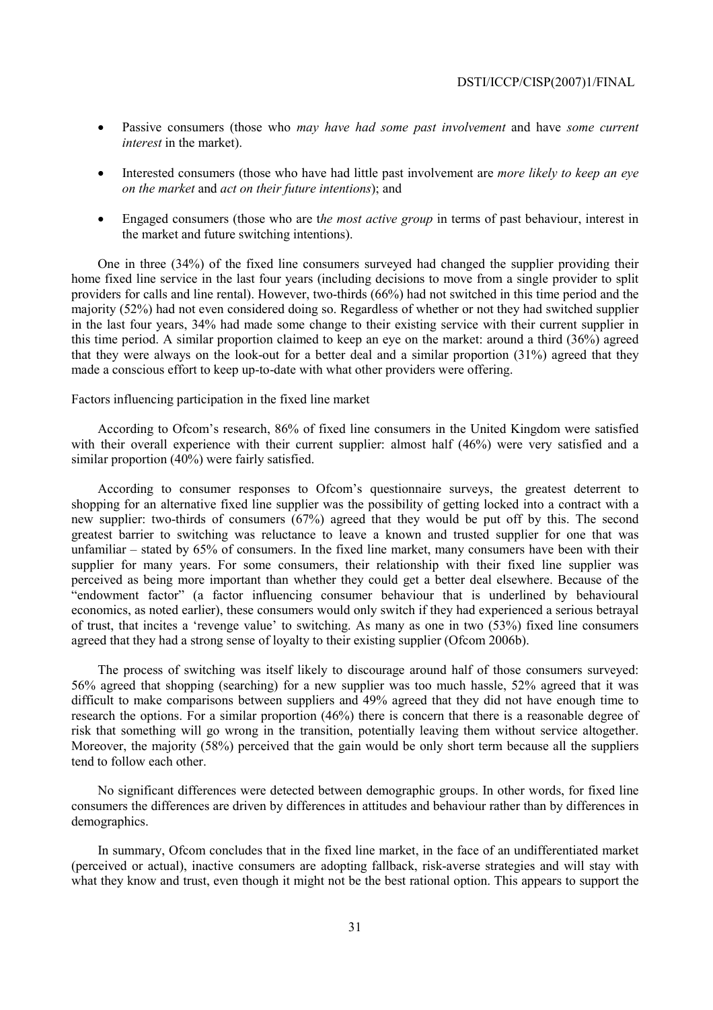- Passive consumers (those who *may have had some past involvement* and have *some current interest* in the market).
- Interested consumers (those who have had little past involvement are *more likely to keep an eye on the market* and *act on their future intentions*); and
- Engaged consumers (those who are t*he most active group* in terms of past behaviour, interest in the market and future switching intentions).

One in three (34%) of the fixed line consumers surveyed had changed the supplier providing their home fixed line service in the last four years (including decisions to move from a single provider to split providers for calls and line rental). However, two-thirds (66%) had not switched in this time period and the majority (52%) had not even considered doing so. Regardless of whether or not they had switched supplier in the last four years, 34% had made some change to their existing service with their current supplier in this time period. A similar proportion claimed to keep an eye on the market: around a third (36%) agreed that they were always on the look-out for a better deal and a similar proportion (31%) agreed that they made a conscious effort to keep up-to-date with what other providers were offering.

## Factors influencing participation in the fixed line market

According to Ofcom's research, 86% of fixed line consumers in the United Kingdom were satisfied with their overall experience with their current supplier: almost half (46%) were very satisfied and a similar proportion (40%) were fairly satisfied.

According to consumer responses to Ofcom's questionnaire surveys, the greatest deterrent to shopping for an alternative fixed line supplier was the possibility of getting locked into a contract with a new supplier: two-thirds of consumers (67%) agreed that they would be put off by this. The second greatest barrier to switching was reluctance to leave a known and trusted supplier for one that was unfamiliar – stated by 65% of consumers. In the fixed line market, many consumers have been with their supplier for many years. For some consumers, their relationship with their fixed line supplier was perceived as being more important than whether they could get a better deal elsewhere. Because of the "endowment factor" (a factor influencing consumer behaviour that is underlined by behavioural economics, as noted earlier), these consumers would only switch if they had experienced a serious betrayal of trust, that incites a 'revenge value' to switching. As many as one in two (53%) fixed line consumers agreed that they had a strong sense of loyalty to their existing supplier (Ofcom 2006b).

The process of switching was itself likely to discourage around half of those consumers surveyed: 56% agreed that shopping (searching) for a new supplier was too much hassle, 52% agreed that it was difficult to make comparisons between suppliers and 49% agreed that they did not have enough time to research the options. For a similar proportion (46%) there is concern that there is a reasonable degree of risk that something will go wrong in the transition, potentially leaving them without service altogether. Moreover, the majority (58%) perceived that the gain would be only short term because all the suppliers tend to follow each other.

No significant differences were detected between demographic groups. In other words, for fixed line consumers the differences are driven by differences in attitudes and behaviour rather than by differences in demographics.

In summary, Ofcom concludes that in the fixed line market, in the face of an undifferentiated market (perceived or actual), inactive consumers are adopting fallback, risk-averse strategies and will stay with what they know and trust, even though it might not be the best rational option. This appears to support the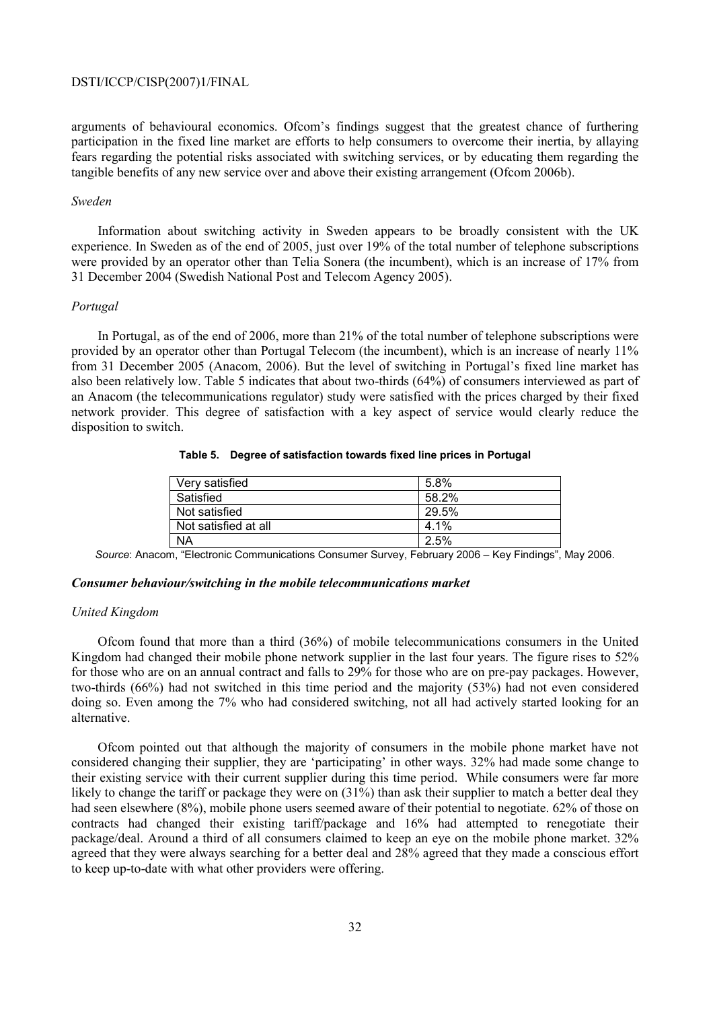arguments of behavioural economics. Ofcom's findings suggest that the greatest chance of furthering participation in the fixed line market are efforts to help consumers to overcome their inertia, by allaying fears regarding the potential risks associated with switching services, or by educating them regarding the tangible benefits of any new service over and above their existing arrangement (Ofcom 2006b).

#### *Sweden*

Information about switching activity in Sweden appears to be broadly consistent with the UK experience. In Sweden as of the end of 2005, just over 19% of the total number of telephone subscriptions were provided by an operator other than Telia Sonera (the incumbent), which is an increase of 17% from 31 December 2004 (Swedish National Post and Telecom Agency 2005).

#### *Portugal*

In Portugal, as of the end of 2006, more than 21% of the total number of telephone subscriptions were provided by an operator other than Portugal Telecom (the incumbent), which is an increase of nearly 11% from 31 December 2005 (Anacom, 2006). But the level of switching in Portugal's fixed line market has also been relatively low. Table 5 indicates that about two-thirds (64%) of consumers interviewed as part of an Anacom (the telecommunications regulator) study were satisfied with the prices charged by their fixed network provider. This degree of satisfaction with a key aspect of service would clearly reduce the disposition to switch.

### **Table 5. Degree of satisfaction towards fixed line prices in Portugal**

| Very satisfied       | 5.8%  |
|----------------------|-------|
| Satisfied            | 58.2% |
| Not satisfied        | 29.5% |
| Not satisfied at all | 4.1%  |
| <b>NA</b>            | 2.5%  |

*Source*: Anacom, "Electronic Communications Consumer Survey, February 2006 – Key Findings", May 2006.

## *Consumer behaviour/switching in the mobile telecommunications market*

### *United Kingdom*

Ofcom found that more than a third (36%) of mobile telecommunications consumers in the United Kingdom had changed their mobile phone network supplier in the last four years. The figure rises to 52% for those who are on an annual contract and falls to 29% for those who are on pre-pay packages. However, two-thirds (66%) had not switched in this time period and the majority (53%) had not even considered doing so. Even among the 7% who had considered switching, not all had actively started looking for an alternative.

Ofcom pointed out that although the majority of consumers in the mobile phone market have not considered changing their supplier, they are 'participating' in other ways. 32% had made some change to their existing service with their current supplier during this time period. While consumers were far more likely to change the tariff or package they were on  $(31%)$  than ask their supplier to match a better deal they had seen elsewhere (8%), mobile phone users seemed aware of their potential to negotiate. 62% of those on contracts had changed their existing tariff/package and 16% had attempted to renegotiate their package/deal. Around a third of all consumers claimed to keep an eye on the mobile phone market. 32% agreed that they were always searching for a better deal and 28% agreed that they made a conscious effort to keep up-to-date with what other providers were offering.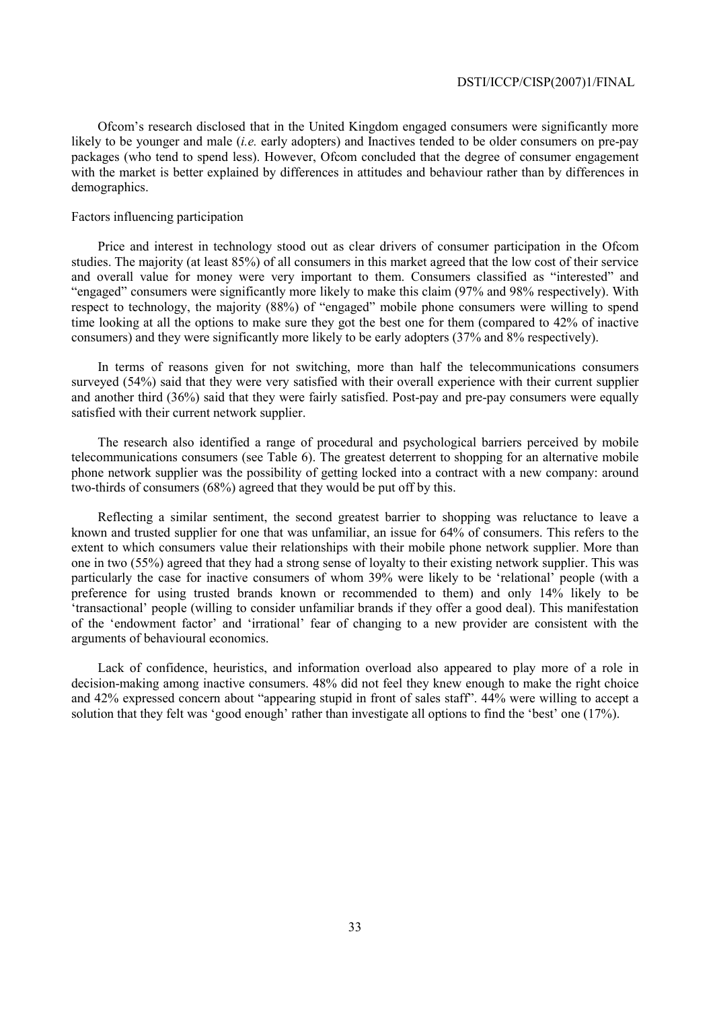Ofcom's research disclosed that in the United Kingdom engaged consumers were significantly more likely to be younger and male (*i.e.* early adopters) and Inactives tended to be older consumers on pre-pay packages (who tend to spend less). However, Ofcom concluded that the degree of consumer engagement with the market is better explained by differences in attitudes and behaviour rather than by differences in demographics.

## Factors influencing participation

Price and interest in technology stood out as clear drivers of consumer participation in the Ofcom studies. The majority (at least 85%) of all consumers in this market agreed that the low cost of their service and overall value for money were very important to them. Consumers classified as "interested" and "engaged" consumers were significantly more likely to make this claim (97% and 98% respectively). With respect to technology, the majority (88%) of "engaged" mobile phone consumers were willing to spend time looking at all the options to make sure they got the best one for them (compared to 42% of inactive consumers) and they were significantly more likely to be early adopters (37% and 8% respectively).

In terms of reasons given for not switching, more than half the telecommunications consumers surveyed (54%) said that they were very satisfied with their overall experience with their current supplier and another third (36%) said that they were fairly satisfied. Post-pay and pre-pay consumers were equally satisfied with their current network supplier.

The research also identified a range of procedural and psychological barriers perceived by mobile telecommunications consumers (see Table 6). The greatest deterrent to shopping for an alternative mobile phone network supplier was the possibility of getting locked into a contract with a new company: around two-thirds of consumers (68%) agreed that they would be put off by this.

Reflecting a similar sentiment, the second greatest barrier to shopping was reluctance to leave a known and trusted supplier for one that was unfamiliar, an issue for 64% of consumers. This refers to the extent to which consumers value their relationships with their mobile phone network supplier. More than one in two (55%) agreed that they had a strong sense of loyalty to their existing network supplier. This was particularly the case for inactive consumers of whom 39% were likely to be 'relational' people (with a preference for using trusted brands known or recommended to them) and only 14% likely to be 'transactional' people (willing to consider unfamiliar brands if they offer a good deal). This manifestation of the 'endowment factor' and 'irrational' fear of changing to a new provider are consistent with the arguments of behavioural economics.

Lack of confidence, heuristics, and information overload also appeared to play more of a role in decision-making among inactive consumers. 48% did not feel they knew enough to make the right choice and 42% expressed concern about "appearing stupid in front of sales staff". 44% were willing to accept a solution that they felt was 'good enough' rather than investigate all options to find the 'best' one (17%).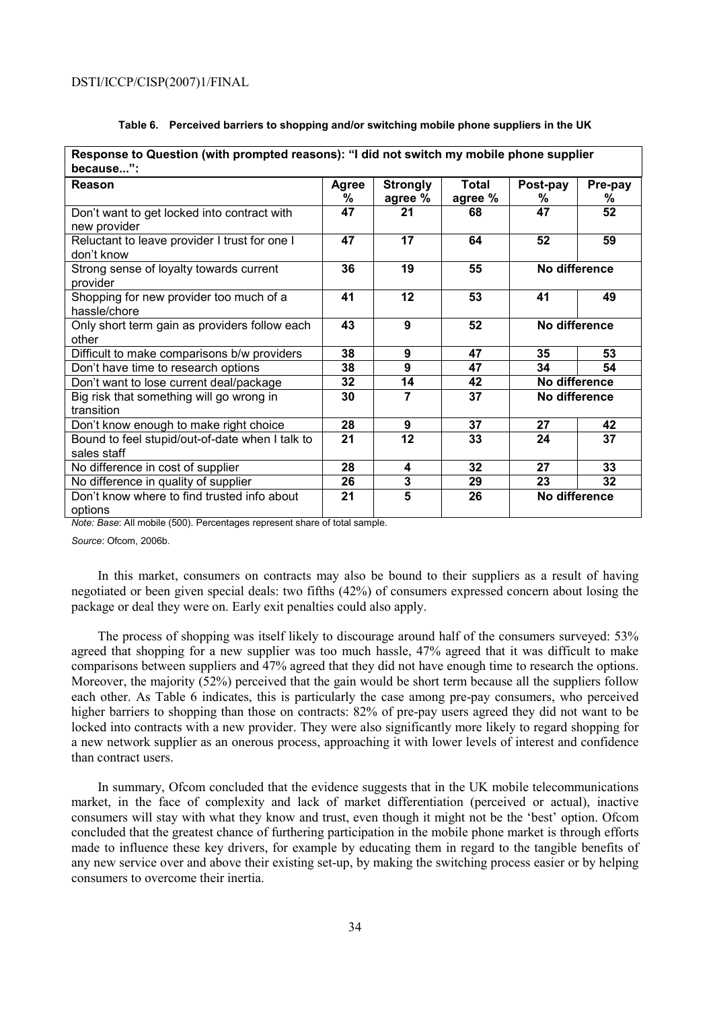| Response to Question (with prompted reasons): "I did not switch my mobile phone supplier<br>because": |            |                            |                         |               |               |  |
|-------------------------------------------------------------------------------------------------------|------------|----------------------------|-------------------------|---------------|---------------|--|
| Reason                                                                                                | Agree<br>% | <b>Strongly</b><br>agree % | <b>Total</b><br>agree % | Post-pay<br>% | Pre-pay<br>%  |  |
| Don't want to get locked into contract with<br>new provider                                           | 47         | 21                         | 68                      | 47            | 52            |  |
| Reluctant to leave provider I trust for one I<br>don't know                                           | 47         | $\overline{17}$            | 64                      | 52            | 59            |  |
| Strong sense of loyalty towards current<br>provider                                                   | 36         | 19                         | 55                      |               | No difference |  |
| Shopping for new provider too much of a<br>hassle/chore                                               | 41         | 12                         | 53                      | 49<br>41      |               |  |
| Only short term gain as providers follow each<br>other                                                | 43         | 9                          | 52                      | No difference |               |  |
| Difficult to make comparisons b/w providers                                                           | 38         | 9                          | 47                      | 35            | 53            |  |
| Don't have time to research options                                                                   | 38         | 9                          | 47                      | 34            | 54            |  |
| Don't want to lose current deal/package                                                               | 32         | 14                         | 42                      | No difference |               |  |
| Big risk that something will go wrong in<br>transition                                                | 30         | $\overline{7}$             | 37                      | No difference |               |  |
| Don't know enough to make right choice                                                                | 28         | 9                          | 37                      | 27            | 42            |  |
| Bound to feel stupid/out-of-date when I talk to<br>sales staff                                        | 21         | 12                         | 33                      | 24            | 37            |  |
| No difference in cost of supplier                                                                     | 28         | 4                          | 32                      | 27            | 33            |  |
| No difference in quality of supplier                                                                  | 26         | 3                          | 29                      | 23            | 32            |  |
| Don't know where to find trusted info about<br>options                                                | 21         | 5                          | 26                      | No difference |               |  |

### **Table 6. Perceived barriers to shopping and/or switching mobile phone suppliers in the UK**

*Note: Base*: All mobile (500). Percentages represent share of total sample.

*Source*: Ofcom, 2006b.

In this market, consumers on contracts may also be bound to their suppliers as a result of having negotiated or been given special deals: two fifths (42%) of consumers expressed concern about losing the package or deal they were on. Early exit penalties could also apply.

The process of shopping was itself likely to discourage around half of the consumers surveyed: 53% agreed that shopping for a new supplier was too much hassle, 47% agreed that it was difficult to make comparisons between suppliers and 47% agreed that they did not have enough time to research the options. Moreover, the majority (52%) perceived that the gain would be short term because all the suppliers follow each other. As Table 6 indicates, this is particularly the case among pre-pay consumers, who perceived higher barriers to shopping than those on contracts: 82% of pre-pay users agreed they did not want to be locked into contracts with a new provider. They were also significantly more likely to regard shopping for a new network supplier as an onerous process, approaching it with lower levels of interest and confidence than contract users.

In summary, Ofcom concluded that the evidence suggests that in the UK mobile telecommunications market, in the face of complexity and lack of market differentiation (perceived or actual), inactive consumers will stay with what they know and trust, even though it might not be the 'best' option. Ofcom concluded that the greatest chance of furthering participation in the mobile phone market is through efforts made to influence these key drivers, for example by educating them in regard to the tangible benefits of any new service over and above their existing set-up, by making the switching process easier or by helping consumers to overcome their inertia.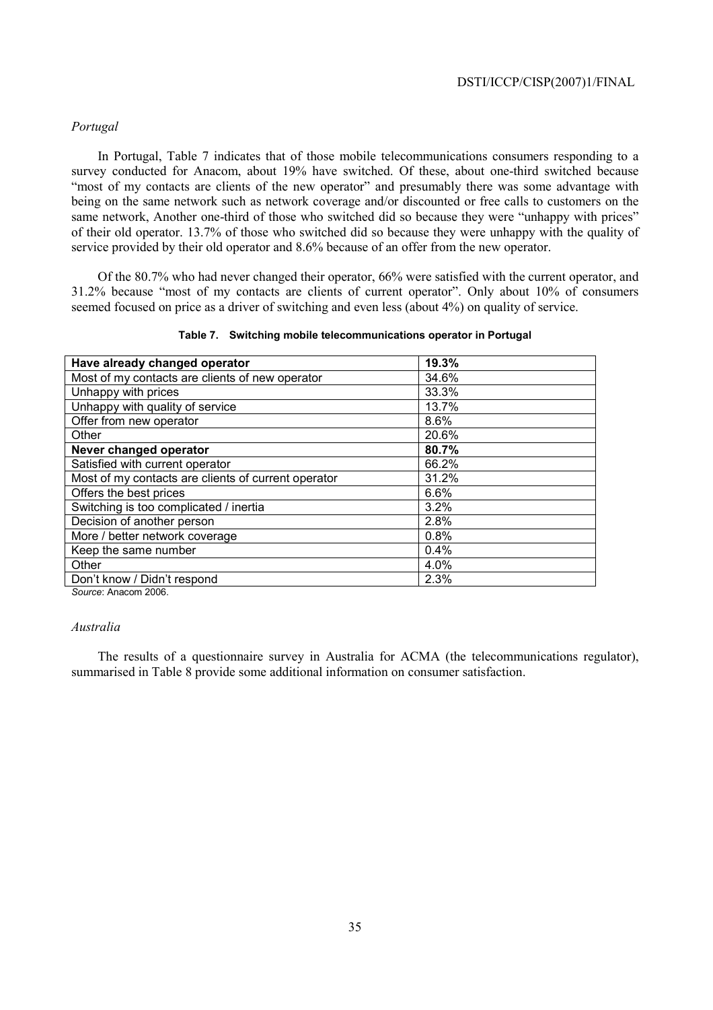## *Portugal*

In Portugal, Table 7 indicates that of those mobile telecommunications consumers responding to a survey conducted for Anacom, about 19% have switched. Of these, about one-third switched because "most of my contacts are clients of the new operator" and presumably there was some advantage with being on the same network such as network coverage and/or discounted or free calls to customers on the same network, Another one-third of those who switched did so because they were "unhappy with prices" of their old operator. 13.7% of those who switched did so because they were unhappy with the quality of service provided by their old operator and 8.6% because of an offer from the new operator.

Of the 80.7% who had never changed their operator, 66% were satisfied with the current operator, and 31.2% because "most of my contacts are clients of current operator". Only about 10% of consumers seemed focused on price as a driver of switching and even less (about 4%) on quality of service.

| Have already changed operator                       | 19.3% |  |
|-----------------------------------------------------|-------|--|
| Most of my contacts are clients of new operator     | 34.6% |  |
| Unhappy with prices                                 | 33.3% |  |
| Unhappy with quality of service                     | 13.7% |  |
| Offer from new operator                             | 8.6%  |  |
| Other                                               | 20.6% |  |
| Never changed operator                              | 80.7% |  |
| Satisfied with current operator                     | 66.2% |  |
| Most of my contacts are clients of current operator | 31.2% |  |
| Offers the best prices                              | 6.6%  |  |
| Switching is too complicated / inertia              | 3.2%  |  |
| Decision of another person                          | 2.8%  |  |
| More / better network coverage                      | 0.8%  |  |
| Keep the same number                                | 0.4%  |  |
| Other                                               | 4.0%  |  |
| Don't know / Didn't respond                         | 2.3%  |  |

### **Table 7. Switching mobile telecommunications operator in Portugal**

*Source*: Anacom 2006.

### *Australia*

The results of a questionnaire survey in Australia for ACMA (the telecommunications regulator), summarised in Table 8 provide some additional information on consumer satisfaction.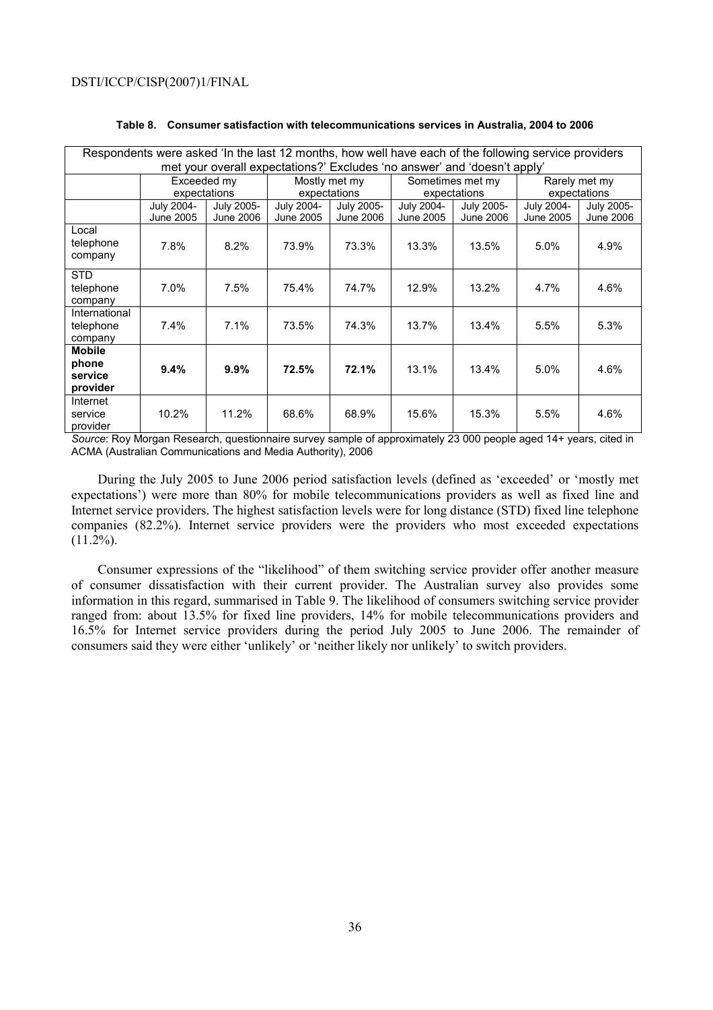| Respondents were asked 'In the last 12 months, how well have each of the following service providers |              |                  |               |                  |                  |                                                                          |               |            |
|------------------------------------------------------------------------------------------------------|--------------|------------------|---------------|------------------|------------------|--------------------------------------------------------------------------|---------------|------------|
|                                                                                                      |              |                  |               |                  |                  | met your overall expectations?' Excludes 'no answer' and 'doesn't apply' |               |            |
|                                                                                                      | Exceeded my  |                  | Mostly met my |                  | Sometimes met my |                                                                          | Rarely met my |            |
|                                                                                                      | expectations |                  | expectations  |                  | expectations     |                                                                          | expectations  |            |
|                                                                                                      | July 2004-   | July 2005-       | July 2004-    | July 2005-       | July 2004-       | July 2005-                                                               | July 2004-    | July 2005- |
|                                                                                                      | June 2005    | <b>June 2006</b> | June 2005     | <b>June 2006</b> | June 2005        | June 2006                                                                | June 2005     | June 2006  |
| Local<br>telephone<br>company                                                                        | 7.8%         | 8.2%             | 73.9%         | 73.3%            | 13.3%            | 13.5%                                                                    | 5.0%          | 4.9%       |
| <b>STD</b>                                                                                           |              |                  |               |                  |                  |                                                                          |               |            |
| telephone                                                                                            | 7.0%         | 7.5%             | 75.4%         | 74.7%            | 12.9%            | 13.2%                                                                    | 4.7%          | 4.6%       |
| company                                                                                              |              |                  |               |                  |                  |                                                                          |               |            |
| International                                                                                        |              |                  |               |                  |                  |                                                                          |               |            |
| telephone                                                                                            | 7.4%         | 7.1%             | 73.5%         | 74.3%            | 13.7%            | 13.4%                                                                    | 5.5%          | 5.3%       |
| company                                                                                              |              |                  |               |                  |                  |                                                                          |               |            |
| <b>Mobile</b>                                                                                        |              |                  |               |                  |                  |                                                                          |               |            |
| phone                                                                                                | 9.4%         | 9.9%             | 72.5%         | 72.1%            | 13.1%            | 13.4%                                                                    | $5.0\%$       | 4.6%       |
| service                                                                                              |              |                  |               |                  |                  |                                                                          |               |            |
| provider                                                                                             |              |                  |               |                  |                  |                                                                          |               |            |
| Internet                                                                                             |              |                  |               |                  |                  |                                                                          |               |            |
| service                                                                                              | 10.2%        | 11.2%            | 68.6%         | 68.9%            | 15.6%            | 15.3%                                                                    | 5.5%          | 4.6%       |
| provider                                                                                             |              |                  |               |                  |                  |                                                                          |               |            |

### **Table 8. Consumer satisfaction with telecommunications services in Australia, 2004 to 2006**

*Source*: Roy Morgan Research, questionnaire survey sample of approximately 23 000 people aged 14+ years, cited in ACMA (Australian Communications and Media Authority), 2006

During the July 2005 to June 2006 period satisfaction levels (defined as 'exceeded' or 'mostly met expectations') were more than 80% for mobile telecommunications providers as well as fixed line and Internet service providers. The highest satisfaction levels were for long distance (STD) fixed line telephone companies (82.2%). Internet service providers were the providers who most exceeded expectations  $(11.2\%)$ .

Consumer expressions of the "likelihood" of them switching service provider offer another measure of consumer dissatisfaction with their current provider. The Australian survey also provides some information in this regard, summarised in Table 9. The likelihood of consumers switching service provider ranged from: about 13.5% for fixed line providers, 14% for mobile telecommunications providers and 16.5% for Internet service providers during the period July 2005 to June 2006. The remainder of consumers said they were either 'unlikely' or 'neither likely nor unlikely' to switch providers.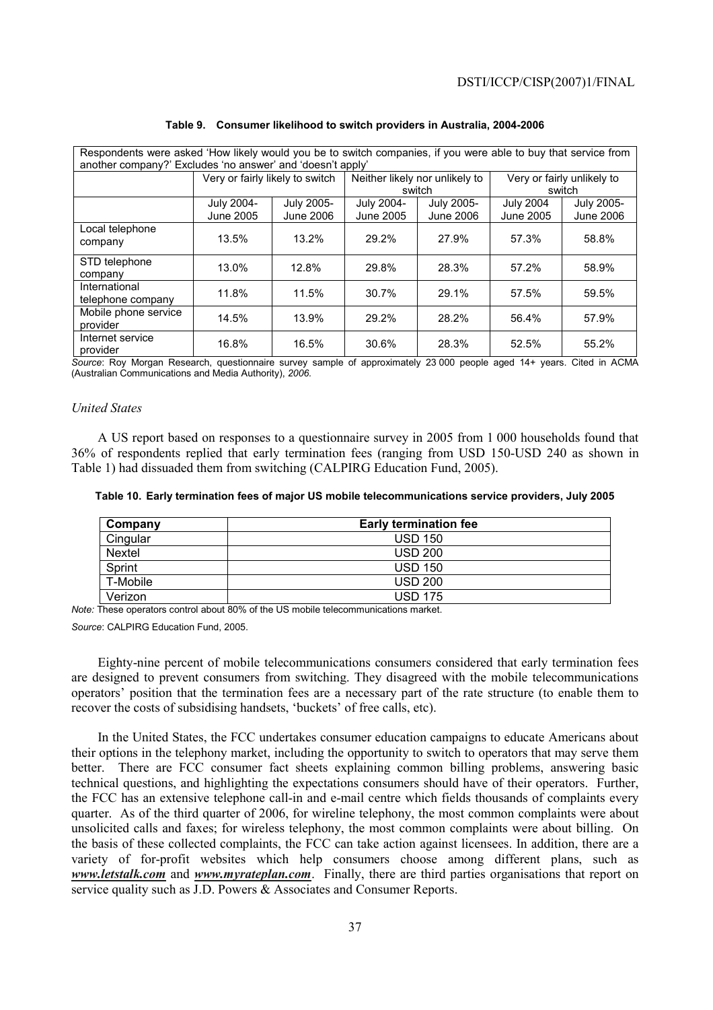| Respondents were asked 'How likely would you be to switch companies, if you were able to buy that service from<br>another company?' Excludes 'no answer' and 'doesn't apply' |                                 |                         |                         |                                |                                      |                         |
|------------------------------------------------------------------------------------------------------------------------------------------------------------------------------|---------------------------------|-------------------------|-------------------------|--------------------------------|--------------------------------------|-------------------------|
|                                                                                                                                                                              | Very or fairly likely to switch |                         |                         | Neither likely nor unlikely to | Very or fairly unlikely to<br>switch |                         |
|                                                                                                                                                                              |                                 |                         |                         | switch                         |                                      |                         |
|                                                                                                                                                                              | July 2004-<br>June 2005         | July 2005-<br>June 2006 | July 2004-<br>June 2005 | July 2005-<br>June 2006        | <b>July 2004</b><br>June 2005        | July 2005-<br>June 2006 |
| Local telephone                                                                                                                                                              |                                 |                         |                         |                                |                                      |                         |
| company                                                                                                                                                                      | 13.5%                           | 13.2%                   | 29.2%                   | 27.9%                          | 57.3%                                | 58.8%                   |
| STD telephone<br>company                                                                                                                                                     | 13.0%                           | 12.8%                   | 29.8%                   | 28.3%                          | 57.2%                                | 58.9%                   |
| International<br>telephone company                                                                                                                                           | 11.8%                           | 11.5%                   | 30.7%                   | 29.1%                          | 57.5%                                | 59.5%                   |
| Mobile phone service<br>provider                                                                                                                                             | 14.5%                           | 13.9%                   | 29.2%                   | 28.2%                          | 56.4%                                | 57.9%                   |
| Internet service<br>provider                                                                                                                                                 | 16.8%                           | 16.5%                   | 30.6%                   | 28.3%                          | 52.5%                                | 55.2%                   |

#### **Table 9. Consumer likelihood to switch providers in Australia, 2004-2006**

*Source*: Roy Morgan Research, questionnaire survey sample of approximately 23 000 people aged 14+ years. Cited in ACMA (Australian Communications and Media Authority), *2006.* 

#### *United States*

A US report based on responses to a questionnaire survey in 2005 from 1 000 households found that 36% of respondents replied that early termination fees (ranging from USD 150-USD 240 as shown in Table 1) had dissuaded them from switching (CALPIRG Education Fund, 2005).

#### **Table 10. Early termination fees of major US mobile telecommunications service providers, July 2005**

| Company  | <b>Early termination fee</b> |
|----------|------------------------------|
| Cingular | <b>USD 150</b>               |
| Nextel   | <b>USD 200</b>               |
| Sprint   | <b>USD 150</b>               |
| T-Mobile | <b>USD 200</b>               |
| Verizon  | <b>USD 175</b>               |

*Note:* These operators control about 80% of the US mobile telecommunications market.

*Source*: CALPIRG Education Fund, 2005.

Eighty-nine percent of mobile telecommunications consumers considered that early termination fees are designed to prevent consumers from switching. They disagreed with the mobile telecommunications operators' position that the termination fees are a necessary part of the rate structure (to enable them to recover the costs of subsidising handsets, 'buckets' of free calls, etc).

In the United States, the FCC undertakes consumer education campaigns to educate Americans about their options in the telephony market, including the opportunity to switch to operators that may serve them better. There are FCC consumer fact sheets explaining common billing problems, answering basic technical questions, and highlighting the expectations consumers should have of their operators. Further, the FCC has an extensive telephone call-in and e-mail centre which fields thousands of complaints every quarter. As of the third quarter of 2006, for wireline telephony, the most common complaints were about unsolicited calls and faxes; for wireless telephony, the most common complaints were about billing. On the basis of these collected complaints, the FCC can take action against licensees. In addition, there are a variety of for-profit websites which help consumers choose among different plans, such as *www.letstalk.com* and *www.myrateplan.com*. Finally, there are third parties organisations that report on service quality such as J.D. Powers & Associates and Consumer Reports.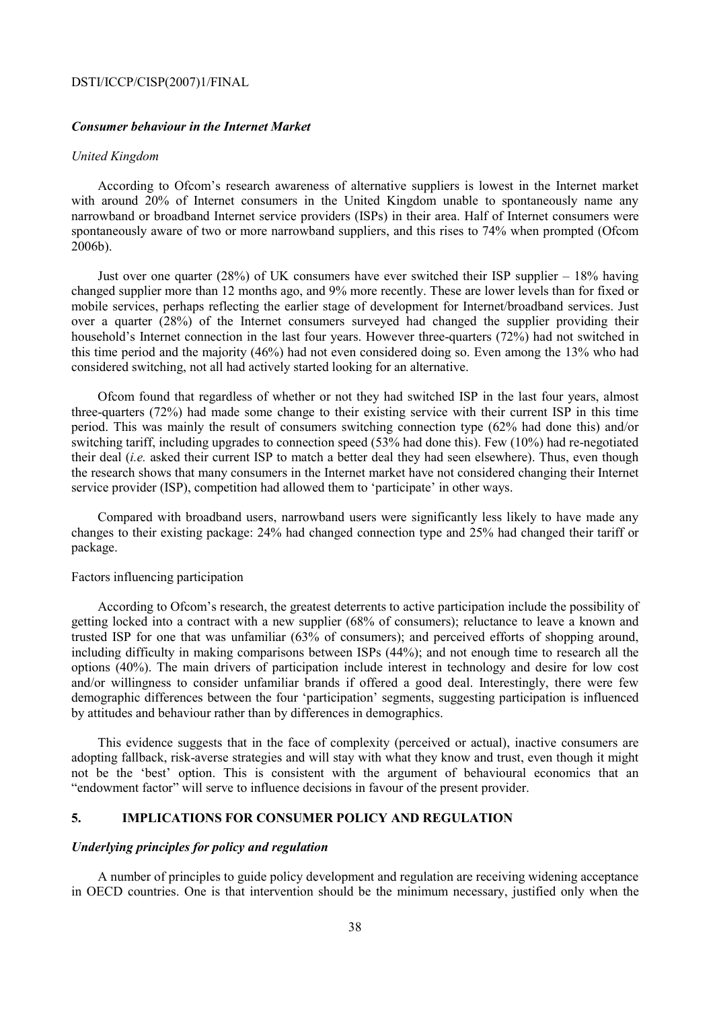### *Consumer behaviour in the Internet Market*

### *United Kingdom*

According to Ofcom's research awareness of alternative suppliers is lowest in the Internet market with around 20% of Internet consumers in the United Kingdom unable to spontaneously name any narrowband or broadband Internet service providers (ISPs) in their area. Half of Internet consumers were spontaneously aware of two or more narrowband suppliers, and this rises to 74% when prompted (Ofcom 2006b).

Just over one quarter (28%) of UK consumers have ever switched their ISP supplier – 18% having changed supplier more than 12 months ago, and 9% more recently. These are lower levels than for fixed or mobile services, perhaps reflecting the earlier stage of development for Internet/broadband services. Just over a quarter (28%) of the Internet consumers surveyed had changed the supplier providing their household's Internet connection in the last four years. However three-quarters (72%) had not switched in this time period and the majority (46%) had not even considered doing so. Even among the 13% who had considered switching, not all had actively started looking for an alternative.

Ofcom found that regardless of whether or not they had switched ISP in the last four years, almost three-quarters (72%) had made some change to their existing service with their current ISP in this time period. This was mainly the result of consumers switching connection type (62% had done this) and/or switching tariff, including upgrades to connection speed (53% had done this). Few (10%) had re-negotiated their deal (*i.e.* asked their current ISP to match a better deal they had seen elsewhere). Thus, even though the research shows that many consumers in the Internet market have not considered changing their Internet service provider (ISP), competition had allowed them to 'participate' in other ways.

Compared with broadband users, narrowband users were significantly less likely to have made any changes to their existing package: 24% had changed connection type and 25% had changed their tariff or package.

#### Factors influencing participation

According to Ofcom's research, the greatest deterrents to active participation include the possibility of getting locked into a contract with a new supplier (68% of consumers); reluctance to leave a known and trusted ISP for one that was unfamiliar (63% of consumers); and perceived efforts of shopping around, including difficulty in making comparisons between ISPs (44%); and not enough time to research all the options (40%). The main drivers of participation include interest in technology and desire for low cost and/or willingness to consider unfamiliar brands if offered a good deal. Interestingly, there were few demographic differences between the four 'participation' segments, suggesting participation is influenced by attitudes and behaviour rather than by differences in demographics.

This evidence suggests that in the face of complexity (perceived or actual), inactive consumers are adopting fallback, risk-averse strategies and will stay with what they know and trust, even though it might not be the 'best' option. This is consistent with the argument of behavioural economics that an "endowment factor" will serve to influence decisions in favour of the present provider.

## **5. IMPLICATIONS FOR CONSUMER POLICY AND REGULATION**

#### *Underlying principles for policy and regulation*

A number of principles to guide policy development and regulation are receiving widening acceptance in OECD countries. One is that intervention should be the minimum necessary, justified only when the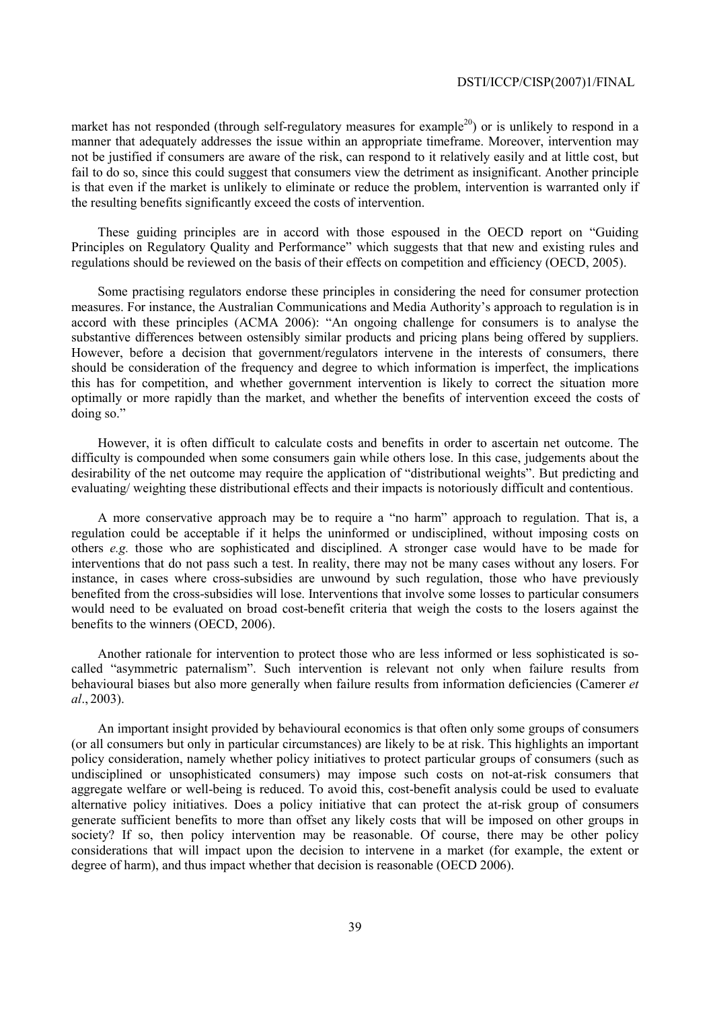market has not responded (through self-regulatory measures for example<sup>20</sup>) or is unlikely to respond in a manner that adequately addresses the issue within an appropriate timeframe. Moreover, intervention may not be justified if consumers are aware of the risk, can respond to it relatively easily and at little cost, but fail to do so, since this could suggest that consumers view the detriment as insignificant. Another principle is that even if the market is unlikely to eliminate or reduce the problem, intervention is warranted only if the resulting benefits significantly exceed the costs of intervention.

These guiding principles are in accord with those espoused in the OECD report on "Guiding Principles on Regulatory Quality and Performance" which suggests that that new and existing rules and regulations should be reviewed on the basis of their effects on competition and efficiency (OECD, 2005).

Some practising regulators endorse these principles in considering the need for consumer protection measures. For instance, the Australian Communications and Media Authority's approach to regulation is in accord with these principles (ACMA 2006): "An ongoing challenge for consumers is to analyse the substantive differences between ostensibly similar products and pricing plans being offered by suppliers. However, before a decision that government/regulators intervene in the interests of consumers, there should be consideration of the frequency and degree to which information is imperfect, the implications this has for competition, and whether government intervention is likely to correct the situation more optimally or more rapidly than the market, and whether the benefits of intervention exceed the costs of doing so."

However, it is often difficult to calculate costs and benefits in order to ascertain net outcome. The difficulty is compounded when some consumers gain while others lose. In this case, judgements about the desirability of the net outcome may require the application of "distributional weights". But predicting and evaluating/ weighting these distributional effects and their impacts is notoriously difficult and contentious.

A more conservative approach may be to require a "no harm" approach to regulation. That is, a regulation could be acceptable if it helps the uninformed or undisciplined, without imposing costs on others *e.g.* those who are sophisticated and disciplined. A stronger case would have to be made for interventions that do not pass such a test. In reality, there may not be many cases without any losers. For instance, in cases where cross-subsidies are unwound by such regulation, those who have previously benefited from the cross-subsidies will lose. Interventions that involve some losses to particular consumers would need to be evaluated on broad cost-benefit criteria that weigh the costs to the losers against the benefits to the winners (OECD, 2006).

Another rationale for intervention to protect those who are less informed or less sophisticated is socalled "asymmetric paternalism". Such intervention is relevant not only when failure results from behavioural biases but also more generally when failure results from information deficiencies (Camerer *et al*., 2003).

An important insight provided by behavioural economics is that often only some groups of consumers (or all consumers but only in particular circumstances) are likely to be at risk. This highlights an important policy consideration, namely whether policy initiatives to protect particular groups of consumers (such as undisciplined or unsophisticated consumers) may impose such costs on not-at-risk consumers that aggregate welfare or well-being is reduced. To avoid this, cost-benefit analysis could be used to evaluate alternative policy initiatives. Does a policy initiative that can protect the at-risk group of consumers generate sufficient benefits to more than offset any likely costs that will be imposed on other groups in society? If so, then policy intervention may be reasonable. Of course, there may be other policy considerations that will impact upon the decision to intervene in a market (for example, the extent or degree of harm), and thus impact whether that decision is reasonable (OECD 2006).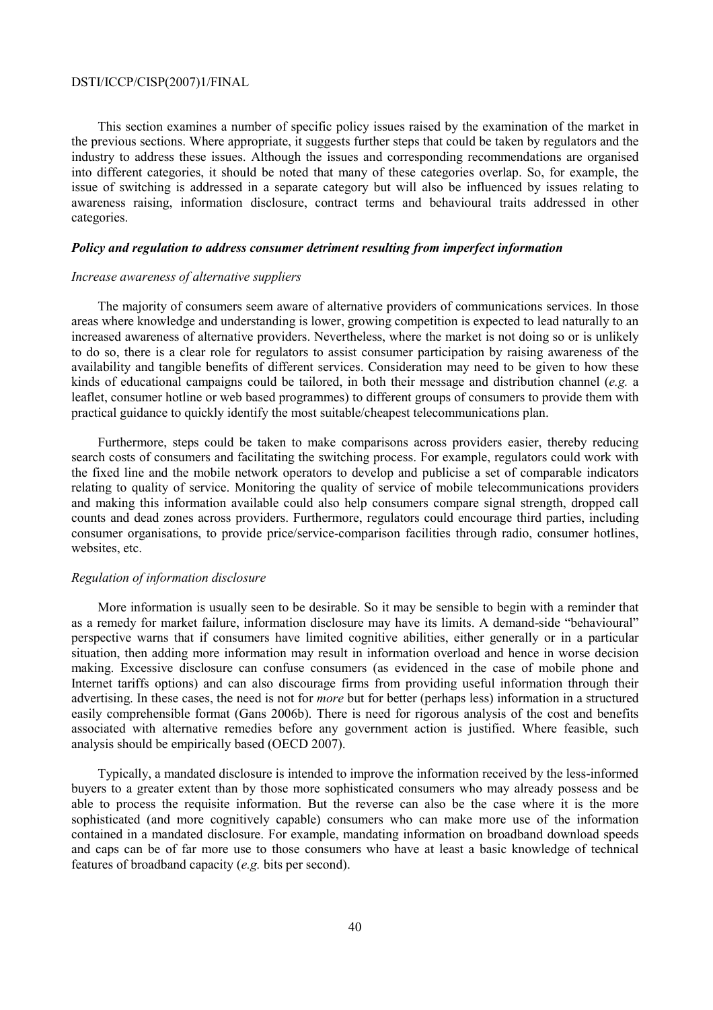This section examines a number of specific policy issues raised by the examination of the market in the previous sections. Where appropriate, it suggests further steps that could be taken by regulators and the industry to address these issues. Although the issues and corresponding recommendations are organised into different categories, it should be noted that many of these categories overlap. So, for example, the issue of switching is addressed in a separate category but will also be influenced by issues relating to awareness raising, information disclosure, contract terms and behavioural traits addressed in other categories.

#### *Policy and regulation to address consumer detriment resulting from imperfect information*

#### *Increase awareness of alternative suppliers*

The majority of consumers seem aware of alternative providers of communications services. In those areas where knowledge and understanding is lower, growing competition is expected to lead naturally to an increased awareness of alternative providers. Nevertheless, where the market is not doing so or is unlikely to do so, there is a clear role for regulators to assist consumer participation by raising awareness of the availability and tangible benefits of different services. Consideration may need to be given to how these kinds of educational campaigns could be tailored, in both their message and distribution channel (*e.g.* a leaflet, consumer hotline or web based programmes) to different groups of consumers to provide them with practical guidance to quickly identify the most suitable/cheapest telecommunications plan.

Furthermore, steps could be taken to make comparisons across providers easier, thereby reducing search costs of consumers and facilitating the switching process. For example, regulators could work with the fixed line and the mobile network operators to develop and publicise a set of comparable indicators relating to quality of service. Monitoring the quality of service of mobile telecommunications providers and making this information available could also help consumers compare signal strength, dropped call counts and dead zones across providers. Furthermore, regulators could encourage third parties, including consumer organisations, to provide price/service-comparison facilities through radio, consumer hotlines, websites, etc.

#### *Regulation of information disclosure*

More information is usually seen to be desirable. So it may be sensible to begin with a reminder that as a remedy for market failure, information disclosure may have its limits. A demand-side "behavioural" perspective warns that if consumers have limited cognitive abilities, either generally or in a particular situation, then adding more information may result in information overload and hence in worse decision making. Excessive disclosure can confuse consumers (as evidenced in the case of mobile phone and Internet tariffs options) and can also discourage firms from providing useful information through their advertising. In these cases, the need is not for *more* but for better (perhaps less) information in a structured easily comprehensible format (Gans 2006b). There is need for rigorous analysis of the cost and benefits associated with alternative remedies before any government action is justified. Where feasible, such analysis should be empirically based (OECD 2007).

Typically, a mandated disclosure is intended to improve the information received by the less-informed buyers to a greater extent than by those more sophisticated consumers who may already possess and be able to process the requisite information. But the reverse can also be the case where it is the more sophisticated (and more cognitively capable) consumers who can make more use of the information contained in a mandated disclosure. For example, mandating information on broadband download speeds and caps can be of far more use to those consumers who have at least a basic knowledge of technical features of broadband capacity (*e.g.* bits per second).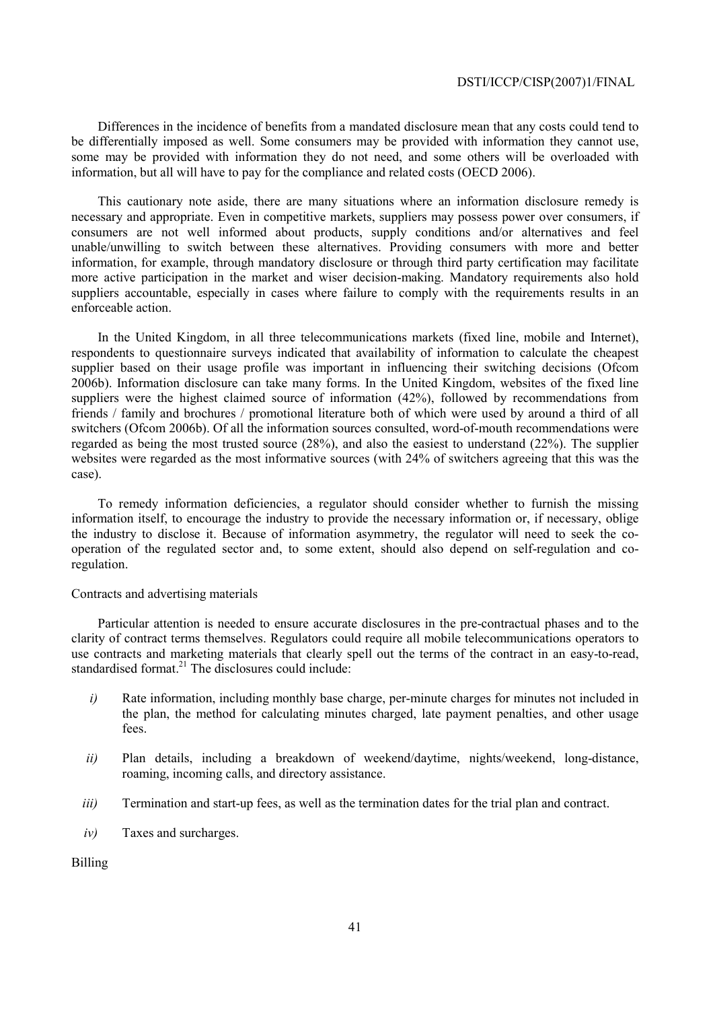Differences in the incidence of benefits from a mandated disclosure mean that any costs could tend to be differentially imposed as well. Some consumers may be provided with information they cannot use, some may be provided with information they do not need, and some others will be overloaded with information, but all will have to pay for the compliance and related costs (OECD 2006).

This cautionary note aside, there are many situations where an information disclosure remedy is necessary and appropriate. Even in competitive markets, suppliers may possess power over consumers, if consumers are not well informed about products, supply conditions and/or alternatives and feel unable/unwilling to switch between these alternatives. Providing consumers with more and better information, for example, through mandatory disclosure or through third party certification may facilitate more active participation in the market and wiser decision-making. Mandatory requirements also hold suppliers accountable, especially in cases where failure to comply with the requirements results in an enforceable action.

In the United Kingdom, in all three telecommunications markets (fixed line, mobile and Internet), respondents to questionnaire surveys indicated that availability of information to calculate the cheapest supplier based on their usage profile was important in influencing their switching decisions (Ofcom 2006b). Information disclosure can take many forms. In the United Kingdom, websites of the fixed line suppliers were the highest claimed source of information (42%), followed by recommendations from friends / family and brochures / promotional literature both of which were used by around a third of all switchers (Ofcom 2006b). Of all the information sources consulted, word-of-mouth recommendations were regarded as being the most trusted source (28%), and also the easiest to understand (22%). The supplier websites were regarded as the most informative sources (with 24% of switchers agreeing that this was the case).

To remedy information deficiencies, a regulator should consider whether to furnish the missing information itself, to encourage the industry to provide the necessary information or, if necessary, oblige the industry to disclose it. Because of information asymmetry, the regulator will need to seek the cooperation of the regulated sector and, to some extent, should also depend on self-regulation and coregulation.

#### Contracts and advertising materials

Particular attention is needed to ensure accurate disclosures in the pre-contractual phases and to the clarity of contract terms themselves. Regulators could require all mobile telecommunications operators to use contracts and marketing materials that clearly spell out the terms of the contract in an easy-to-read, standardised format.<sup>21</sup> The disclosures could include:

- *i*) Rate information, including monthly base charge, per-minute charges for minutes not included in the plan, the method for calculating minutes charged, late payment penalties, and other usage fees.
- *ii)* Plan details, including a breakdown of weekend/daytime, nights/weekend, long-distance, roaming, incoming calls, and directory assistance.
- *iii*) Termination and start-up fees, as well as the termination dates for the trial plan and contract.
- *iv)* Taxes and surcharges.

Billing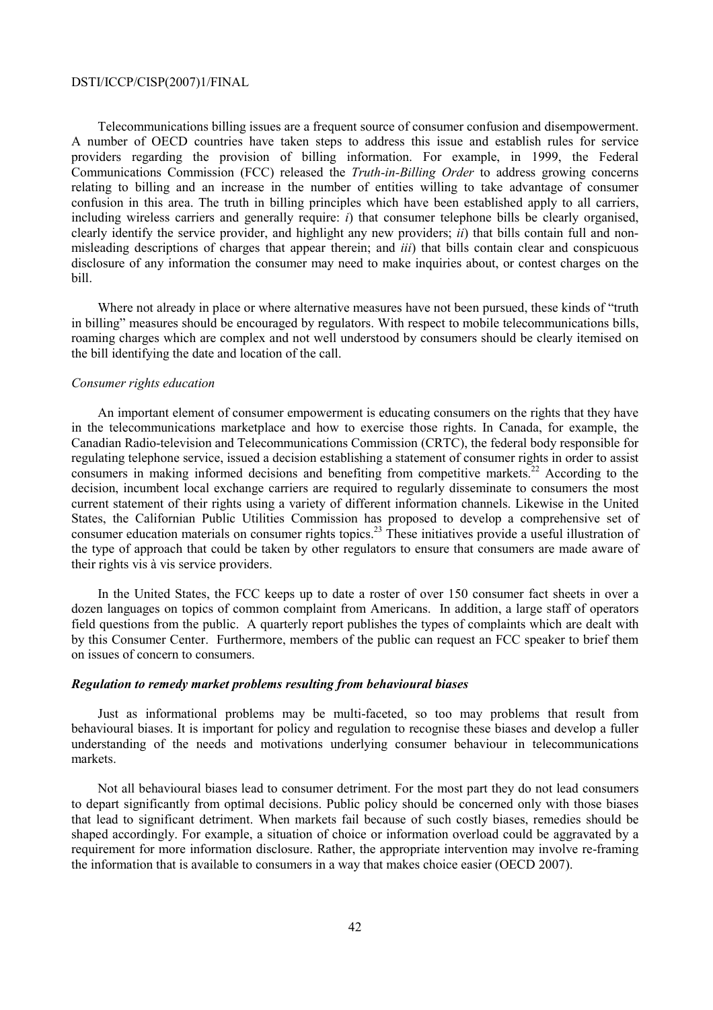Telecommunications billing issues are a frequent source of consumer confusion and disempowerment. A number of OECD countries have taken steps to address this issue and establish rules for service providers regarding the provision of billing information. For example, in 1999, the Federal Communications Commission (FCC) released the *Truth-in-Billing Order* to address growing concerns relating to billing and an increase in the number of entities willing to take advantage of consumer confusion in this area. The truth in billing principles which have been established apply to all carriers, including wireless carriers and generally require: *i*) that consumer telephone bills be clearly organised, clearly identify the service provider, and highlight any new providers; *ii*) that bills contain full and nonmisleading descriptions of charges that appear therein; and *iii*) that bills contain clear and conspicuous disclosure of any information the consumer may need to make inquiries about, or contest charges on the bill.

Where not already in place or where alternative measures have not been pursued, these kinds of "truth" in billing" measures should be encouraged by regulators. With respect to mobile telecommunications bills, roaming charges which are complex and not well understood by consumers should be clearly itemised on the bill identifying the date and location of the call.

#### *Consumer rights education*

An important element of consumer empowerment is educating consumers on the rights that they have in the telecommunications marketplace and how to exercise those rights. In Canada, for example, the Canadian Radio-television and Telecommunications Commission (CRTC), the federal body responsible for regulating telephone service, issued a decision establishing a statement of consumer rights in order to assist consumers in making informed decisions and benefiting from competitive markets.<sup>22</sup> According to the decision, incumbent local exchange carriers are required to regularly disseminate to consumers the most current statement of their rights using a variety of different information channels. Likewise in the United States, the Californian Public Utilities Commission has proposed to develop a comprehensive set of consumer education materials on consumer rights topics.<sup>23</sup> These initiatives provide a useful illustration of the type of approach that could be taken by other regulators to ensure that consumers are made aware of their rights vis à vis service providers.

In the United States, the FCC keeps up to date a roster of over 150 consumer fact sheets in over a dozen languages on topics of common complaint from Americans. In addition, a large staff of operators field questions from the public. A quarterly report publishes the types of complaints which are dealt with by this Consumer Center. Furthermore, members of the public can request an FCC speaker to brief them on issues of concern to consumers.

#### *Regulation to remedy market problems resulting from behavioural biases*

Just as informational problems may be multi-faceted, so too may problems that result from behavioural biases. It is important for policy and regulation to recognise these biases and develop a fuller understanding of the needs and motivations underlying consumer behaviour in telecommunications markets.

Not all behavioural biases lead to consumer detriment. For the most part they do not lead consumers to depart significantly from optimal decisions. Public policy should be concerned only with those biases that lead to significant detriment. When markets fail because of such costly biases, remedies should be shaped accordingly. For example, a situation of choice or information overload could be aggravated by a requirement for more information disclosure. Rather, the appropriate intervention may involve re-framing the information that is available to consumers in a way that makes choice easier (OECD 2007).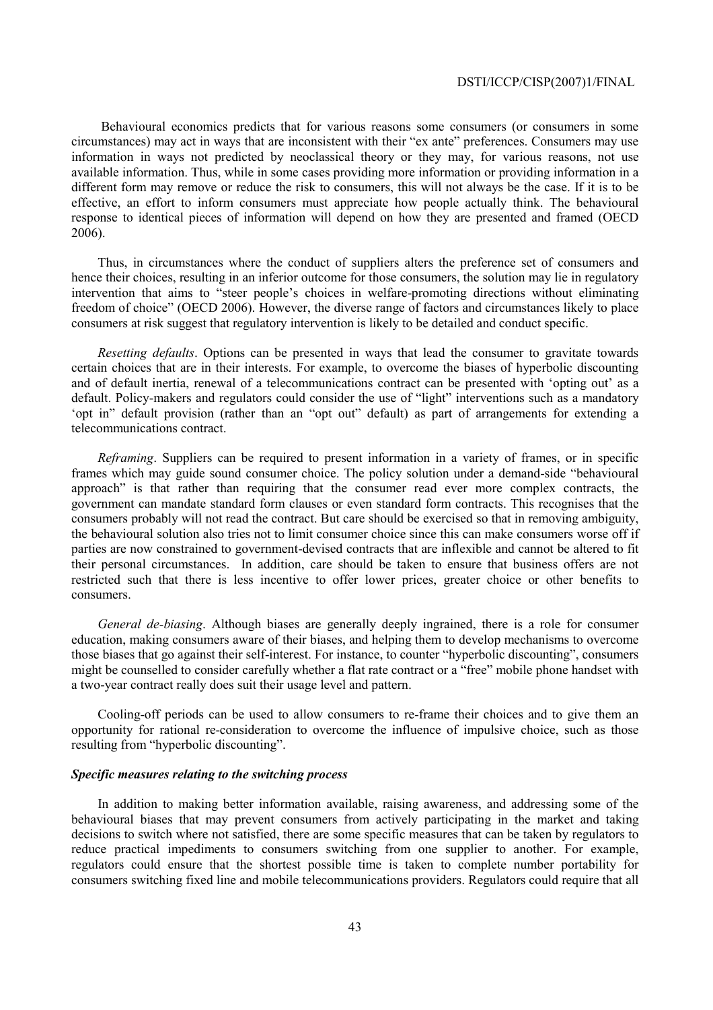Behavioural economics predicts that for various reasons some consumers (or consumers in some circumstances) may act in ways that are inconsistent with their "ex ante" preferences. Consumers may use information in ways not predicted by neoclassical theory or they may, for various reasons, not use available information. Thus, while in some cases providing more information or providing information in a different form may remove or reduce the risk to consumers, this will not always be the case. If it is to be effective, an effort to inform consumers must appreciate how people actually think. The behavioural response to identical pieces of information will depend on how they are presented and framed (OECD 2006).

Thus, in circumstances where the conduct of suppliers alters the preference set of consumers and hence their choices, resulting in an inferior outcome for those consumers, the solution may lie in regulatory intervention that aims to "steer people's choices in welfare-promoting directions without eliminating freedom of choice" (OECD 2006). However, the diverse range of factors and circumstances likely to place consumers at risk suggest that regulatory intervention is likely to be detailed and conduct specific.

*Resetting defaults*. Options can be presented in ways that lead the consumer to gravitate towards certain choices that are in their interests. For example, to overcome the biases of hyperbolic discounting and of default inertia, renewal of a telecommunications contract can be presented with 'opting out' as a default. Policy-makers and regulators could consider the use of "light" interventions such as a mandatory 'opt in" default provision (rather than an "opt out" default) as part of arrangements for extending a telecommunications contract.

*Reframing*. Suppliers can be required to present information in a variety of frames, or in specific frames which may guide sound consumer choice. The policy solution under a demand-side "behavioural approach" is that rather than requiring that the consumer read ever more complex contracts, the government can mandate standard form clauses or even standard form contracts. This recognises that the consumers probably will not read the contract. But care should be exercised so that in removing ambiguity, the behavioural solution also tries not to limit consumer choice since this can make consumers worse off if parties are now constrained to government-devised contracts that are inflexible and cannot be altered to fit their personal circumstances. In addition, care should be taken to ensure that business offers are not restricted such that there is less incentive to offer lower prices, greater choice or other benefits to consumers.

*General de-biasing*. Although biases are generally deeply ingrained, there is a role for consumer education, making consumers aware of their biases, and helping them to develop mechanisms to overcome those biases that go against their self-interest. For instance, to counter "hyperbolic discounting", consumers might be counselled to consider carefully whether a flat rate contract or a "free" mobile phone handset with a two-year contract really does suit their usage level and pattern.

Cooling-off periods can be used to allow consumers to re-frame their choices and to give them an opportunity for rational re-consideration to overcome the influence of impulsive choice, such as those resulting from "hyperbolic discounting".

## *Specific measures relating to the switching process*

In addition to making better information available, raising awareness, and addressing some of the behavioural biases that may prevent consumers from actively participating in the market and taking decisions to switch where not satisfied, there are some specific measures that can be taken by regulators to reduce practical impediments to consumers switching from one supplier to another. For example, regulators could ensure that the shortest possible time is taken to complete number portability for consumers switching fixed line and mobile telecommunications providers. Regulators could require that all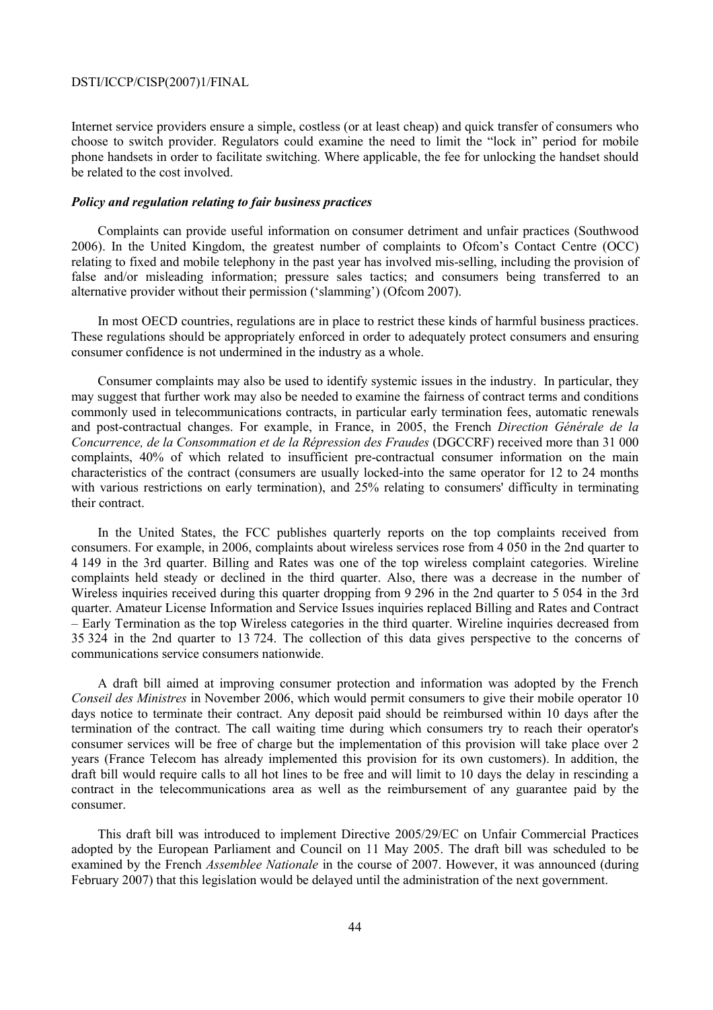Internet service providers ensure a simple, costless (or at least cheap) and quick transfer of consumers who choose to switch provider. Regulators could examine the need to limit the "lock in" period for mobile phone handsets in order to facilitate switching. Where applicable, the fee for unlocking the handset should be related to the cost involved.

#### *Policy and regulation relating to fair business practices*

Complaints can provide useful information on consumer detriment and unfair practices (Southwood 2006). In the United Kingdom, the greatest number of complaints to Ofcom's Contact Centre (OCC) relating to fixed and mobile telephony in the past year has involved mis-selling, including the provision of false and/or misleading information; pressure sales tactics; and consumers being transferred to an alternative provider without their permission ('slamming') (Ofcom 2007).

In most OECD countries, regulations are in place to restrict these kinds of harmful business practices. These regulations should be appropriately enforced in order to adequately protect consumers and ensuring consumer confidence is not undermined in the industry as a whole.

Consumer complaints may also be used to identify systemic issues in the industry. In particular, they may suggest that further work may also be needed to examine the fairness of contract terms and conditions commonly used in telecommunications contracts, in particular early termination fees, automatic renewals and post-contractual changes. For example, in France, in 2005, the French *Direction Générale de la Concurrence, de la Consommation et de la Répression des Fraudes* (DGCCRF) received more than 31 000 complaints, 40% of which related to insufficient pre-contractual consumer information on the main characteristics of the contract (consumers are usually locked-into the same operator for 12 to 24 months with various restrictions on early termination), and 25% relating to consumers' difficulty in terminating their contract.

In the United States, the FCC publishes quarterly reports on the top complaints received from consumers. For example, in 2006, complaints about wireless services rose from 4 050 in the 2nd quarter to 4 149 in the 3rd quarter. Billing and Rates was one of the top wireless complaint categories. Wireline complaints held steady or declined in the third quarter. Also, there was a decrease in the number of Wireless inquiries received during this quarter dropping from 9 296 in the 2nd quarter to 5 054 in the 3rd quarter. Amateur License Information and Service Issues inquiries replaced Billing and Rates and Contract – Early Termination as the top Wireless categories in the third quarter. Wireline inquiries decreased from 35 324 in the 2nd quarter to 13 724. The collection of this data gives perspective to the concerns of communications service consumers nationwide.

A draft bill aimed at improving consumer protection and information was adopted by the French *Conseil des Ministres* in November 2006, which would permit consumers to give their mobile operator 10 days notice to terminate their contract. Any deposit paid should be reimbursed within 10 days after the termination of the contract. The call waiting time during which consumers try to reach their operator's consumer services will be free of charge but the implementation of this provision will take place over 2 years (France Telecom has already implemented this provision for its own customers). In addition, the draft bill would require calls to all hot lines to be free and will limit to 10 days the delay in rescinding a contract in the telecommunications area as well as the reimbursement of any guarantee paid by the consumer.

This draft bill was introduced to implement Directive 2005/29/EC on Unfair Commercial Practices adopted by the European Parliament and Council on 11 May 2005. The draft bill was scheduled to be examined by the French *Assemblee Nationale* in the course of 2007. However, it was announced (during February 2007) that this legislation would be delayed until the administration of the next government.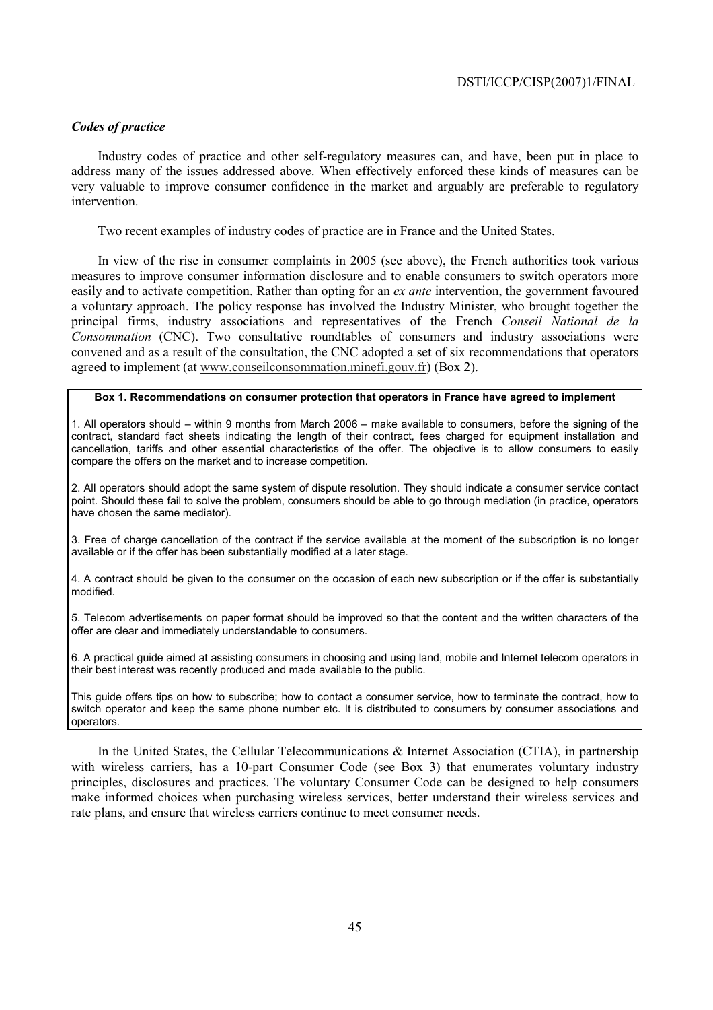## *Codes of practice*

Industry codes of practice and other self-regulatory measures can, and have, been put in place to address many of the issues addressed above. When effectively enforced these kinds of measures can be very valuable to improve consumer confidence in the market and arguably are preferable to regulatory intervention.

Two recent examples of industry codes of practice are in France and the United States.

In view of the rise in consumer complaints in 2005 (see above), the French authorities took various measures to improve consumer information disclosure and to enable consumers to switch operators more easily and to activate competition. Rather than opting for an *ex ante* intervention, the government favoured a voluntary approach. The policy response has involved the Industry Minister, who brought together the principal firms, industry associations and representatives of the French *Conseil National de la Consommation* (CNC). Two consultative roundtables of consumers and industry associations were convened and as a result of the consultation, the CNC adopted a set of six recommendations that operators agreed to implement (at www.conseilconsommation.minefi.gouv.fr) (Box 2).

#### **Box 1. Recommendations on consumer protection that operators in France have agreed to implement**

1. All operators should – within 9 months from March 2006 – make available to consumers, before the signing of the contract, standard fact sheets indicating the length of their contract, fees charged for equipment installation and cancellation, tariffs and other essential characteristics of the offer. The objective is to allow consumers to easily compare the offers on the market and to increase competition.

2. All operators should adopt the same system of dispute resolution. They should indicate a consumer service contact point. Should these fail to solve the problem, consumers should be able to go through mediation (in practice, operators have chosen the same mediator).

3. Free of charge cancellation of the contract if the service available at the moment of the subscription is no longer available or if the offer has been substantially modified at a later stage.

4. A contract should be given to the consumer on the occasion of each new subscription or if the offer is substantially modified.

5. Telecom advertisements on paper format should be improved so that the content and the written characters of the offer are clear and immediately understandable to consumers.

6. A practical guide aimed at assisting consumers in choosing and using land, mobile and Internet telecom operators in their best interest was recently produced and made available to the public.

This guide offers tips on how to subscribe; how to contact a consumer service, how to terminate the contract, how to switch operator and keep the same phone number etc. It is distributed to consumers by consumer associations and operators.

In the United States, the Cellular Telecommunications & Internet Association (CTIA), in partnership with wireless carriers, has a 10-part Consumer Code (see Box 3) that enumerates voluntary industry principles, disclosures and practices. The voluntary Consumer Code can be designed to help consumers make informed choices when purchasing wireless services, better understand their wireless services and rate plans, and ensure that wireless carriers continue to meet consumer needs.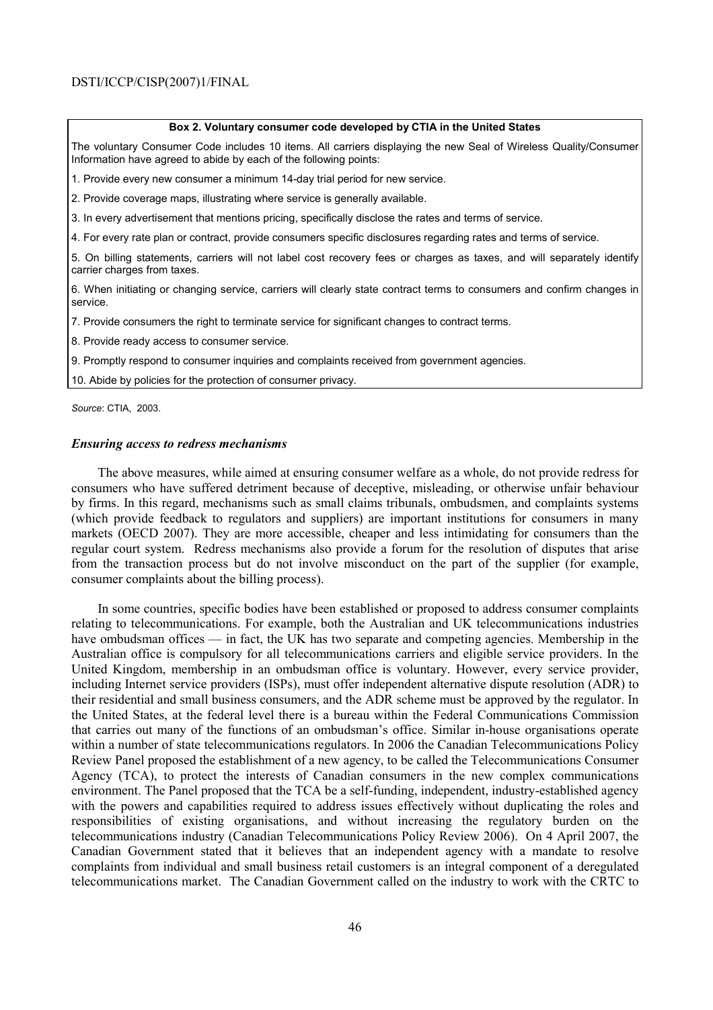#### **Box 2. Voluntary consumer code developed by CTIA in the United States**

The voluntary Consumer Code includes 10 items. All carriers displaying the new Seal of Wireless Quality/Consumer Information have agreed to abide by each of the following points:

1. Provide every new consumer a minimum 14-day trial period for new service.

2. Provide coverage maps, illustrating where service is generally available.

3. In every advertisement that mentions pricing, specifically disclose the rates and terms of service.

4. For every rate plan or contract, provide consumers specific disclosures regarding rates and terms of service.

5. On billing statements, carriers will not label cost recovery fees or charges as taxes, and will separately identify carrier charges from taxes.

6. When initiating or changing service, carriers will clearly state contract terms to consumers and confirm changes in service.

7. Provide consumers the right to terminate service for significant changes to contract terms.

8. Provide ready access to consumer service.

9. Promptly respond to consumer inquiries and complaints received from government agencies.

10. Abide by policies for the protection of consumer privacy.

*Source*: CTIA, 2003.

### *Ensuring access to redress mechanisms*

The above measures, while aimed at ensuring consumer welfare as a whole, do not provide redress for consumers who have suffered detriment because of deceptive, misleading, or otherwise unfair behaviour by firms. In this regard, mechanisms such as small claims tribunals, ombudsmen, and complaints systems (which provide feedback to regulators and suppliers) are important institutions for consumers in many markets (OECD 2007). They are more accessible, cheaper and less intimidating for consumers than the regular court system. Redress mechanisms also provide a forum for the resolution of disputes that arise from the transaction process but do not involve misconduct on the part of the supplier (for example, consumer complaints about the billing process).

In some countries, specific bodies have been established or proposed to address consumer complaints relating to telecommunications. For example, both the Australian and UK telecommunications industries have ombudsman offices — in fact, the UK has two separate and competing agencies. Membership in the Australian office is compulsory for all telecommunications carriers and eligible service providers. In the United Kingdom, membership in an ombudsman office is voluntary. However, every service provider, including Internet service providers (ISPs), must offer independent alternative dispute resolution (ADR) to their residential and small business consumers, and the ADR scheme must be approved by the regulator. In the United States, at the federal level there is a bureau within the Federal Communications Commission that carries out many of the functions of an ombudsman's office. Similar in-house organisations operate within a number of state telecommunications regulators. In 2006 the Canadian Telecommunications Policy Review Panel proposed the establishment of a new agency, to be called the Telecommunications Consumer Agency (TCA), to protect the interests of Canadian consumers in the new complex communications environment. The Panel proposed that the TCA be a self-funding, independent, industry-established agency with the powers and capabilities required to address issues effectively without duplicating the roles and responsibilities of existing organisations, and without increasing the regulatory burden on the telecommunications industry (Canadian Telecommunications Policy Review 2006). On 4 April 2007, the Canadian Government stated that it believes that an independent agency with a mandate to resolve complaints from individual and small business retail customers is an integral component of a deregulated telecommunications market. The Canadian Government called on the industry to work with the CRTC to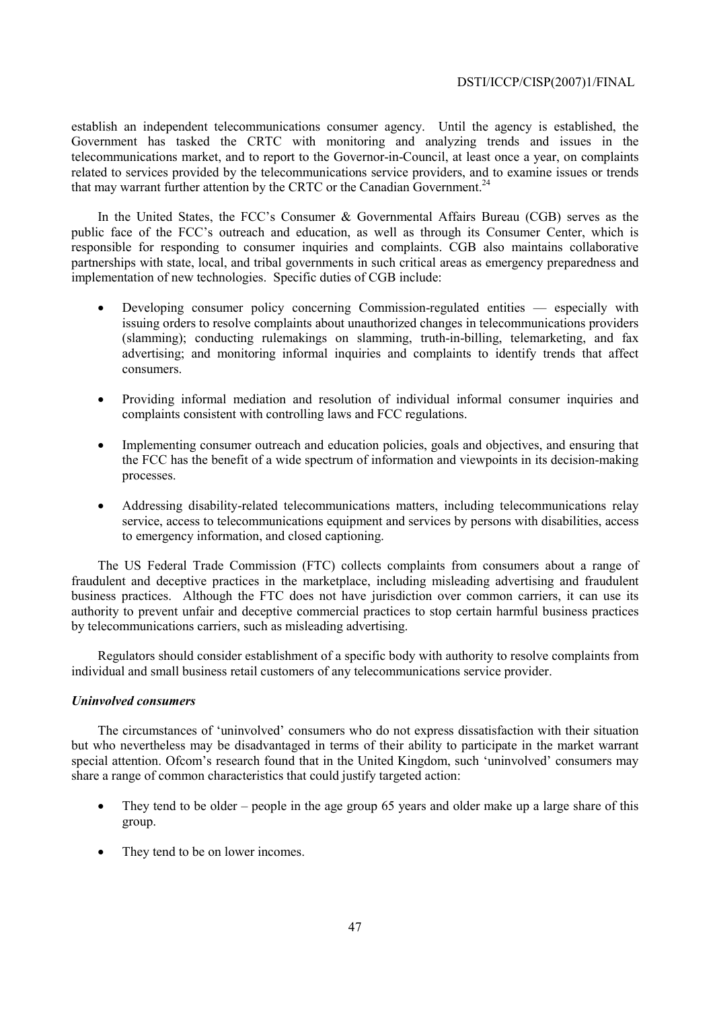establish an independent telecommunications consumer agency. Until the agency is established, the Government has tasked the CRTC with monitoring and analyzing trends and issues in the telecommunications market, and to report to the Governor-in-Council, at least once a year, on complaints related to services provided by the telecommunications service providers, and to examine issues or trends that may warrant further attention by the CRTC or the Canadian Government.<sup>24</sup>

In the United States, the FCC's Consumer & Governmental Affairs Bureau (CGB) serves as the public face of the FCC's outreach and education, as well as through its Consumer Center, which is responsible for responding to consumer inquiries and complaints. CGB also maintains collaborative partnerships with state, local, and tribal governments in such critical areas as emergency preparedness and implementation of new technologies. Specific duties of CGB include:

- Developing consumer policy concerning Commission-regulated entities especially with issuing orders to resolve complaints about unauthorized changes in telecommunications providers (slamming); conducting rulemakings on slamming, truth-in-billing, telemarketing, and fax advertising; and monitoring informal inquiries and complaints to identify trends that affect consumers.
- Providing informal mediation and resolution of individual informal consumer inquiries and complaints consistent with controlling laws and FCC regulations.
- Implementing consumer outreach and education policies, goals and objectives, and ensuring that the FCC has the benefit of a wide spectrum of information and viewpoints in its decision-making processes.
- Addressing disability-related telecommunications matters, including telecommunications relay service, access to telecommunications equipment and services by persons with disabilities, access to emergency information, and closed captioning.

The US Federal Trade Commission (FTC) collects complaints from consumers about a range of fraudulent and deceptive practices in the marketplace, including misleading advertising and fraudulent business practices. Although the FTC does not have jurisdiction over common carriers, it can use its authority to prevent unfair and deceptive commercial practices to stop certain harmful business practices by telecommunications carriers, such as misleading advertising.

Regulators should consider establishment of a specific body with authority to resolve complaints from individual and small business retail customers of any telecommunications service provider.

## *Uninvolved consumers*

The circumstances of 'uninvolved' consumers who do not express dissatisfaction with their situation but who nevertheless may be disadvantaged in terms of their ability to participate in the market warrant special attention. Ofcom's research found that in the United Kingdom, such 'uninvolved' consumers may share a range of common characteristics that could justify targeted action:

- They tend to be older people in the age group 65 years and older make up a large share of this group.
- They tend to be on lower incomes.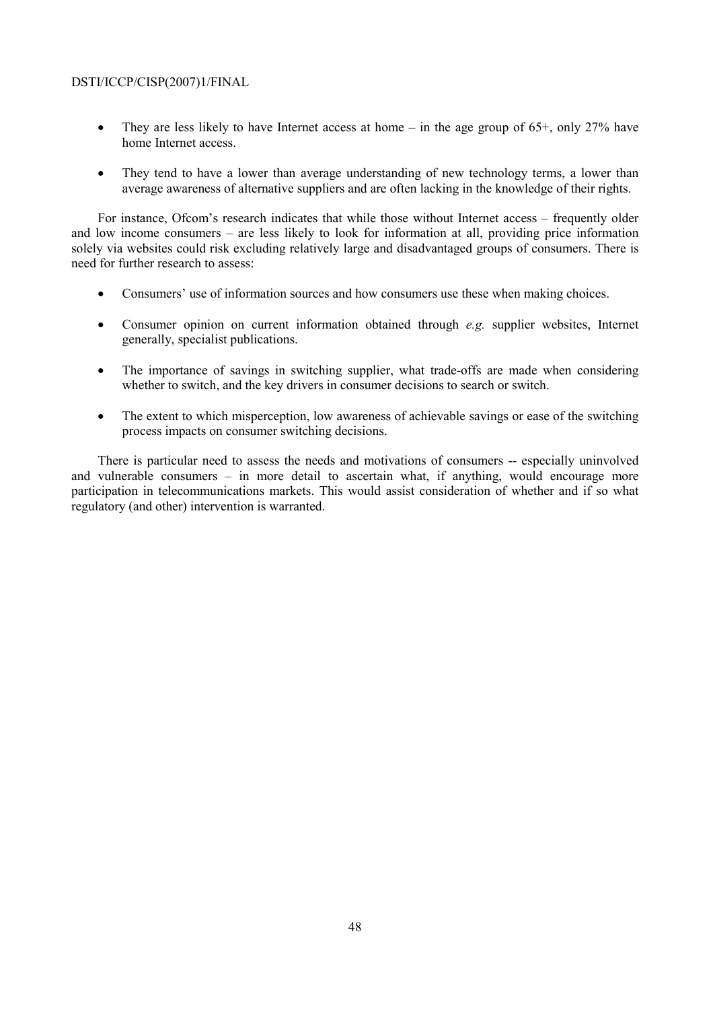- They are less likely to have Internet access at home in the age group of  $65^+$ , only  $27\%$  have home Internet access.
- They tend to have a lower than average understanding of new technology terms, a lower than average awareness of alternative suppliers and are often lacking in the knowledge of their rights.

For instance, Ofcom's research indicates that while those without Internet access – frequently older and low income consumers – are less likely to look for information at all, providing price information solely via websites could risk excluding relatively large and disadvantaged groups of consumers. There is need for further research to assess:

- Consumers' use of information sources and how consumers use these when making choices.
- Consumer opinion on current information obtained through *e.g.* supplier websites, Internet generally, specialist publications.
- The importance of savings in switching supplier, what trade-offs are made when considering whether to switch, and the key drivers in consumer decisions to search or switch.
- The extent to which misperception, low awareness of achievable savings or ease of the switching process impacts on consumer switching decisions.

There is particular need to assess the needs and motivations of consumers -- especially uninvolved and vulnerable consumers – in more detail to ascertain what, if anything, would encourage more participation in telecommunications markets. This would assist consideration of whether and if so what regulatory (and other) intervention is warranted.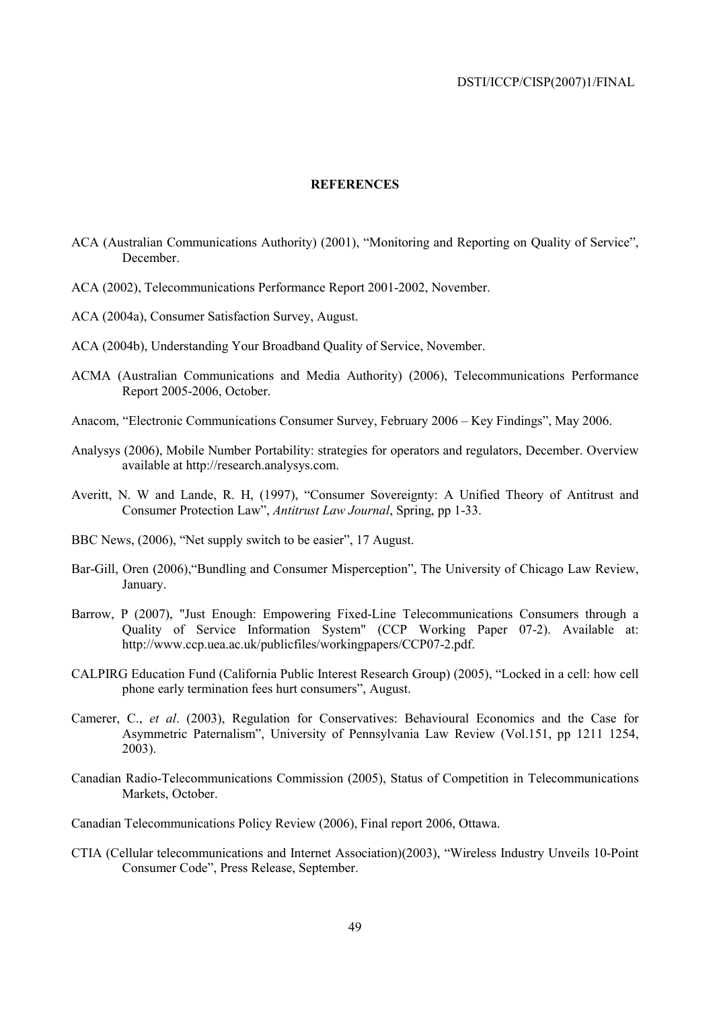### **REFERENCES**

- ACA (Australian Communications Authority) (2001), "Monitoring and Reporting on Quality of Service", December.
- ACA (2002), Telecommunications Performance Report 2001-2002, November.
- ACA (2004a), Consumer Satisfaction Survey, August.
- ACA (2004b), Understanding Your Broadband Quality of Service, November.
- ACMA (Australian Communications and Media Authority) (2006), Telecommunications Performance Report 2005-2006, October.
- Anacom, "Electronic Communications Consumer Survey, February 2006 Key Findings", May 2006.
- Analysys (2006), Mobile Number Portability: strategies for operators and regulators, December. Overview available at http://research.analysys.com.
- Averitt, N. W and Lande, R. H, (1997), "Consumer Sovereignty: A Unified Theory of Antitrust and Consumer Protection Law", *Antitrust Law Journal*, Spring, pp 1-33.
- BBC News, (2006), "Net supply switch to be easier", 17 August.
- Bar-Gill, Oren (2006),"Bundling and Consumer Misperception", The University of Chicago Law Review, January.
- Barrow, P (2007), "Just Enough: Empowering Fixed-Line Telecommunications Consumers through a Quality of Service Information System" (CCP Working Paper 07-2). Available at: http://www.ccp.uea.ac.uk/publicfiles/workingpapers/CCP07-2.pdf.
- CALPIRG Education Fund (California Public Interest Research Group) (2005), "Locked in a cell: how cell phone early termination fees hurt consumers", August.
- Camerer, C., *et al*. (2003), Regulation for Conservatives: Behavioural Economics and the Case for Asymmetric Paternalism", University of Pennsylvania Law Review (Vol.151, pp 1211 1254, 2003).
- Canadian Radio-Telecommunications Commission (2005), Status of Competition in Telecommunications Markets, October.
- Canadian Telecommunications Policy Review (2006), Final report 2006, Ottawa.
- CTIA (Cellular telecommunications and Internet Association)(2003), "Wireless Industry Unveils 10-Point Consumer Code", Press Release, September.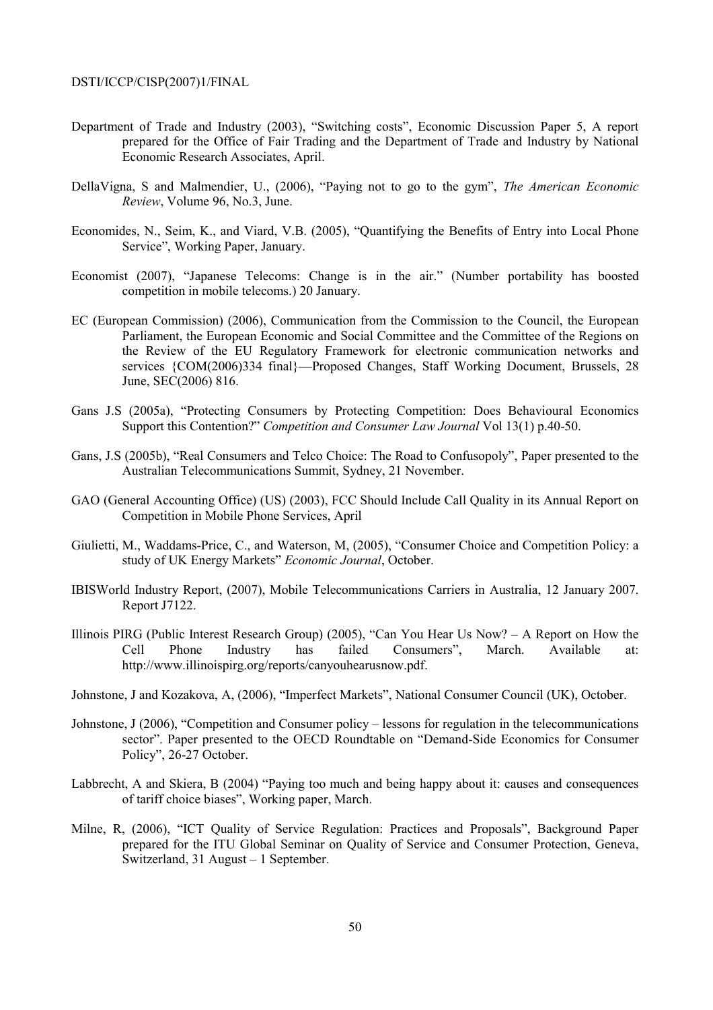- Department of Trade and Industry (2003), "Switching costs", Economic Discussion Paper 5, A report prepared for the Office of Fair Trading and the Department of Trade and Industry by National Economic Research Associates, April.
- DellaVigna, S and Malmendier, U., (2006), "Paying not to go to the gym", *The American Economic Review*, Volume 96, No.3, June.
- Economides, N., Seim, K., and Viard, V.B. (2005), "Quantifying the Benefits of Entry into Local Phone Service", Working Paper, January.
- Economist (2007), "Japanese Telecoms: Change is in the air." (Number portability has boosted competition in mobile telecoms.) 20 January.
- EC (European Commission) (2006), Communication from the Commission to the Council, the European Parliament, the European Economic and Social Committee and the Committee of the Regions on the Review of the EU Regulatory Framework for electronic communication networks and services {COM(2006)334 final}—Proposed Changes, Staff Working Document, Brussels, 28 June, SEC(2006) 816.
- Gans J.S (2005a), "Protecting Consumers by Protecting Competition: Does Behavioural Economics Support this Contention?" *Competition and Consumer Law Journal* Vol 13(1) p.40-50.
- Gans, J.S (2005b), "Real Consumers and Telco Choice: The Road to Confusopoly", Paper presented to the Australian Telecommunications Summit, Sydney, 21 November.
- GAO (General Accounting Office) (US) (2003), FCC Should Include Call Quality in its Annual Report on Competition in Mobile Phone Services, April
- Giulietti, M., Waddams-Price, C., and Waterson, M, (2005), "Consumer Choice and Competition Policy: a study of UK Energy Markets" *Economic Journal*, October.
- IBISWorld Industry Report, (2007), Mobile Telecommunications Carriers in Australia, 12 January 2007. Report J7122.
- Illinois PIRG (Public Interest Research Group) (2005), "Can You Hear Us Now? A Report on How the Cell Phone Industry has failed Consumers", March. Available at: http://www.illinoispirg.org/reports/canyouhearusnow.pdf.
- Johnstone, J and Kozakova, A, (2006), "Imperfect Markets", National Consumer Council (UK), October.
- Johnstone, J (2006), "Competition and Consumer policy lessons for regulation in the telecommunications sector". Paper presented to the OECD Roundtable on "Demand-Side Economics for Consumer Policy", 26-27 October.
- Labbrecht, A and Skiera, B (2004) "Paying too much and being happy about it: causes and consequences of tariff choice biases", Working paper, March.
- Milne, R, (2006), "ICT Quality of Service Regulation: Practices and Proposals", Background Paper prepared for the ITU Global Seminar on Quality of Service and Consumer Protection, Geneva, Switzerland, 31 August – 1 September.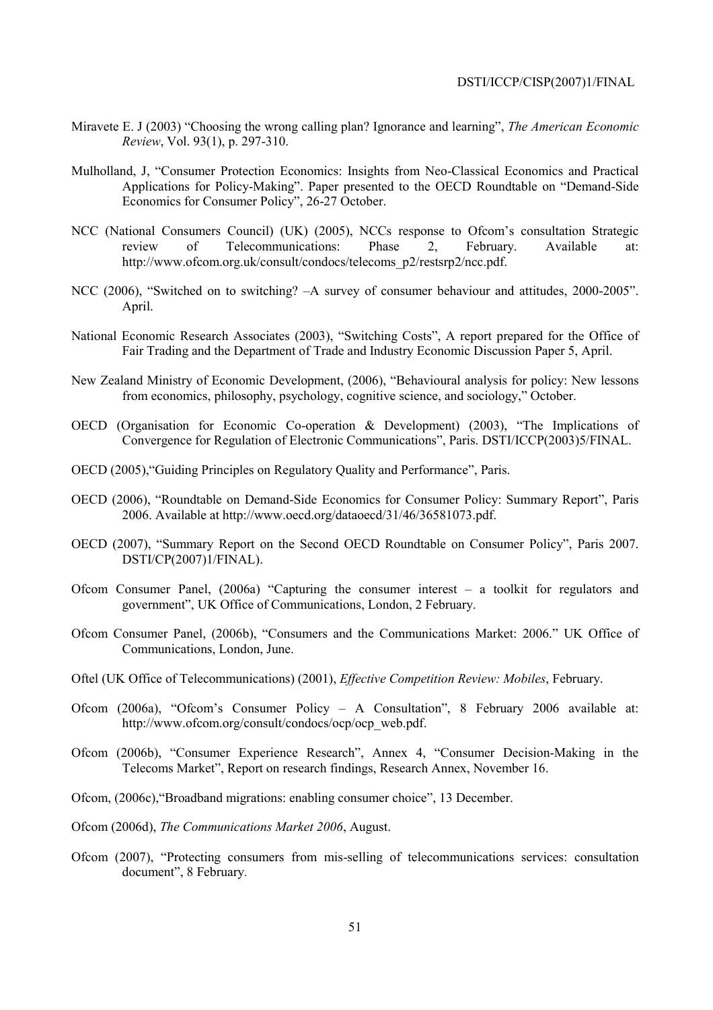- Miravete E. J (2003) "Choosing the wrong calling plan? Ignorance and learning", *The American Economic Review*, Vol. 93(1), p. 297-310.
- Mulholland, J, "Consumer Protection Economics: Insights from Neo-Classical Economics and Practical Applications for Policy-Making". Paper presented to the OECD Roundtable on "Demand-Side Economics for Consumer Policy", 26-27 October.
- NCC (National Consumers Council) (UK) (2005), NCCs response to Ofcom's consultation Strategic review of Telecommunications: Phase 2, February. Available at: http://www.ofcom.org.uk/consult/condocs/telecoms\_p2/restsrp2/ncc.pdf.
- NCC (2006), "Switched on to switching? –A survey of consumer behaviour and attitudes, 2000-2005". April.
- National Economic Research Associates (2003), "Switching Costs", A report prepared for the Office of Fair Trading and the Department of Trade and Industry Economic Discussion Paper 5, April.
- New Zealand Ministry of Economic Development, (2006), "Behavioural analysis for policy: New lessons from economics, philosophy, psychology, cognitive science, and sociology," October.
- OECD (Organisation for Economic Co-operation & Development) (2003), "The Implications of Convergence for Regulation of Electronic Communications", Paris. DSTI/ICCP(2003)5/FINAL.
- OECD (2005),"Guiding Principles on Regulatory Quality and Performance", Paris.
- OECD (2006), "Roundtable on Demand-Side Economics for Consumer Policy: Summary Report", Paris 2006. Available at http://www.oecd.org/dataoecd/31/46/36581073.pdf.
- OECD (2007), "Summary Report on the Second OECD Roundtable on Consumer Policy", Paris 2007. DSTI/CP(2007)1/FINAL).
- Ofcom Consumer Panel, (2006a) "Capturing the consumer interest a toolkit for regulators and government", UK Office of Communications, London, 2 February.
- Ofcom Consumer Panel, (2006b), "Consumers and the Communications Market: 2006." UK Office of Communications, London, June.
- Oftel (UK Office of Telecommunications) (2001), *Effective Competition Review: Mobiles*, February.
- Ofcom (2006a), "Ofcom's Consumer Policy A Consultation", 8 February 2006 available at: http://www.ofcom.org/consult/condocs/ocp/ocp\_web.pdf.
- Ofcom (2006b), "Consumer Experience Research", Annex 4, "Consumer Decision-Making in the Telecoms Market", Report on research findings, Research Annex, November 16.
- Ofcom, (2006c),"Broadband migrations: enabling consumer choice", 13 December.
- Ofcom (2006d), *The Communications Market 2006*, August.
- Ofcom (2007), "Protecting consumers from mis-selling of telecommunications services: consultation document", 8 February.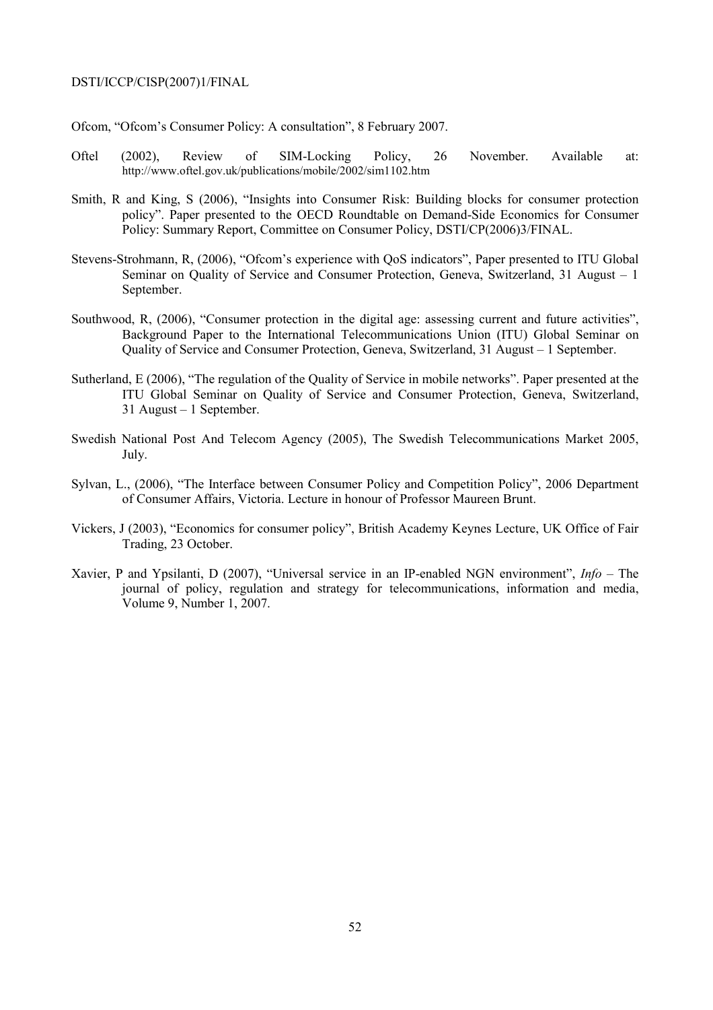Ofcom, "Ofcom's Consumer Policy: A consultation", 8 February 2007.

- Oftel (2002), Review of SIM-Locking Policy, 26 November. Available at: http://www.oftel.gov.uk/publications/mobile/2002/sim1102.htm
- Smith, R and King, S (2006), "Insights into Consumer Risk: Building blocks for consumer protection policy". Paper presented to the OECD Roundtable on Demand-Side Economics for Consumer Policy: Summary Report, Committee on Consumer Policy, DSTI/CP(2006)3/FINAL.
- Stevens-Strohmann, R, (2006), "Ofcom's experience with QoS indicators", Paper presented to ITU Global Seminar on Quality of Service and Consumer Protection, Geneva, Switzerland, 31 August – 1 September.
- Southwood, R, (2006), "Consumer protection in the digital age: assessing current and future activities", Background Paper to the International Telecommunications Union (ITU) Global Seminar on Quality of Service and Consumer Protection, Geneva, Switzerland, 31 August – 1 September.
- Sutherland, E (2006), "The regulation of the Quality of Service in mobile networks". Paper presented at the ITU Global Seminar on Quality of Service and Consumer Protection, Geneva, Switzerland, 31 August – 1 September.
- Swedish National Post And Telecom Agency (2005), The Swedish Telecommunications Market 2005, July.
- Sylvan, L., (2006), "The Interface between Consumer Policy and Competition Policy", 2006 Department of Consumer Affairs, Victoria. Lecture in honour of Professor Maureen Brunt.
- Vickers, J (2003), "Economics for consumer policy", British Academy Keynes Lecture, UK Office of Fair Trading, 23 October.
- Xavier, P and Ypsilanti, D (2007), "Universal service in an IP-enabled NGN environment", *Info* The journal of policy, regulation and strategy for telecommunications, information and media, Volume 9, Number 1, 2007.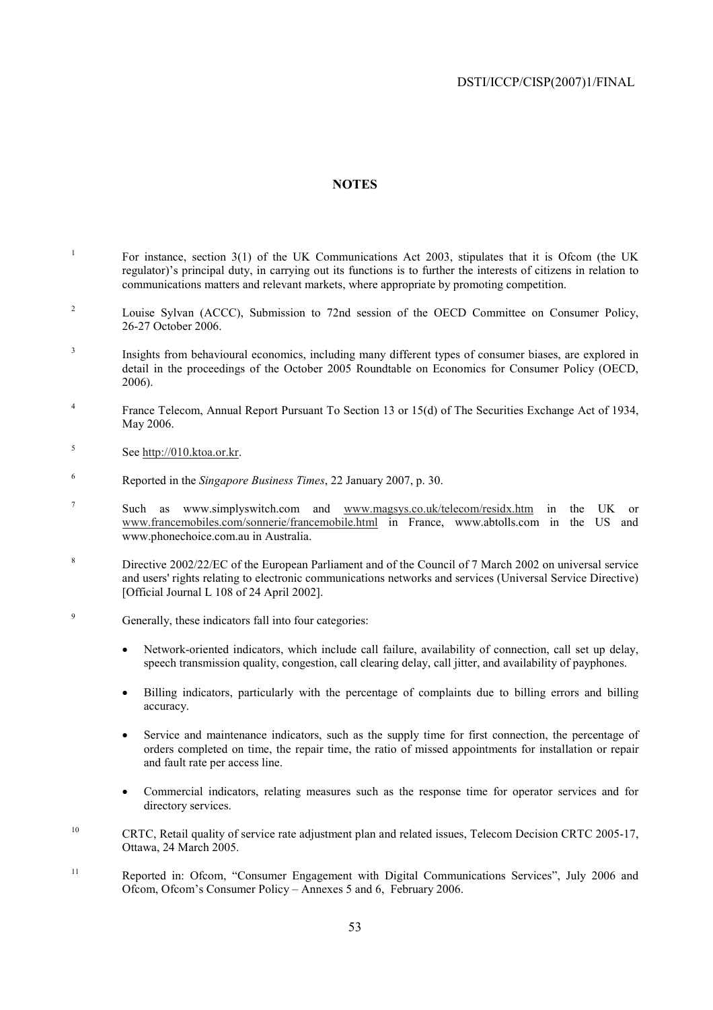## **NOTES**

- 1 For instance, section 3(1) of the UK Communications Act 2003, stipulates that it is Ofcom (the UK regulator)'s principal duty, in carrying out its functions is to further the interests of citizens in relation to communications matters and relevant markets, where appropriate by promoting competition.
- 2 Louise Sylvan (ACCC), Submission to 72nd session of the OECD Committee on Consumer Policy, 26-27 October 2006.
- 3 Insights from behavioural economics, including many different types of consumer biases, are explored in detail in the proceedings of the October 2005 Roundtable on Economics for Consumer Policy (OECD, 2006).
- 4 France Telecom, Annual Report Pursuant To Section 13 or 15(d) of The Securities Exchange Act of 1934, May 2006.
- 5 See http://010.ktoa.or.kr.
- 6 Reported in the *Singapore Business Times*, 22 January 2007, p. 30.
- 7 Such as www.simplyswitch.com and www.magsys.co.uk/telecom/residx.htm in the UK or www.francemobiles.com/sonnerie/francemobile.html in France, www.abtolls.com in the US and www.phonechoice.com.au in Australia.
- 8 Directive 2002/22/EC of the European Parliament and of the Council of 7 March 2002 on universal service and users' rights relating to electronic communications networks and services (Universal Service Directive) [Official Journal L 108 of 24 April 2002].
- 9 Generally, these indicators fall into four categories:
	- Network-oriented indicators, which include call failure, availability of connection, call set up delay, speech transmission quality, congestion, call clearing delay, call jitter, and availability of payphones.
	- Billing indicators, particularly with the percentage of complaints due to billing errors and billing accuracy.
	- Service and maintenance indicators, such as the supply time for first connection, the percentage of orders completed on time, the repair time, the ratio of missed appointments for installation or repair and fault rate per access line.
	- Commercial indicators, relating measures such as the response time for operator services and for directory services.
- <sup>10</sup> CRTC, Retail quality of service rate adjustment plan and related issues, Telecom Decision CRTC 2005-17, Ottawa, 24 March 2005.
- <sup>11</sup> Reported in: Ofcom, "Consumer Engagement with Digital Communications Services", July 2006 and Ofcom, Ofcom's Consumer Policy – Annexes 5 and 6, February 2006.